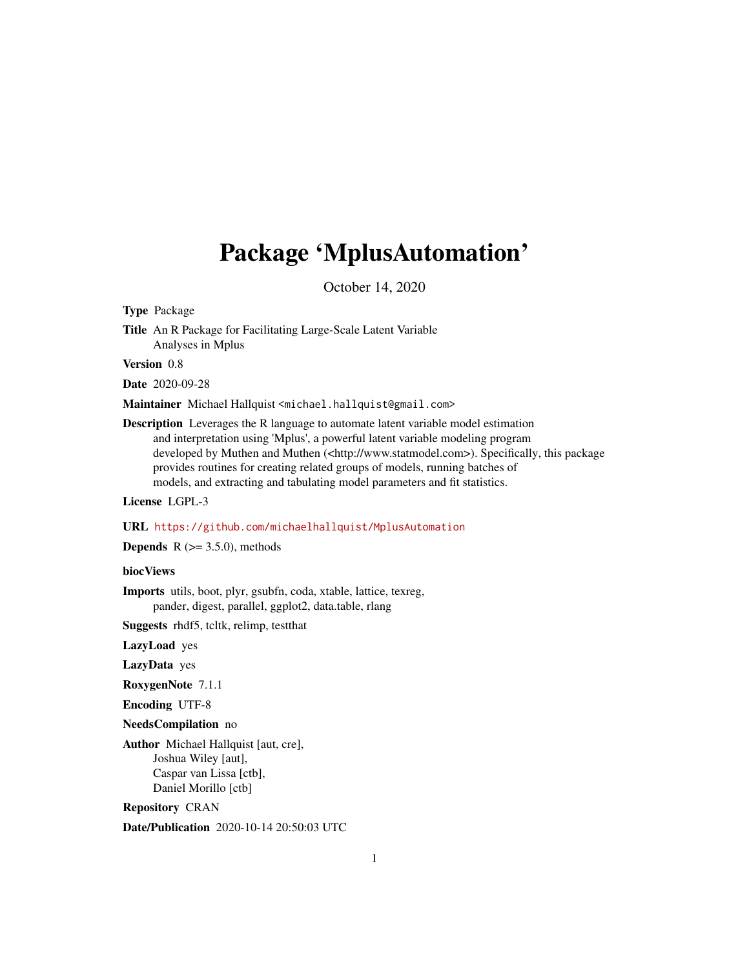# <span id="page-0-0"></span>Package 'MplusAutomation'

October 14, 2020

Type Package

Title An R Package for Facilitating Large-Scale Latent Variable Analyses in Mplus

Version 0.8

Date 2020-09-28

Maintainer Michael Hallquist <michael.hallquist@gmail.com>

Description Leverages the R language to automate latent variable model estimation and interpretation using 'Mplus', a powerful latent variable modeling program developed by Muthen and Muthen (<http://www.statmodel.com>). Specifically, this package provides routines for creating related groups of models, running batches of models, and extracting and tabulating model parameters and fit statistics.

License LGPL-3

URL <https://github.com/michaelhallquist/MplusAutomation>

**Depends** R  $(>= 3.5.0)$ , methods

biocViews

Imports utils, boot, plyr, gsubfn, coda, xtable, lattice, texreg, pander, digest, parallel, ggplot2, data.table, rlang

Suggests rhdf5, tcltk, relimp, testthat

LazyLoad yes

LazyData yes

RoxygenNote 7.1.1

Encoding UTF-8

NeedsCompilation no

Author Michael Hallquist [aut, cre], Joshua Wiley [aut], Caspar van Lissa [ctb], Daniel Morillo [ctb]

Repository CRAN

Date/Publication 2020-10-14 20:50:03 UTC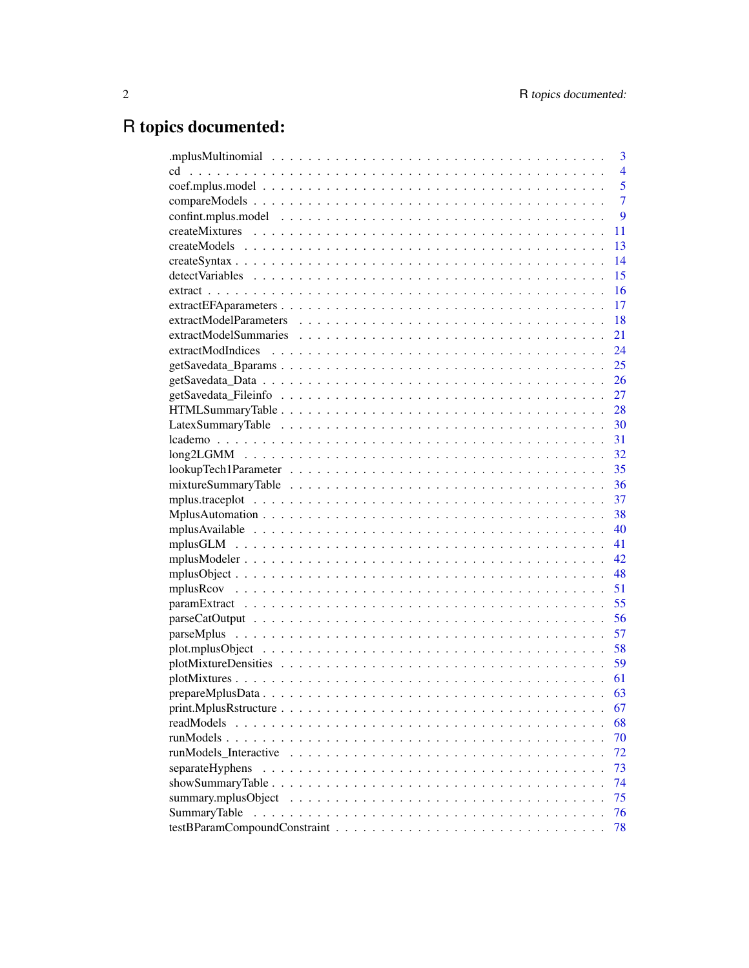# R topics documented:

|                     | 3              |
|---------------------|----------------|
| cd                  | $\overline{4}$ |
|                     | 5              |
|                     | $\overline{7}$ |
|                     | 9              |
|                     | 11             |
|                     | 13             |
|                     | 14             |
|                     | 15             |
|                     | 16             |
|                     | 17             |
|                     | 18             |
|                     | 21             |
|                     | 24             |
|                     | 25             |
|                     |                |
|                     |                |
|                     |                |
|                     |                |
|                     |                |
|                     |                |
|                     |                |
|                     | 36             |
|                     | 37             |
|                     |                |
|                     | 40             |
|                     | 41             |
|                     |                |
|                     |                |
|                     | 51             |
|                     | 55             |
|                     | 56             |
|                     | 57             |
|                     | 58             |
|                     | 59             |
|                     | 61             |
|                     | 63             |
|                     | 67             |
| readModels          | 68             |
|                     | 70             |
|                     | 72             |
| separateHyphens     | 73             |
|                     | 74             |
| summary.mplusObject | 75             |
| <b>SummaryTable</b> | 76             |
|                     | 78             |
|                     |                |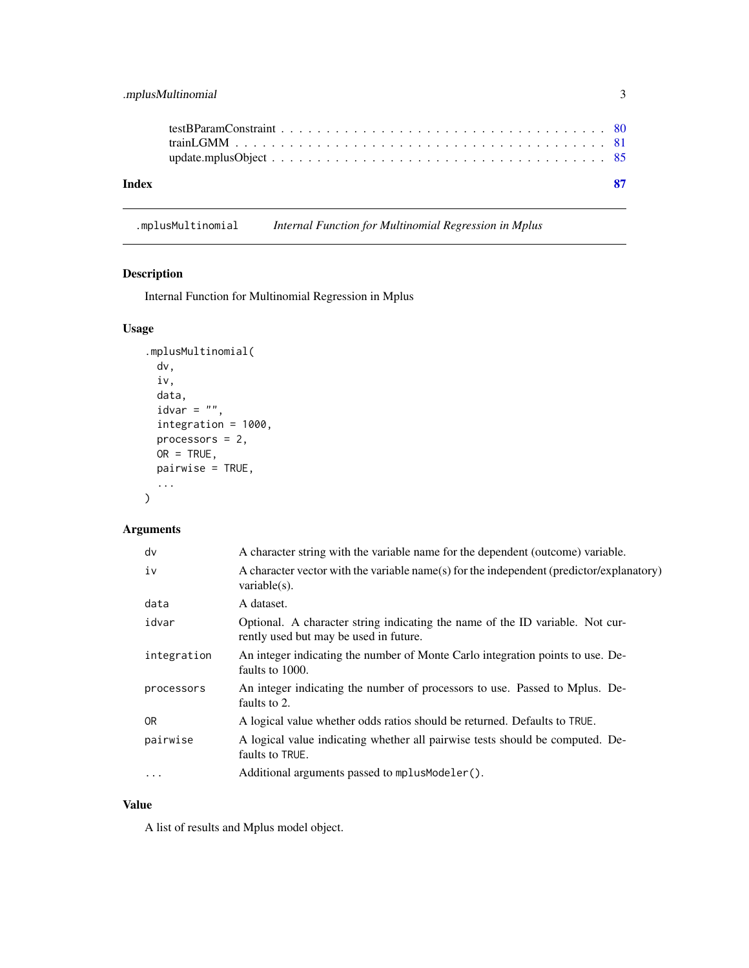<span id="page-2-0"></span>

| Index |  |  |  |  |  |  |  |  |  |  |  |  |  |  |  |  |  | - 87 |
|-------|--|--|--|--|--|--|--|--|--|--|--|--|--|--|--|--|--|------|
|       |  |  |  |  |  |  |  |  |  |  |  |  |  |  |  |  |  |      |
|       |  |  |  |  |  |  |  |  |  |  |  |  |  |  |  |  |  |      |
|       |  |  |  |  |  |  |  |  |  |  |  |  |  |  |  |  |  |      |

.mplusMultinomial *Internal Function for Multinomial Regression in Mplus*

# Description

Internal Function for Multinomial Regression in Mplus

# Usage

```
.mplusMultinomial(
 dv,
 iv,
 data,
 idvar = ",
  integration = 1000,
 processors = 2,
 OR = TRUE,pairwise = TRUE,
  ...
)
```
# Arguments

| dv          | A character string with the variable name for the dependent (outcome) variable.                                         |
|-------------|-------------------------------------------------------------------------------------------------------------------------|
| iv          | A character vector with the variable name(s) for the independent (predictor/explanatory)<br>variable $(s)$ .            |
| data        | A dataset.                                                                                                              |
| idvar       | Optional. A character string indicating the name of the ID variable. Not cur-<br>rently used but may be used in future. |
| integration | An integer indicating the number of Monte Carlo integration points to use. De-<br>faults to 1000.                       |
| processors  | An integer indicating the number of processors to use. Passed to Mplus. De-<br>faults to 2.                             |
| 0R          | A logical value whether odds ratios should be returned. Defaults to TRUE.                                               |
| pairwise    | A logical value indicating whether all pairwise tests should be computed. De-<br>faults to TRUE.                        |
| $\cdots$    | Additional arguments passed to mplus Modeler().                                                                         |

# Value

A list of results and Mplus model object.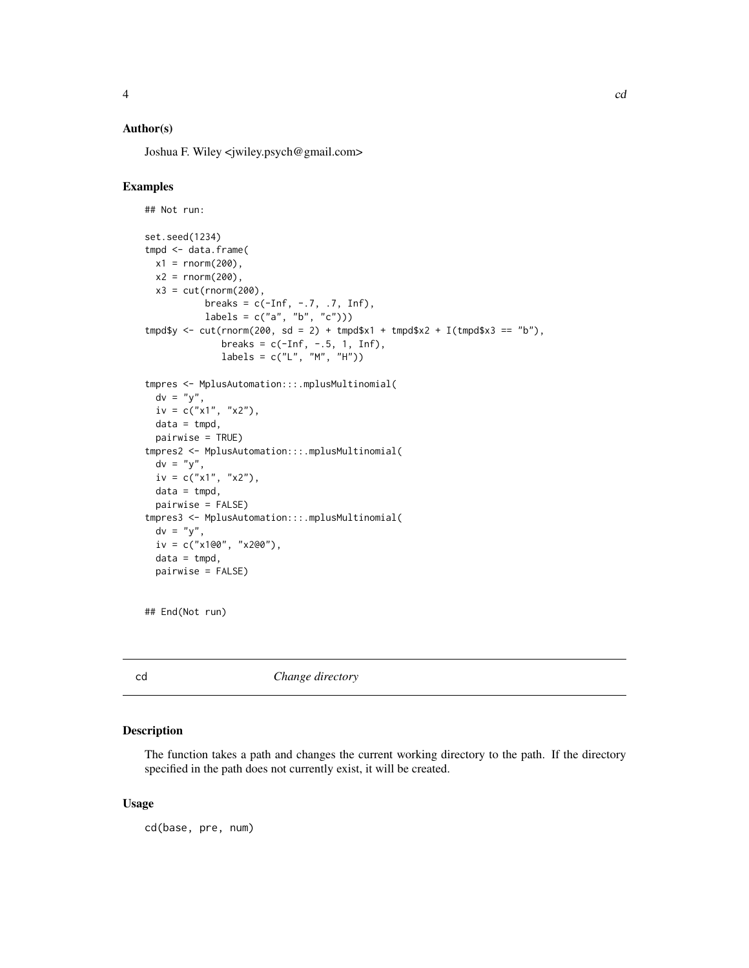# <span id="page-3-0"></span>Author(s)

Joshua F. Wiley <jwiley.psych@gmail.com>

#### Examples

```
## Not run:
set.seed(1234)
tmpd <- data.frame(
 x1 = \text{rnorm}(200),x2 = rnorm(200),
 x3 = cut(rnorm(200),
          breaks = c(-Inf, -.7, .7, Inf),labels = c("a", "b", "c"))tmpd$y < -cut(rnorm(200, sd = 2) + tmpd$x1 + tmpd$x2 + I(tmpd$x3 == "b"),breaks = c(-Inf, -.5, 1, Inf),
             labels = c("L", "M", "H"))
tmpres <- MplusAutomation:::.mplusMultinomial(
 dv = "y",iv = c("x1", "x2"),
 data = tmpd,
 pairwise = TRUE)
tmpres2 <- MplusAutomation:::.mplusMultinomial(
 dv = "y",iv = c("x1", "x2"),
 data = tmpd,pairwise = FALSE)
tmpres3 <- MplusAutomation:::.mplusMultinomial(
 dv = "y",iv = c("x1@0", "x2@0"),
 data = tmpd,pairwise = FALSE)
```

```
## End(Not run)
```
cd *Change directory*

#### Description

The function takes a path and changes the current working directory to the path. If the directory specified in the path does not currently exist, it will be created.

#### Usage

cd(base, pre, num)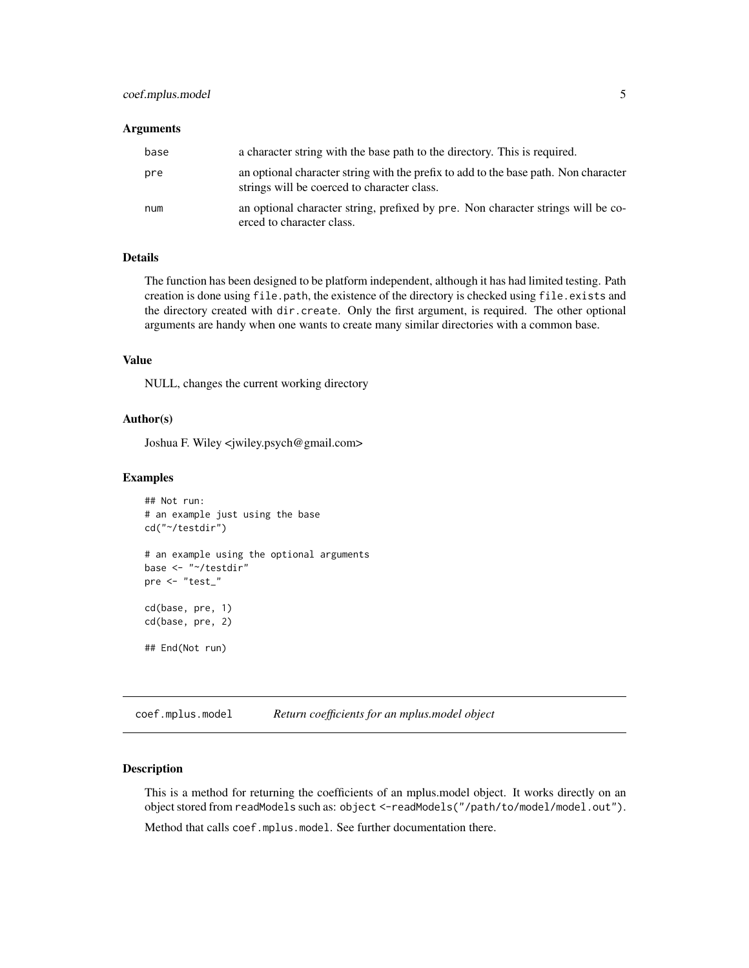# <span id="page-4-0"></span>coef.mplus.model 5

#### **Arguments**

| base | a character string with the base path to the directory. This is required.                                                          |
|------|------------------------------------------------------------------------------------------------------------------------------------|
| pre  | an optional character string with the prefix to add to the base path. Non character<br>strings will be coerced to character class. |
| num  | an optional character string, prefixed by pre. Non character strings will be co-<br>erced to character class.                      |

## Details

The function has been designed to be platform independent, although it has had limited testing. Path creation is done using file.path, the existence of the directory is checked using file.exists and the directory created with dir.create. Only the first argument, is required. The other optional arguments are handy when one wants to create many similar directories with a common base.

#### Value

NULL, changes the current working directory

#### Author(s)

Joshua F. Wiley <jwiley.psych@gmail.com>

#### Examples

```
## Not run:
# an example just using the base
cd("~/testdir")
# an example using the optional arguments
base <- "~/testdir"
pre <- "test_"
cd(base, pre, 1)
cd(base, pre, 2)
## End(Not run)
```
<span id="page-4-1"></span>coef.mplus.model *Return coefficients for an mplus.model object*

# Description

This is a method for returning the coefficients of an mplus.model object. It works directly on an object stored from readModels such as: object <-readModels("/path/to/model/model.out"). Method that calls coef.mplus.model. See further documentation there.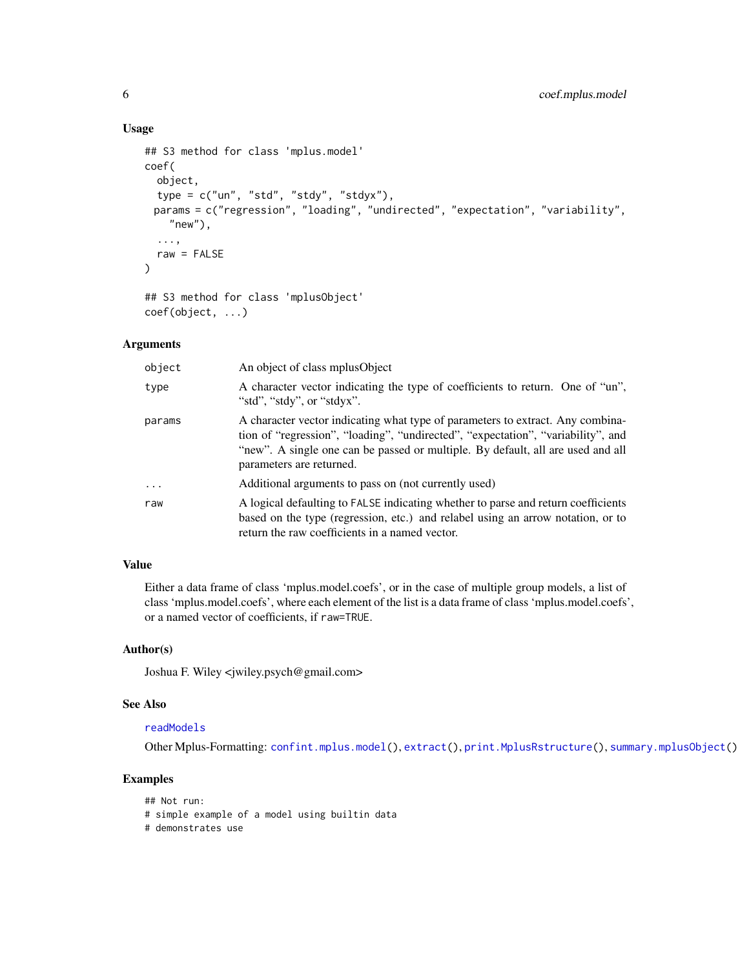#### Usage

```
## S3 method for class 'mplus.model'
coef(
  object,
  type = c("un", "std", "stdy", "stdyx"),
 params = c("regression", "loading", "undirected", "expectation", "variability",
    "new"),
  ...,
 raw = FALSE
)
## S3 method for class 'mplusObject'
```

```
coef(object, ...)
```
#### Arguments

| object   | An object of class mplus Object                                                                                                                                                                                                                                                   |
|----------|-----------------------------------------------------------------------------------------------------------------------------------------------------------------------------------------------------------------------------------------------------------------------------------|
| type     | A character vector indicating the type of coefficients to return. One of "un",<br>"std", "stdy", or "stdyx".                                                                                                                                                                      |
| params   | A character vector indicating what type of parameters to extract. Any combina-<br>tion of "regression", "loading", "undirected", "expectation", "variability", and<br>"new". A single one can be passed or multiple. By default, all are used and all<br>parameters are returned. |
| $\ddots$ | Additional arguments to pass on (not currently used)                                                                                                                                                                                                                              |
| raw      | A logical defaulting to FALSE indicating whether to parse and return coefficients<br>based on the type (regression, etc.) and relabel using an arrow notation, or to<br>return the raw coefficients in a named vector.                                                            |

# Value

Either a data frame of class 'mplus.model.coefs', or in the case of multiple group models, a list of class 'mplus.model.coefs', where each element of the list is a data frame of class 'mplus.model.coefs', or a named vector of coefficients, if raw=TRUE.

#### Author(s)

Joshua F. Wiley <jwiley.psych@gmail.com>

# See Also

# [readModels](#page-67-1)

Other Mplus-Formatting: [confint.mplus.model\(](#page-8-1)), [extract\(](#page-15-1)), [print.MplusRstructure\(](#page-66-1)), [summary.mplusObject\(](#page-74-1))

# Examples

```
## Not run:
# simple example of a model using builtin data
# demonstrates use
```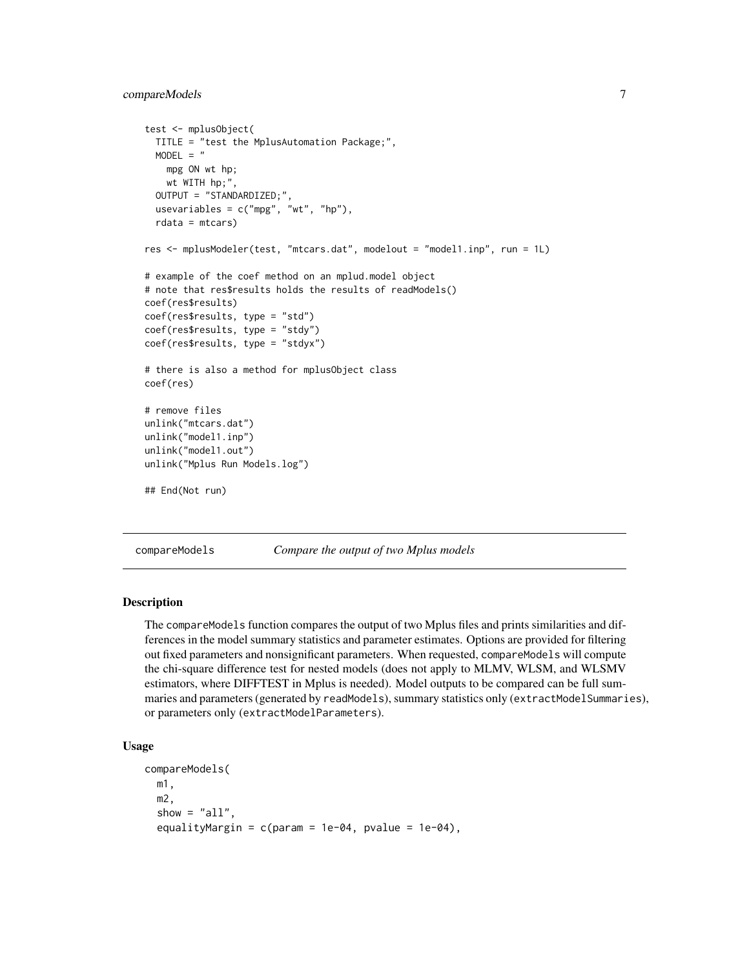# <span id="page-6-0"></span>compareModels 7

```
test <- mplusObject(
 TITLE = "test the MplusAutomation Package;",
 MODEL = "mpg ON wt hp;
   wt WITH hp;",
 OUTPUT = "STANDARDIZED;",
 usevariables = c("mpg", "wt", "hp"),rdata = mtcars)
res <- mplusModeler(test, "mtcars.dat", modelout = "model1.inp", run = 1L)
# example of the coef method on an mplud.model object
# note that res$results holds the results of readModels()
coef(res$results)
coef(res$results, type = "std")
coef(res$results, type = "stdy")
coef(res$results, type = "stdyx")
# there is also a method for mplusObject class
coef(res)
# remove files
unlink("mtcars.dat")
unlink("model1.inp")
unlink("model1.out")
unlink("Mplus Run Models.log")
## End(Not run)
```
compareModels *Compare the output of two Mplus models*

#### Description

The compareModels function compares the output of two Mplus files and prints similarities and differences in the model summary statistics and parameter estimates. Options are provided for filtering out fixed parameters and nonsignificant parameters. When requested, compareModels will compute the chi-square difference test for nested models (does not apply to MLMV, WLSM, and WLSMV estimators, where DIFFTEST in Mplus is needed). Model outputs to be compared can be full summaries and parameters (generated by readModels), summary statistics only (extractModelSummaries), or parameters only (extractModelParameters).

# Usage

```
compareModels(
  m1,
 m2,
  show = "all",equalityMargin = c(param = 1e-04, pvalue = 1e-04),
```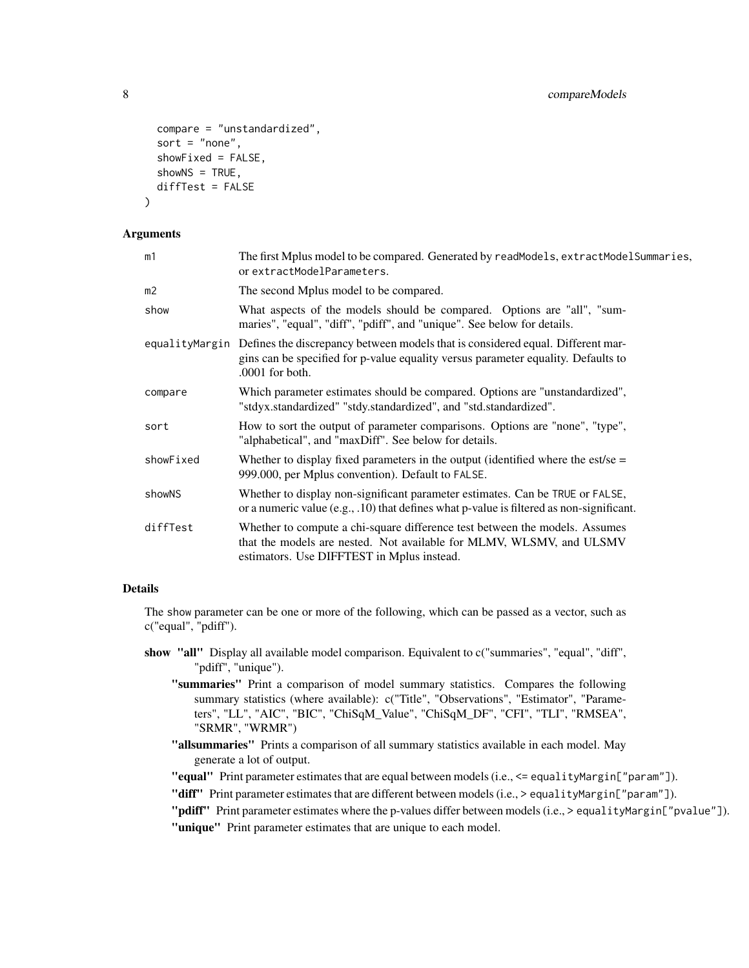```
compare = "unstandardized",
  sort = "none",
  showFixed = FALSE,
  shows = TRUE,diffTest = FALSE
\lambda
```
#### **Arguments**

| m1             | The first Mplus model to be compared. Generated by readModels, extractModelSummaries,<br>or extractModelParameters.                                                                                      |
|----------------|----------------------------------------------------------------------------------------------------------------------------------------------------------------------------------------------------------|
| m <sub>2</sub> | The second Mplus model to be compared.                                                                                                                                                                   |
| show           | What aspects of the models should be compared. Options are "all", "sum-<br>maries", "equal", "diff", "pdiff", and "unique". See below for details.                                                       |
|                | equalityMargin Defines the discrepancy between models that is considered equal. Different mar-<br>gins can be specified for p-value equality versus parameter equality. Defaults to<br>$.0001$ for both. |
| compare        | Which parameter estimates should be compared. Options are "unstandardized",<br>"stdyx.standardized" "stdy.standardized", and "std.standardized".                                                         |
| sort           | How to sort the output of parameter comparisons. Options are "none", "type",<br>"alphabetical", and "maxDiff". See below for details.                                                                    |
| showFixed      | Whether to display fixed parameters in the output (identified where the est/se $=$<br>999.000, per Mplus convention). Default to FALSE.                                                                  |
| showNS         | Whether to display non-significant parameter estimates. Can be TRUE or FALSE,<br>or a numeric value (e.g., .10) that defines what p-value is filtered as non-significant.                                |
| diffTest       | Whether to compute a chi-square difference test between the models. Assumes<br>that the models are nested. Not available for MLMV, WLSMV, and ULSMV<br>estimators. Use DIFFTEST in Mplus instead.        |

## Details

The show parameter can be one or more of the following, which can be passed as a vector, such as c("equal", "pdiff").

- show "all" Display all available model comparison. Equivalent to c("summaries", "equal", "diff", "pdiff", "unique").
	- "summaries" Print a comparison of model summary statistics. Compares the following summary statistics (where available): c("Title", "Observations", "Estimator", "Parameters", "LL", "AIC", "BIC", "ChiSqM\_Value", "ChiSqM\_DF", "CFI", "TLI", "RMSEA", "SRMR", "WRMR")
	- "allsummaries" Prints a comparison of all summary statistics available in each model. May generate a lot of output.

"equal" Print parameter estimates that are equal between models (i.e., <= equalityMargin["param"]).

"diff" Print parameter estimates that are different between models (i.e., > equalityMargin["param"]).

```
"pdiff" Print parameter estimates where the p-values differ between models (i.e., > equalityMargin["pvalue"]).
"unique" Print parameter estimates that are unique to each model.
```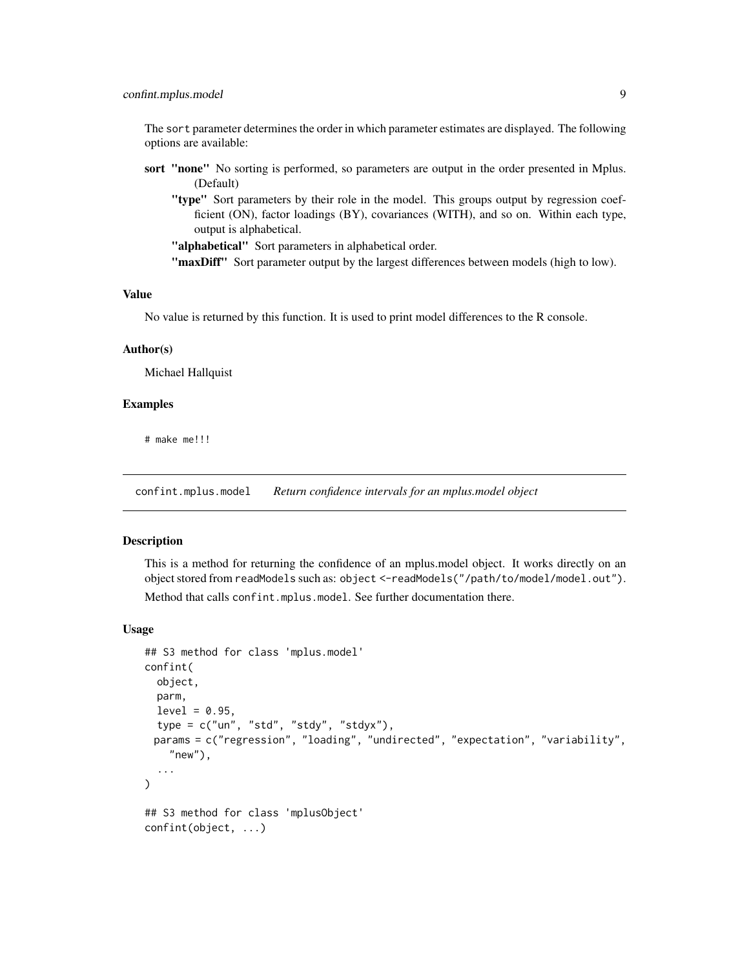# <span id="page-8-0"></span>confint.mplus.model 9

The sort parameter determines the order in which parameter estimates are displayed. The following options are available:

- sort "none" No sorting is performed, so parameters are output in the order presented in Mplus. (Default)
	- "type" Sort parameters by their role in the model. This groups output by regression coefficient (ON), factor loadings (BY), covariances (WITH), and so on. Within each type, output is alphabetical.

"alphabetical" Sort parameters in alphabetical order.

"maxDiff" Sort parameter output by the largest differences between models (high to low).

# Value

No value is returned by this function. It is used to print model differences to the R console.

# Author(s)

Michael Hallquist

#### Examples

# make me!!!

<span id="page-8-1"></span>confint.mplus.model *Return confidence intervals for an mplus.model object*

#### Description

This is a method for returning the confidence of an mplus.model object. It works directly on an object stored from readModels such as: object <-readModels("/path/to/model/model.out").

Method that calls confint.mplus.model. See further documentation there.

#### Usage

```
## S3 method for class 'mplus.model'
confint(
 object,
 parm,
  level = 0.95,type = c("un", "std", "stdy", "stdyx"),
 params = c("regression", "loading", "undirected", "expectation", "variability",
    "new"),
  ...
)
## S3 method for class 'mplusObject'
confint(object, ...)
```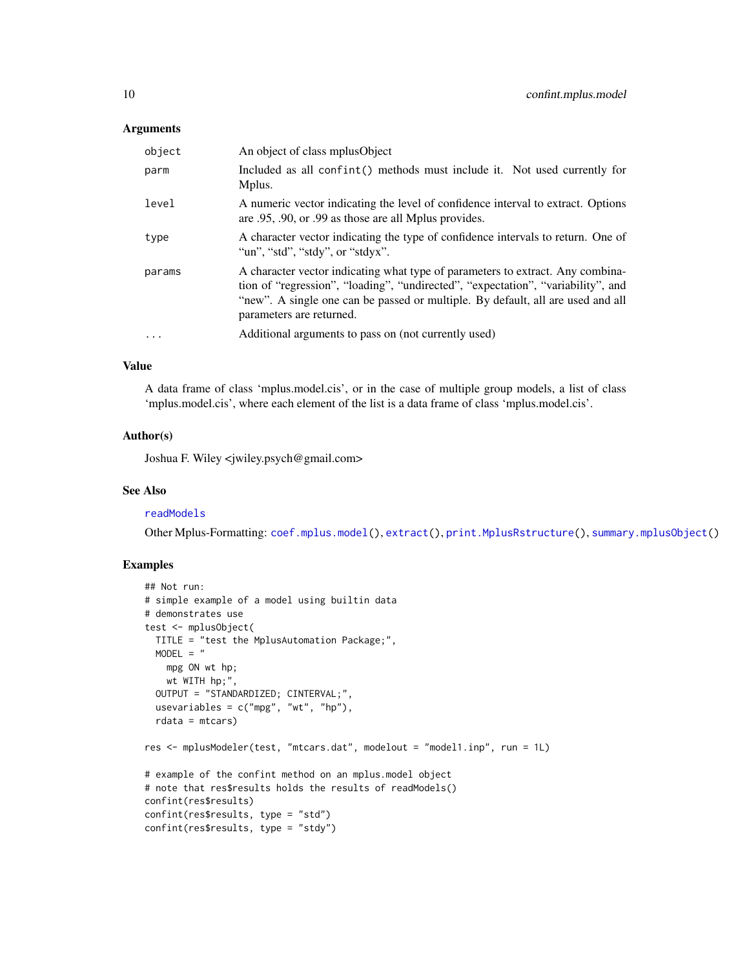#### **Arguments**

| object    | An object of class mplus Object                                                                                                                                                                                                                                                   |
|-----------|-----------------------------------------------------------------------------------------------------------------------------------------------------------------------------------------------------------------------------------------------------------------------------------|
| parm      | Included as all confint() methods must include it. Not used currently for<br>Mplus.                                                                                                                                                                                               |
| level     | A numeric vector indicating the level of confidence interval to extract. Options<br>are .95, .90, or .99 as those are all Mplus provides.                                                                                                                                         |
| type      | A character vector indicating the type of confidence intervals to return. One of<br>"un", "std", "stdy", or "stdyx".                                                                                                                                                              |
| params    | A character vector indicating what type of parameters to extract. Any combina-<br>tion of "regression", "loading", "undirected", "expectation", "variability", and<br>"new". A single one can be passed or multiple. By default, all are used and all<br>parameters are returned. |
| $\ddotsc$ | Additional arguments to pass on (not currently used)                                                                                                                                                                                                                              |

# Value

A data frame of class 'mplus.model.cis', or in the case of multiple group models, a list of class 'mplus.model.cis', where each element of the list is a data frame of class 'mplus.model.cis'.

#### Author(s)

Joshua F. Wiley <jwiley.psych@gmail.com>

# See Also

#### [readModels](#page-67-1)

Other Mplus-Formatting: [coef.mplus.model\(](#page-4-1)), [extract\(](#page-15-1)), [print.MplusRstructure\(](#page-66-1)), [summary.mplusObject\(](#page-74-1))

# Examples

```
## Not run:
# simple example of a model using builtin data
# demonstrates use
test <- mplusObject(
 TITLE = "test the MplusAutomation Package;",
 MODEL = "mpg ON wt hp;
   wt WITH hp;",
  OUTPUT = "STANDARDIZED; CINTERVAL;",
  usevariables = c("mpg", "wt", "hp"),rdata = mtcars)
res <- mplusModeler(test, "mtcars.dat", modelout = "model1.inp", run = 1L)
# example of the confint method on an mplus.model object
# note that res$results holds the results of readModels()
confint(res$results)
confint(res$results, type = "std")
confint(res$results, type = "stdy")
```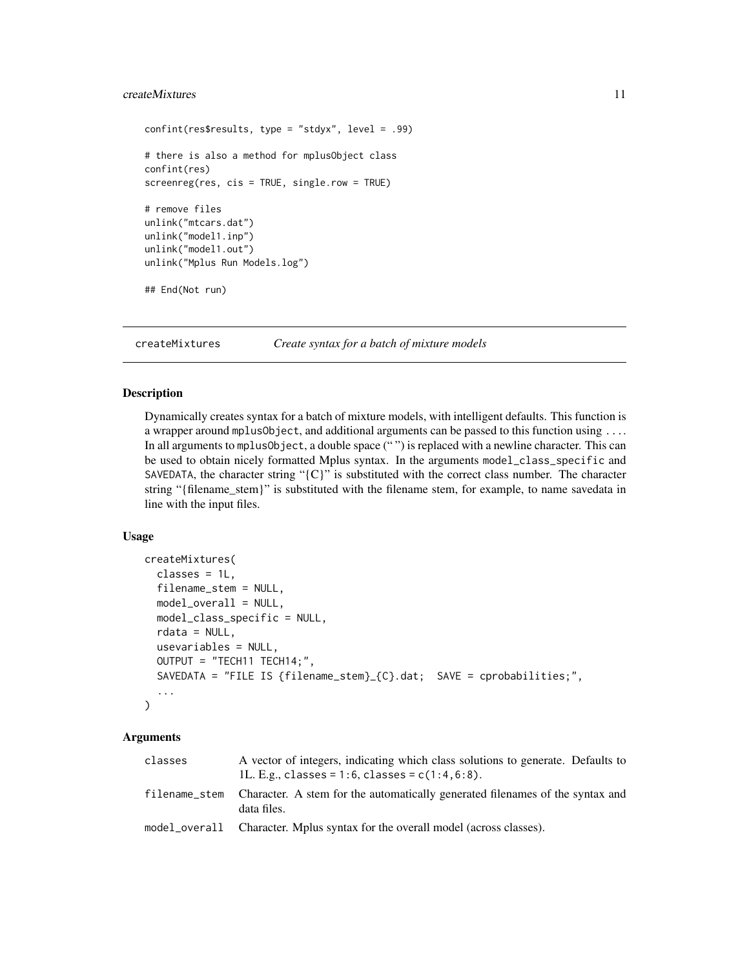# <span id="page-10-0"></span>createMixtures 11

```
confint(res$results, type = "stdyx", level = .99)
# there is also a method for mplusObject class
confint(res)
screenreg(res, cis = TRUE, single.row = TRUE)
# remove files
unlink("mtcars.dat")
unlink("model1.inp")
unlink("model1.out")
unlink("Mplus Run Models.log")
## End(Not run)
```
createMixtures *Create syntax for a batch of mixture models*

# Description

Dynamically creates syntax for a batch of mixture models, with intelligent defaults. This function is a wrapper around mplusObject, and additional arguments can be passed to this function using .... In all arguments to mplusObject, a double space ("") is replaced with a newline character. This can be used to obtain nicely formatted Mplus syntax. In the arguments model\_class\_specific and SAVEDATA, the character string " ${C}$ " is substituted with the correct class number. The character string "{filename\_stem}" is substituted with the filename stem, for example, to name savedata in line with the input files.

#### Usage

```
createMixtures(
  classes = 1L,
  filename_stem = NULL,
  model_overall = NULL,
  model_class_specific = NULL,
  rdata = NULL,usevariables = NULL,
  OUTPUT = "TECH11 TECH14;",
  SAVEDATA = "FILE IS {filename_stem}_{C}.dat; SAVE = cprobabilities;",
  ...
)
```
#### Arguments

| classes       | A vector of integers, indicating which class solutions to generate. Defaults to<br>1L. E.g., classes = 1:6, classes = $c(1:4, 6:8)$ . |
|---------------|---------------------------------------------------------------------------------------------------------------------------------------|
| filename stem | Character. A stem for the automatically generated filenames of the syntax and<br>data files.                                          |
|               | model_overall Character. Mplus syntax for the overall model (across classes).                                                         |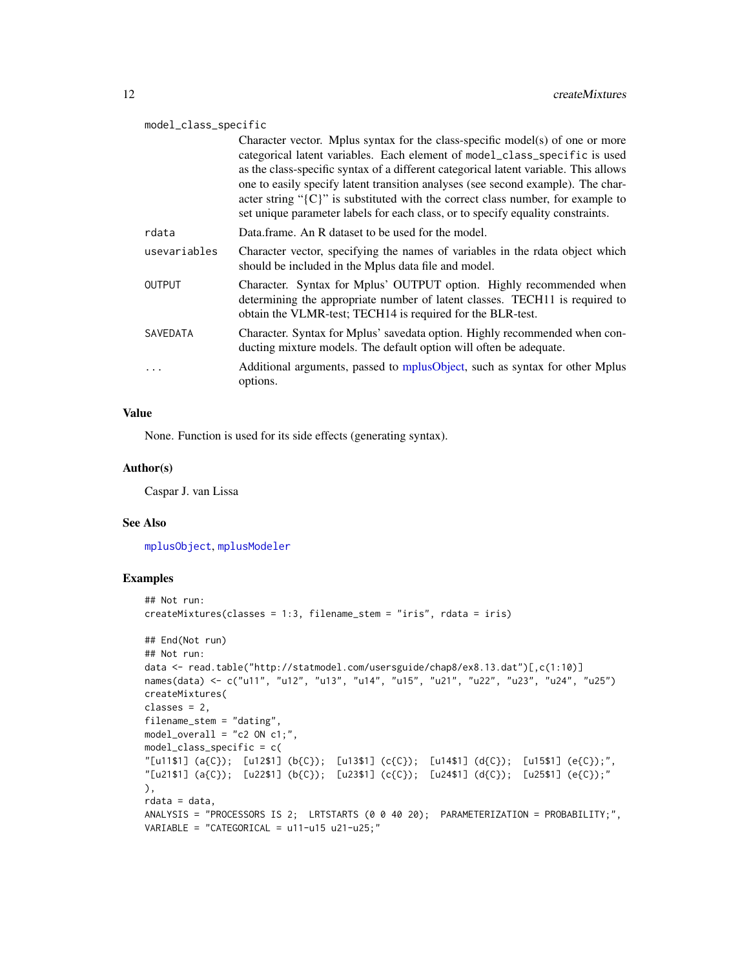#### model\_class\_specific

|              | Character vector. Mplus syntax for the class-specific model(s) of one or more<br>categorical latent variables. Each element of model_class_specific is used<br>as the class-specific syntax of a different categorical latent variable. This allows<br>one to easily specify latent transition analyses (see second example). The char-<br>acter string " $\{C\}$ " is substituted with the correct class number, for example to<br>set unique parameter labels for each class, or to specify equality constraints. |
|--------------|---------------------------------------------------------------------------------------------------------------------------------------------------------------------------------------------------------------------------------------------------------------------------------------------------------------------------------------------------------------------------------------------------------------------------------------------------------------------------------------------------------------------|
| rdata        | Data frame. An R dataset to be used for the model.                                                                                                                                                                                                                                                                                                                                                                                                                                                                  |
| usevariables | Character vector, specifying the names of variables in the rdata object which<br>should be included in the Mplus data file and model.                                                                                                                                                                                                                                                                                                                                                                               |
| OUTPUT       | Character. Syntax for Mplus' OUTPUT option. Highly recommended when<br>determining the appropriate number of latent classes. TECH11 is required to<br>obtain the VLMR-test; TECH14 is required for the BLR-test.                                                                                                                                                                                                                                                                                                    |
| SAVEDATA     | Character. Syntax for Mplus' savedata option. Highly recommended when con-<br>ducting mixture models. The default option will often be adequate.                                                                                                                                                                                                                                                                                                                                                                    |
| .            | Additional arguments, passed to mplusObject, such as syntax for other Mplus<br>options.                                                                                                                                                                                                                                                                                                                                                                                                                             |

#### Value

None. Function is used for its side effects (generating syntax).

#### Author(s)

Caspar J. van Lissa

#### See Also

[mplusObject](#page-47-1), [mplusModeler](#page-41-1)

# Examples

```
## Not run:
createMixtures(classes = 1:3, filename_stem = "iris", rdata = iris)
## End(Not run)
## Not run:
data <- read.table("http://statmodel.com/usersguide/chap8/ex8.13.dat")[,c(1:10)]
names(data) <- c("u11", "u12", "u13", "u14", "u15", "u21", "u22", "u23", "u24", "u25")
createMixtures(
classes = 2,
filename_stem = "dating",
model_overall = "c2 ON c1;",
model_class_specific = c(
"[u11$1] (a{C}); [u12$1] (b{C}); [u13$1] (c{C}); [u14$1] (d{C}); [u15$1] (e{C});",
"[u21$1] (a{C}); [u22$1] (b{C}); [u23$1] (c{C}); [u24$1] (d{C}); [u25$1] (e{C});"
),
rdata = data,
ANALYSIS = "PROCESSORS IS 2; LRTSTARTS (0 0 40 20); PARAMETERIZATION = PROBABILITY;",
VARIABLE = "CATEGORICAL = u11-u15 u21-u25;"
```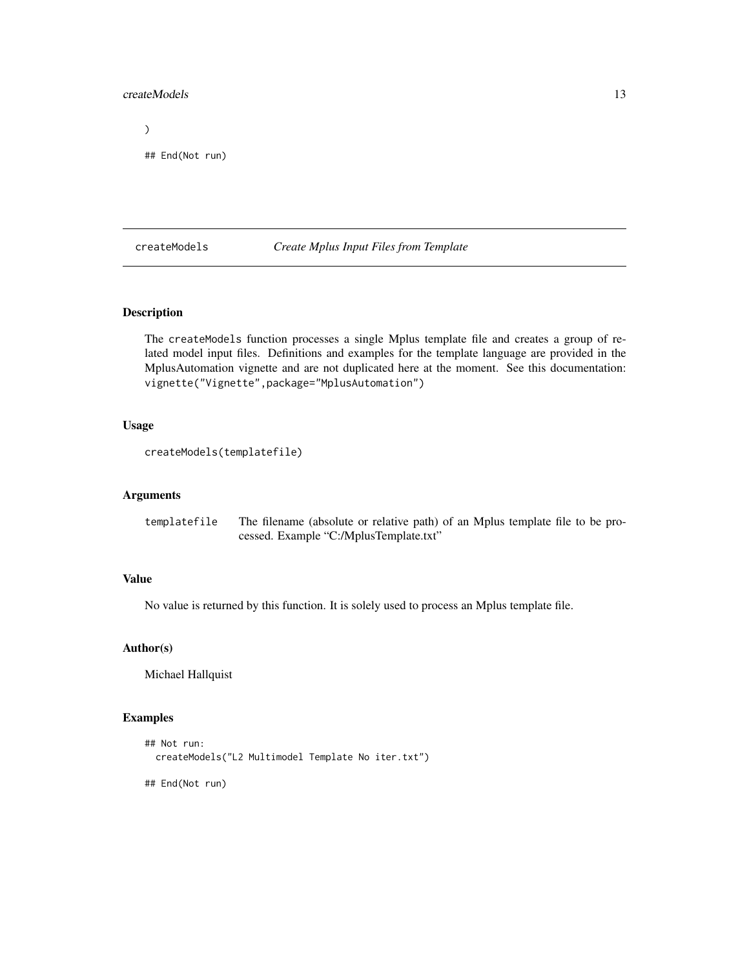#### <span id="page-12-0"></span>createModels 13

 $\mathcal{L}$ 

## End(Not run)

createModels *Create Mplus Input Files from Template*

#### Description

The createModels function processes a single Mplus template file and creates a group of related model input files. Definitions and examples for the template language are provided in the MplusAutomation vignette and are not duplicated here at the moment. See this documentation: vignette("Vignette",package="MplusAutomation")

#### Usage

```
createModels(templatefile)
```
#### Arguments

templatefile The filename (absolute or relative path) of an Mplus template file to be processed. Example "C:/MplusTemplate.txt"

# Value

No value is returned by this function. It is solely used to process an Mplus template file.

#### Author(s)

Michael Hallquist

# Examples

```
## Not run:
 createModels("L2 Multimodel Template No iter.txt")
```
## End(Not run)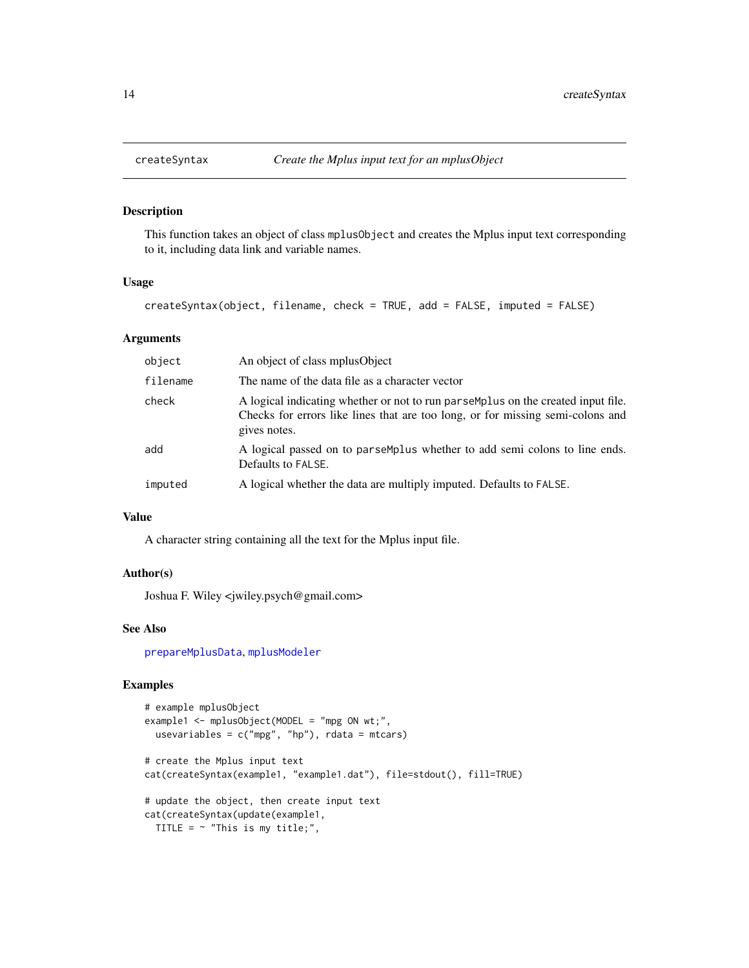<span id="page-13-0"></span>

#### Description

This function takes an object of class mplusObject and creates the Mplus input text corresponding to it, including data link and variable names.

# Usage

createSyntax(object, filename, check = TRUE, add = FALSE, imputed = FALSE)

#### **Arguments**

| object   | An object of class mplusObject                                                                                                                                                     |
|----------|------------------------------------------------------------------------------------------------------------------------------------------------------------------------------------|
| filename | The name of the data file as a character vector                                                                                                                                    |
| check    | A logical indicating whether or not to run parsemplus on the created input file.<br>Checks for errors like lines that are too long, or for missing semi-colons and<br>gives notes. |
| add      | A logical passed on to parsemplus whether to add semi colons to line ends.<br>Defaults to FALSE.                                                                                   |
| imputed  | A logical whether the data are multiply imputed. Defaults to FALSE.                                                                                                                |

# Value

A character string containing all the text for the Mplus input file.

# Author(s)

Joshua F. Wiley <jwiley.psych@gmail.com>

#### See Also

[prepareMplusData](#page-62-1), [mplusModeler](#page-41-1)

# Examples

```
# example mplusObject
example1 <- mplusObject(MODEL = "mpg ON wt;",
  usevariables = c("mpg", "hp"), rdata = mtcars)
# create the Mplus input text
cat(createSyntax(example1, "example1.dat"), file=stdout(), fill=TRUE)
# update the object, then create input text
cat(createSyntax(update(example1,
 TITLE = \sim "This is my title;",
```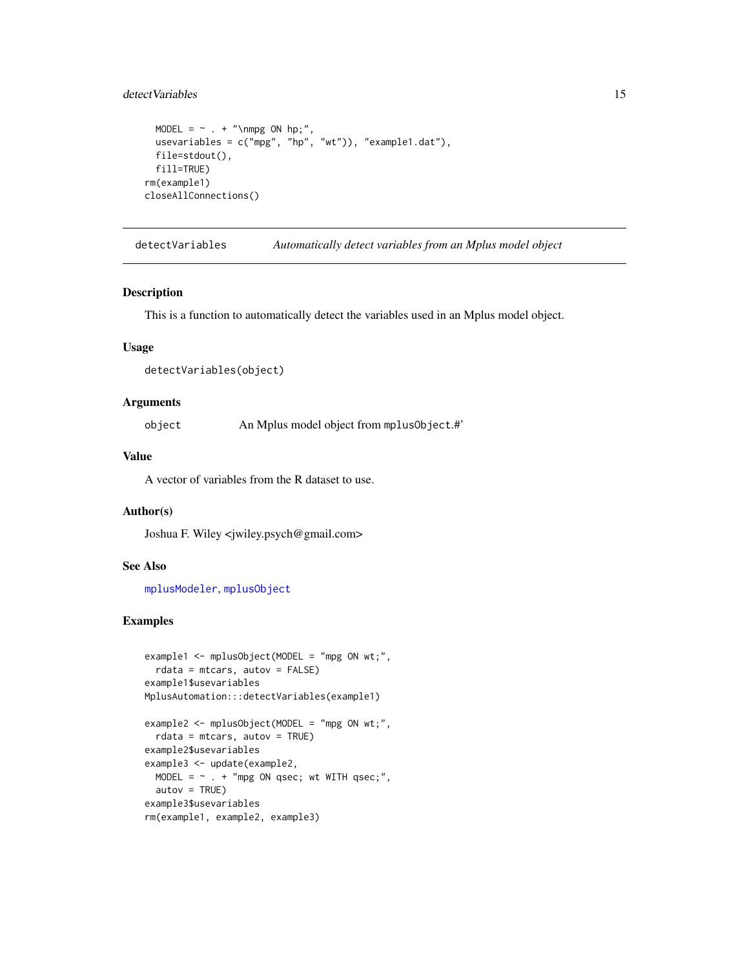# <span id="page-14-0"></span>detect Variables 15

```
MODEL = \sim . + "\nmpg ON hp;",
 usevariables = c("mpg", "hp", "wt")), "example1.dat"),
 file=stdout(),
 fill=TRUE)
rm(example1)
closeAllConnections()
```
detectVariables *Automatically detect variables from an Mplus model object*

#### Description

This is a function to automatically detect the variables used in an Mplus model object.

# Usage

detectVariables(object)

# Arguments

object An Mplus model object from mplusObject.#'

# Value

A vector of variables from the R dataset to use.

# Author(s)

Joshua F. Wiley <jwiley.psych@gmail.com>

#### See Also

[mplusModeler](#page-41-1), [mplusObject](#page-47-1)

#### Examples

```
example1 <- mplusObject(MODEL = "mpg ON wt;",
  rdata = mtcars, autov = FALSE)
example1$usevariables
MplusAutomation:::detectVariables(example1)
example2 <- mplusObject(MODEL = "mpg ON wt;",
  rdata = mtcars, autov = TRUE)example2$usevariables
example3 <- update(example2,
 MODEL = \sim . + "mpg ON qsec; wt WITH qsec;",
```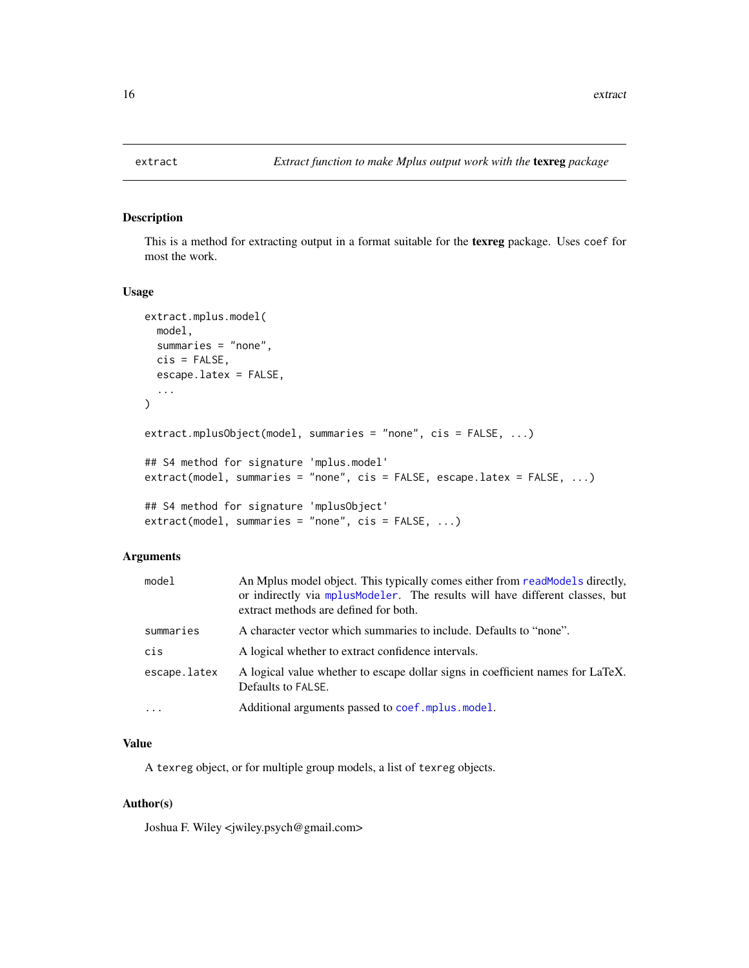<span id="page-15-1"></span><span id="page-15-0"></span>

# Description

This is a method for extracting output in a format suitable for the texreg package. Uses coef for most the work.

#### Usage

```
extract.mplus.model(
 model,
  summaries = "none",
  cis = FALSE,escape.latex = FALSE,
  ...
\mathcal{L}extract.mplusObject(model, summaries = "none", cis = FALSE, ...)
## S4 method for signature 'mplus.model'
extract(model, summaries = "none", cis = FALSE, escape.latex = FALSE, ...)
## S4 method for signature 'mplusObject'
extract(model, summaries = "none", cis = FALSE, ...)
```
# Arguments

| model        | An Mplus model object. This typically comes either from readModels directly,<br>or indirectly via mplusModeler. The results will have different classes, but<br>extract methods are defined for both. |
|--------------|-------------------------------------------------------------------------------------------------------------------------------------------------------------------------------------------------------|
| summaries    | A character vector which summaries to include. Defaults to "none".                                                                                                                                    |
| cis          | A logical whether to extract confidence intervals.                                                                                                                                                    |
| escape.latex | A logical value whether to escape dollar signs in coefficient names for LaTeX.<br>Defaults to FALSE.                                                                                                  |
| $\cdot$      | Additional arguments passed to coef.mplus.model.                                                                                                                                                      |

# Value

A texreg object, or for multiple group models, a list of texreg objects.

# Author(s)

Joshua F. Wiley <jwiley.psych@gmail.com>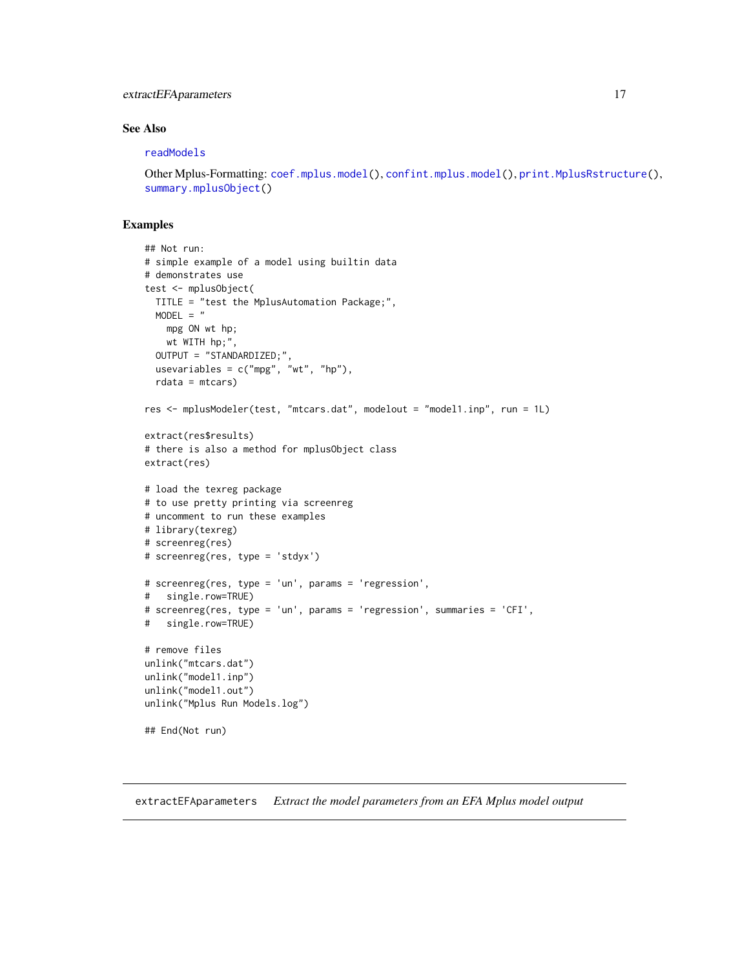# <span id="page-16-0"></span>extractEFA parameters 17

# See Also

#### [readModels](#page-67-1)

Other Mplus-Formatting: [coef.mplus.model\(](#page-4-1)), [confint.mplus.model\(](#page-8-1)), [print.MplusRstructure\(](#page-66-1)), [summary.mplusObject\(](#page-74-1))

#### Examples

```
## Not run:
# simple example of a model using builtin data
# demonstrates use
test <- mplusObject(
 TITLE = "test the MplusAutomation Package;",
  MODEL = "mpg ON wt hp;
   wt WITH hp;",
  OUTPUT = "STANDARDIZED;",
  usevariables = c("mpg", "wt", "hp"),
  rdata = mtcars)
res <- mplusModeler(test, "mtcars.dat", modelout = "model1.inp", run = 1L)
extract(res$results)
# there is also a method for mplusObject class
extract(res)
# load the texreg package
# to use pretty printing via screenreg
# uncomment to run these examples
# library(texreg)
# screenreg(res)
# screenreg(res, type = 'stdyx')
# screenreg(res, type = 'un', params = 'regression',
# single.row=TRUE)
# screenreg(res, type = 'un', params = 'regression', summaries = 'CFI',
# single.row=TRUE)
# remove files
unlink("mtcars.dat")
unlink("model1.inp")
unlink("model1.out")
unlink("Mplus Run Models.log")
## End(Not run)
```
extractEFAparameters *Extract the model parameters from an EFA Mplus model output*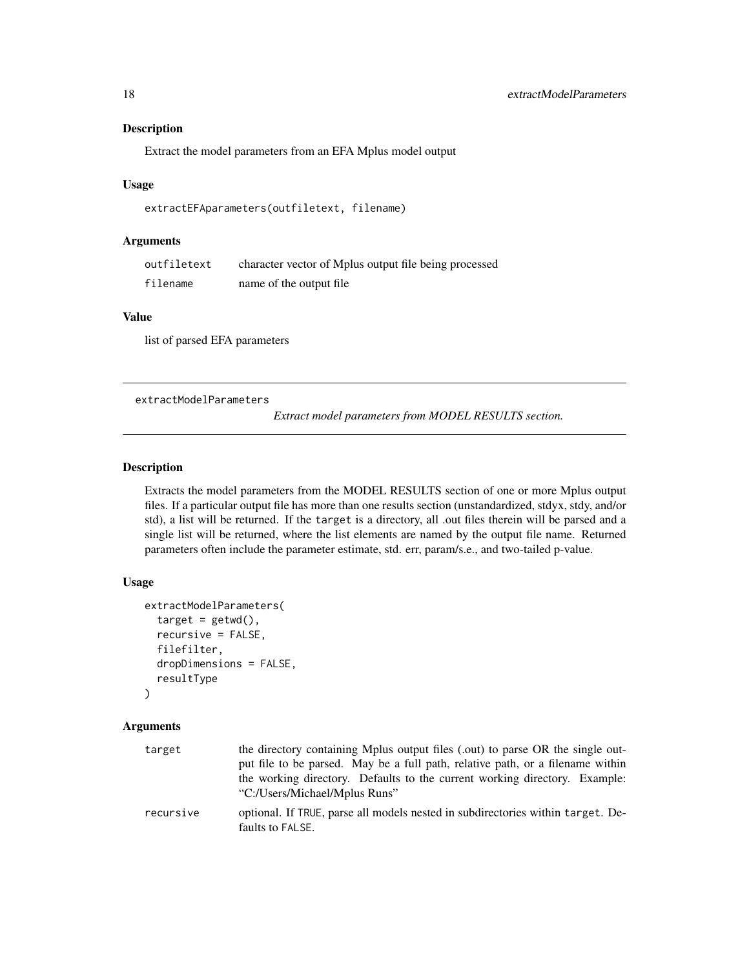#### <span id="page-17-0"></span>Description

Extract the model parameters from an EFA Mplus model output

#### Usage

```
extractEFAparameters(outfiletext, filename)
```
# Arguments

| outfiletext | character vector of Mplus output file being processed |
|-------------|-------------------------------------------------------|
| filename    | name of the output file.                              |

# Value

list of parsed EFA parameters

<span id="page-17-1"></span>extractModelParameters

*Extract model parameters from MODEL RESULTS section.*

#### Description

Extracts the model parameters from the MODEL RESULTS section of one or more Mplus output files. If a particular output file has more than one results section (unstandardized, stdyx, stdy, and/or std), a list will be returned. If the target is a directory, all .out files therein will be parsed and a single list will be returned, where the list elements are named by the output file name. Returned parameters often include the parameter estimate, std. err, param/s.e., and two-tailed p-value.

#### Usage

```
extractModelParameters(
  target = getwd(),
  recursive = FALSE,
  filefilter,
  dropDimensions = FALSE,
  resultType
)
```
# Arguments

| target    | the directory containing Mplus output files (.out) to parse OR the single out-<br>put file to be parsed. May be a full path, relative path, or a filename within<br>the working directory. Defaults to the current working directory. Example:<br>"C:/Users/Michael/Mplus Runs" |
|-----------|---------------------------------------------------------------------------------------------------------------------------------------------------------------------------------------------------------------------------------------------------------------------------------|
| recursive | optional. If TRUE, parse all models nested in subdirectories within target. De-<br>faults to FALSE.                                                                                                                                                                             |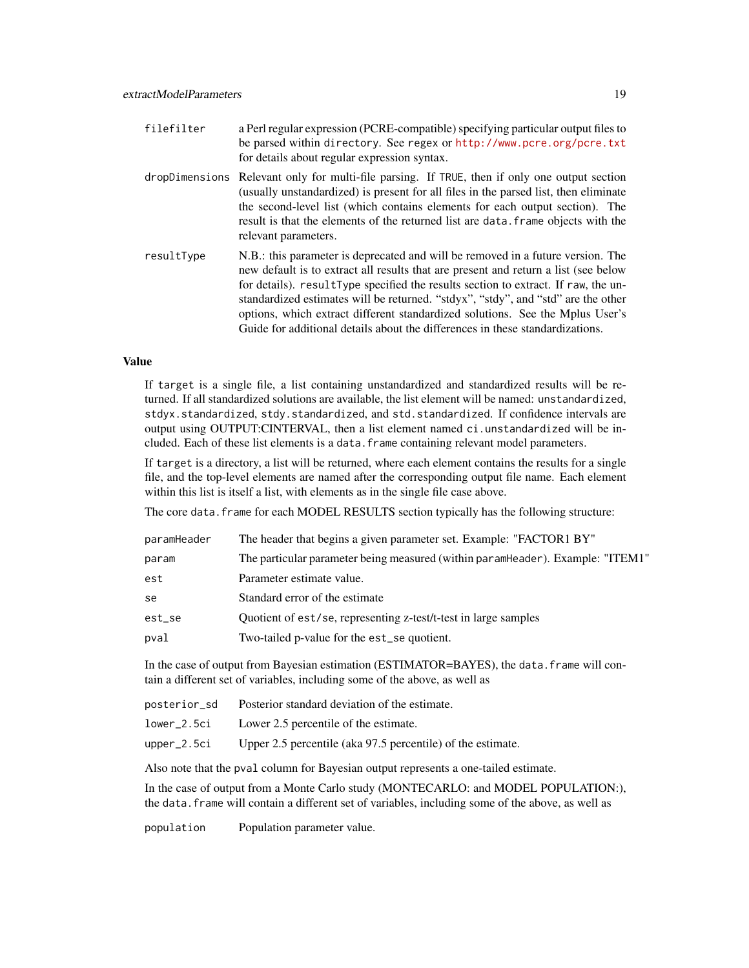| filefilter | a Perl regular expression (PCRE-compatible) specifying particular output files to<br>be parsed within directory. See regex or http://www.pcre.org/pcre.txt<br>for details about regular expression syntax.                                                                                                                                                                                                                                                                                                          |
|------------|---------------------------------------------------------------------------------------------------------------------------------------------------------------------------------------------------------------------------------------------------------------------------------------------------------------------------------------------------------------------------------------------------------------------------------------------------------------------------------------------------------------------|
|            | dropDimensions Relevant only for multi-file parsing. If TRUE, then if only one output section<br>(usually unstandardized) is present for all files in the parsed list, then eliminate<br>the second-level list (which contains elements for each output section). The<br>result is that the elements of the returned list are data. Frame objects with the<br>relevant parameters.                                                                                                                                  |
| resultType | N.B.: this parameter is deprecated and will be removed in a future version. The<br>new default is to extract all results that are present and return a list (see below<br>for details). resultType specified the results section to extract. If raw, the un-<br>standardized estimates will be returned. "stdyx", "stdy", and "std" are the other<br>options, which extract different standardized solutions. See the Mplus User's<br>Guide for additional details about the differences in these standardizations. |

#### Value

If target is a single file, a list containing unstandardized and standardized results will be returned. If all standardized solutions are available, the list element will be named: unstandardized, stdyx.standardized, stdy.standardized, and std.standardized. If confidence intervals are output using OUTPUT:CINTERVAL, then a list element named ci.unstandardized will be included. Each of these list elements is a data.frame containing relevant model parameters.

If target is a directory, a list will be returned, where each element contains the results for a single file, and the top-level elements are named after the corresponding output file name. Each element within this list is itself a list, with elements as in the single file case above.

The core data. frame for each MODEL RESULTS section typically has the following structure:

| paramHeader | The header that begins a given parameter set. Example: "FACTOR1 BY"            |
|-------------|--------------------------------------------------------------------------------|
| param       | The particular parameter being measured (within paramHeader). Example: "ITEM1" |
| est         | Parameter estimate value.                                                      |
| se          | Standard error of the estimate                                                 |
| est_se      | Quotient of est/se, representing z-test/t-test in large samples                |
| pval        | Two-tailed p-value for the est_se quotient.                                    |
|             |                                                                                |

In the case of output from Bayesian estimation (ESTIMATOR=BAYES), the data.frame will contain a different set of variables, including some of the above, as well as

| posterior_sd | Posterior standard deviation of the estimate.               |
|--------------|-------------------------------------------------------------|
| lower_2.5ci  | Lower 2.5 percentile of the estimate.                       |
| upper_2.5ci  | Upper 2.5 percentile (aka 97.5 percentile) of the estimate. |

Also note that the pval column for Bayesian output represents a one-tailed estimate.

In the case of output from a Monte Carlo study (MONTECARLO: and MODEL POPULATION:), the data.frame will contain a different set of variables, including some of the above, as well as

population Population parameter value.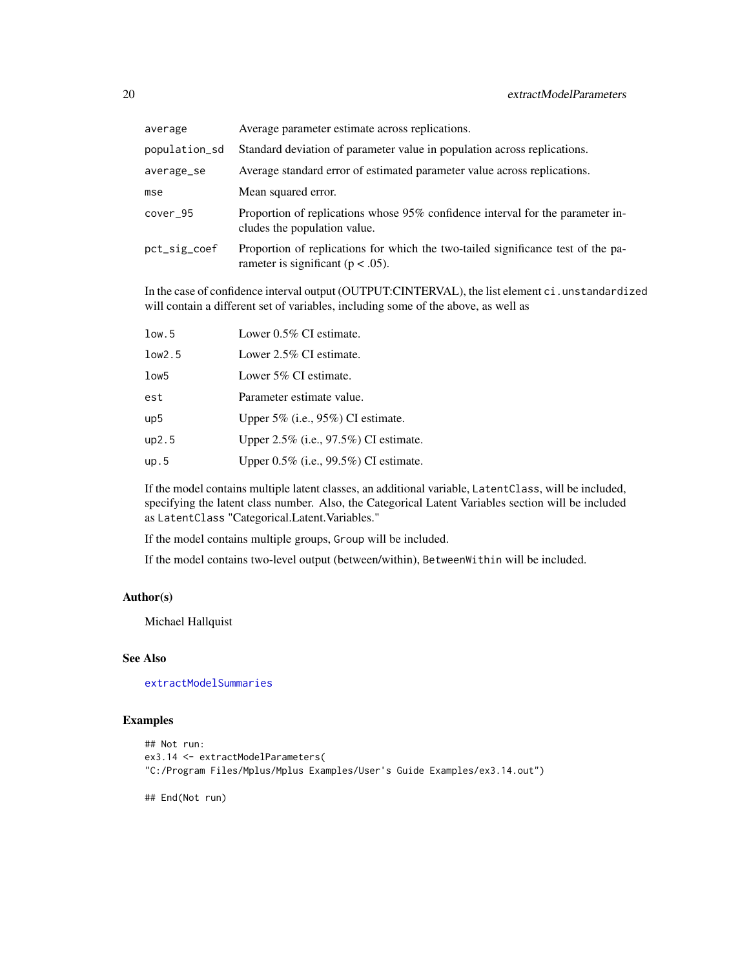| average       | Average parameter estimate across replications.                                                                           |
|---------------|---------------------------------------------------------------------------------------------------------------------------|
| population_sd | Standard deviation of parameter value in population across replications.                                                  |
| average_se    | Average standard error of estimated parameter value across replications.                                                  |
| mse           | Mean squared error.                                                                                                       |
| cover 95      | Proportion of replications whose 95% confidence interval for the parameter in-<br>cludes the population value.            |
| pct_sig_coef  | Proportion of replications for which the two-tailed significance test of the pa-<br>rameter is significant ( $p < .05$ ). |

In the case of confidence interval output (OUTPUT:CINTERVAL), the list element ci.unstandardized will contain a different set of variables, including some of the above, as well as

| low.5  | Lower $0.5\%$ CI estimate.               |
|--------|------------------------------------------|
| low2.5 | Lower 2.5% CI estimate.                  |
| low5   | Lower $5\%$ CI estimate.                 |
| est    | Parameter estimate value.                |
| up5    | Upper $5\%$ (i.e., $95\%$ ) CI estimate. |
| up2.5  | Upper 2.5% (i.e., 97.5%) CI estimate.    |
| up.5   | Upper 0.5% (i.e., 99.5%) CI estimate.    |

If the model contains multiple latent classes, an additional variable, LatentClass, will be included, specifying the latent class number. Also, the Categorical Latent Variables section will be included as LatentClass "Categorical.Latent.Variables."

If the model contains multiple groups, Group will be included.

If the model contains two-level output (between/within), BetweenWithin will be included.

# Author(s)

Michael Hallquist

# See Also

[extractModelSummaries](#page-20-1)

# Examples

```
## Not run:
ex3.14 <- extractModelParameters(
"C:/Program Files/Mplus/Mplus Examples/User's Guide Examples/ex3.14.out")
```
## End(Not run)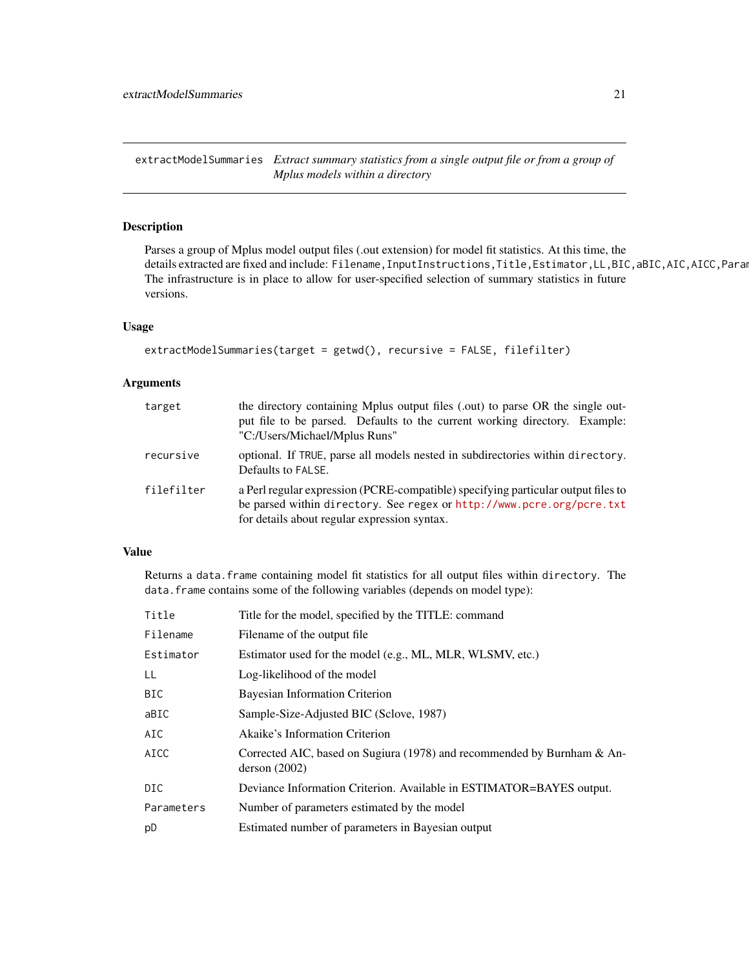<span id="page-20-1"></span><span id="page-20-0"></span>extractModelSummaries *Extract summary statistics from a single output file or from a group of Mplus models within a directory*

# Description

Parses a group of Mplus model output files (.out extension) for model fit statistics. At this time, the details extracted are fixed and include: Filename, InputInstructions, Title, Estimator, LL, BIC, aBIC, AIC, AICC, Para The infrastructure is in place to allow for user-specified selection of summary statistics in future versions.

#### Usage

```
extractModelSummaries(target = getwd(), recursive = FALSE, filefilter)
```
# Arguments

| target     | the directory containing Mplus output files (.out) to parse OR the single out-<br>put file to be parsed. Defaults to the current working directory. Example:<br>"C:/Users/Michael/Mplus Runs"              |
|------------|------------------------------------------------------------------------------------------------------------------------------------------------------------------------------------------------------------|
| recursive  | optional. If TRUE, parse all models nested in subdirectories within directory.<br>Defaults to FALSE.                                                                                                       |
| filefilter | a Perl regular expression (PCRE-compatible) specifying particular output files to<br>be parsed within directory. See regex or http://www.pcre.org/pcre.txt<br>for details about regular expression syntax. |

# Value

Returns a data. frame containing model fit statistics for all output files within directory. The data.frame contains some of the following variables (depends on model type):

| Title       | Title for the model, specified by the TITLE: command                                        |
|-------------|---------------------------------------------------------------------------------------------|
| Filename    | Filename of the output file.                                                                |
| Estimator   | Estimator used for the model (e.g., ML, MLR, WLSMV, etc.)                                   |
| LL          | Log-likelihood of the model                                                                 |
| <b>BIC</b>  | Bayesian Information Criterion                                                              |
| aBIC        | Sample-Size-Adjusted BIC (Sclove, 1987)                                                     |
| AIC         | Akaike's Information Criterion                                                              |
| <b>AICC</b> | Corrected AIC, based on Sugiura (1978) and recommended by Burnham $\&$ An-<br>derson (2002) |
| DIC.        | Deviance Information Criterion. Available in ESTIMATOR=BAYES output.                        |
| Parameters  | Number of parameters estimated by the model                                                 |
| pD          | Estimated number of parameters in Bayesian output                                           |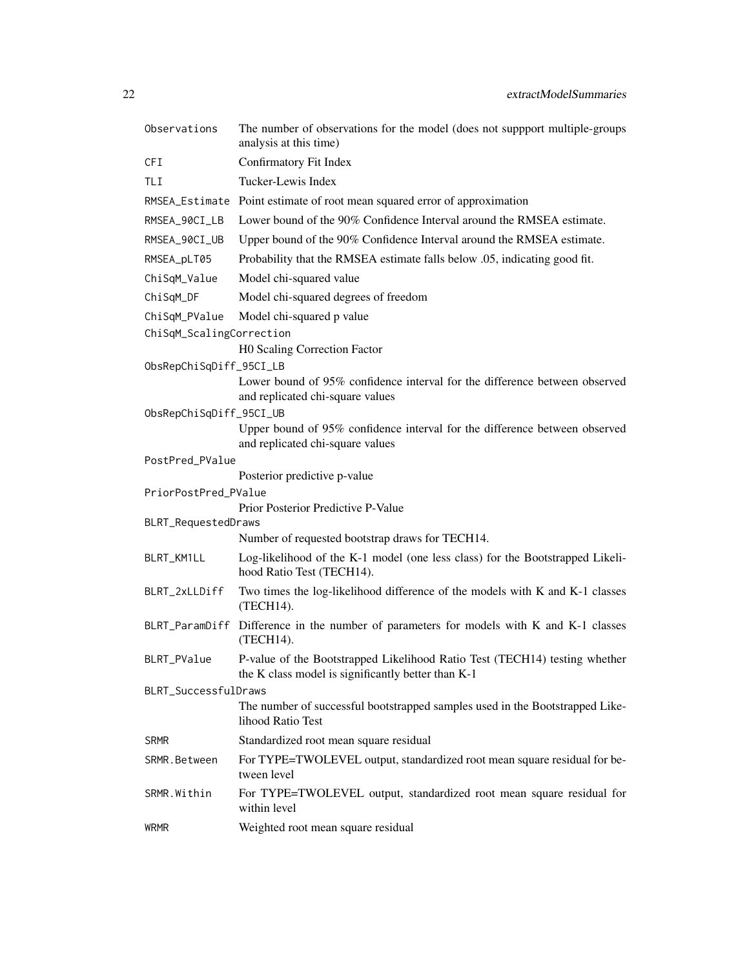| Observations             | The number of observations for the model (does not suppport multiple-groups<br>analysis at this time)                            |  |
|--------------------------|----------------------------------------------------------------------------------------------------------------------------------|--|
| <b>CFI</b>               | Confirmatory Fit Index                                                                                                           |  |
| TLI                      | Tucker-Lewis Index                                                                                                               |  |
|                          | RMSEA_Estimate Point estimate of root mean squared error of approximation                                                        |  |
| RMSEA_90CI_LB            | Lower bound of the 90% Confidence Interval around the RMSEA estimate.                                                            |  |
| RMSEA_90CI_UB            | Upper bound of the 90% Confidence Interval around the RMSEA estimate.                                                            |  |
| RMSEA_pLT05              | Probability that the RMSEA estimate falls below .05, indicating good fit.                                                        |  |
| ChiSqM_Value             | Model chi-squared value                                                                                                          |  |
| ChiSqM_DF                | Model chi-squared degrees of freedom                                                                                             |  |
| ChiSqM_PValue            | Model chi-squared p value                                                                                                        |  |
| ChiSqM_ScalingCorrection |                                                                                                                                  |  |
|                          | H0 Scaling Correction Factor                                                                                                     |  |
| ObsRepChiSqDiff_95CI_LB  | Lower bound of 95% confidence interval for the difference between observed                                                       |  |
|                          | and replicated chi-square values                                                                                                 |  |
| ObsRepChiSqDiff_95CI_UB  |                                                                                                                                  |  |
|                          | Upper bound of 95% confidence interval for the difference between observed                                                       |  |
| PostPred_PValue          | and replicated chi-square values                                                                                                 |  |
|                          | Posterior predictive p-value                                                                                                     |  |
| PriorPostPred_PValue     |                                                                                                                                  |  |
|                          | Prior Posterior Predictive P-Value                                                                                               |  |
| BLRT_RequestedDraws      |                                                                                                                                  |  |
|                          | Number of requested bootstrap draws for TECH14.                                                                                  |  |
| BLRT_KM1LL               | Log-likelihood of the K-1 model (one less class) for the Bootstrapped Likeli-<br>hood Ratio Test (TECH14).                       |  |
| BLRT_2xLLDiff            | Two times the log-likelihood difference of the models with K and K-1 classes<br>(TECH14).                                        |  |
|                          | BLRT_ParamDiff Difference in the number of parameters for models with K and K-1 classes<br>(TECH14).                             |  |
| BLRT_PValue              | P-value of the Bootstrapped Likelihood Ratio Test (TECH14) testing whether<br>the K class model is significantly better than K-1 |  |
| BLRT_SuccessfulDraws     |                                                                                                                                  |  |
|                          | The number of successful bootstrapped samples used in the Bootstrapped Like-<br>lihood Ratio Test                                |  |
| <b>SRMR</b>              | Standardized root mean square residual                                                                                           |  |
| SRMR. Between            | For TYPE=TWOLEVEL output, standardized root mean square residual for be-<br>tween level                                          |  |
| SRMR.Within              |                                                                                                                                  |  |
|                          | For TYPE=TWOLEVEL output, standardized root mean square residual for<br>within level                                             |  |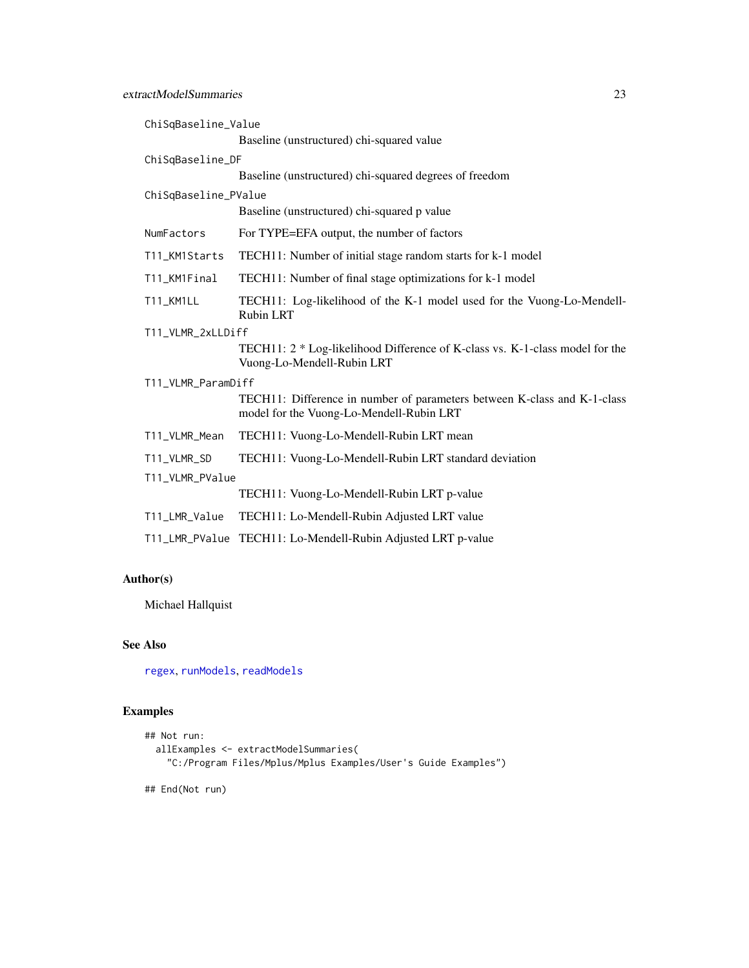| ChiSqBaseline_Value  |                                                                                                                      |  |
|----------------------|----------------------------------------------------------------------------------------------------------------------|--|
|                      | Baseline (unstructured) chi-squared value                                                                            |  |
| ChiSqBaseline_DF     |                                                                                                                      |  |
|                      | Baseline (unstructured) chi-squared degrees of freedom                                                               |  |
| ChiSqBaseline_PValue |                                                                                                                      |  |
|                      | Baseline (unstructured) chi-squared p value                                                                          |  |
| NumFactors           | For TYPE=EFA output, the number of factors                                                                           |  |
| T11_KM1Starts        | TECH11: Number of initial stage random starts for k-1 model                                                          |  |
| T11_KM1Final         | TECH11: Number of final stage optimizations for k-1 model                                                            |  |
| T11_KM1LL            | TECH11: Log-likelihood of the K-1 model used for the Vuong-Lo-Mendell-<br><b>Rubin LRT</b>                           |  |
| T11_VLMR_2xLLDiff    |                                                                                                                      |  |
|                      | TECH11: 2 * Log-likelihood Difference of K-class vs. K-1-class model for the<br>Vuong-Lo-Mendell-Rubin LRT           |  |
| T11_VLMR_ParamDiff   |                                                                                                                      |  |
|                      | TECH11: Difference in number of parameters between K-class and K-1-class<br>model for the Vuong-Lo-Mendell-Rubin LRT |  |
| T11_VLMR_Mean        | TECH11: Vuong-Lo-Mendell-Rubin LRT mean                                                                              |  |
| T11_VLMR_SD          | TECH11: Vuong-Lo-Mendell-Rubin LRT standard deviation                                                                |  |
| T11_VLMR_PValue      |                                                                                                                      |  |
|                      | TECH11: Vuong-Lo-Mendell-Rubin LRT p-value                                                                           |  |
| T11_LMR_Value        | TECH11: Lo-Mendell-Rubin Adjusted LRT value                                                                          |  |
| T11_LMR_PValue       | TECH11: Lo-Mendell-Rubin Adjusted LRT p-value                                                                        |  |

# Author(s)

Michael Hallquist

# See Also

[regex](#page-0-0), [runModels](#page-69-1), [readModels](#page-67-1)

# Examples

```
## Not run:
 allExamples <- extractModelSummaries(
    "C:/Program Files/Mplus/Mplus Examples/User's Guide Examples")
```
## End(Not run)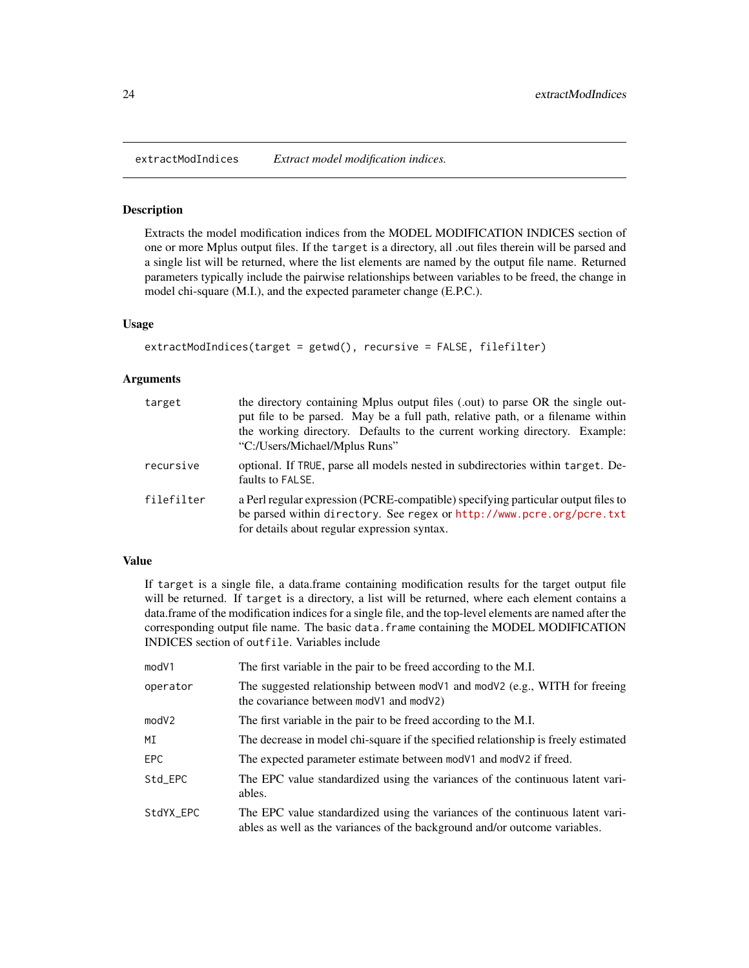<span id="page-23-0"></span>extractModIndices *Extract model modification indices.*

# Description

Extracts the model modification indices from the MODEL MODIFICATION INDICES section of one or more Mplus output files. If the target is a directory, all .out files therein will be parsed and a single list will be returned, where the list elements are named by the output file name. Returned parameters typically include the pairwise relationships between variables to be freed, the change in model chi-square (M.I.), and the expected parameter change (E.P.C.).

# Usage

```
extractModIndices(target = getwd(), recursive = FALSE, filefilter)
```
#### Arguments

| target     | the directory containing Mplus output files (.out) to parse OR the single out-<br>put file to be parsed. May be a full path, relative path, or a filename within<br>the working directory. Defaults to the current working directory. Example:<br>"C:/Users/Michael/Mplus Runs" |
|------------|---------------------------------------------------------------------------------------------------------------------------------------------------------------------------------------------------------------------------------------------------------------------------------|
| recursive  | optional. If TRUE, parse all models nested in subdirectories within target. De-<br>faults to FALSE.                                                                                                                                                                             |
| filefilter | a Perl regular expression (PCRE-compatible) specifying particular output files to<br>be parsed within directory. See regex or http://www.pcre.org/pcre.txt<br>for details about regular expression syntax.                                                                      |

#### Value

If target is a single file, a data.frame containing modification results for the target output file will be returned. If target is a directory, a list will be returned, where each element contains a data.frame of the modification indices for a single file, and the top-level elements are named after the corresponding output file name. The basic data. frame containing the MODEL MODIFICATION INDICES section of outfile. Variables include

| mod <sub>V1</sub> | The first variable in the pair to be freed according to the M.I.                                                                                            |
|-------------------|-------------------------------------------------------------------------------------------------------------------------------------------------------------|
| operator          | The suggested relationship between mod $V1$ and mod $V2$ (e.g., WITH for freeing<br>the covariance between mod V1 and mod V2)                               |
| mod <sub>V2</sub> | The first variable in the pair to be freed according to the M.I.                                                                                            |
| ΜI                | The decrease in model chi-square if the specified relationship is freely estimated                                                                          |
| <b>EPC</b>        | The expected parameter estimate between mod V1 and mod V2 if freed.                                                                                         |
| Std_EPC           | The EPC value standardized using the variances of the continuous latent vari-<br>ables.                                                                     |
| StdYX_EPC         | The EPC value standardized using the variances of the continuous latent vari-<br>ables as well as the variances of the background and/or outcome variables. |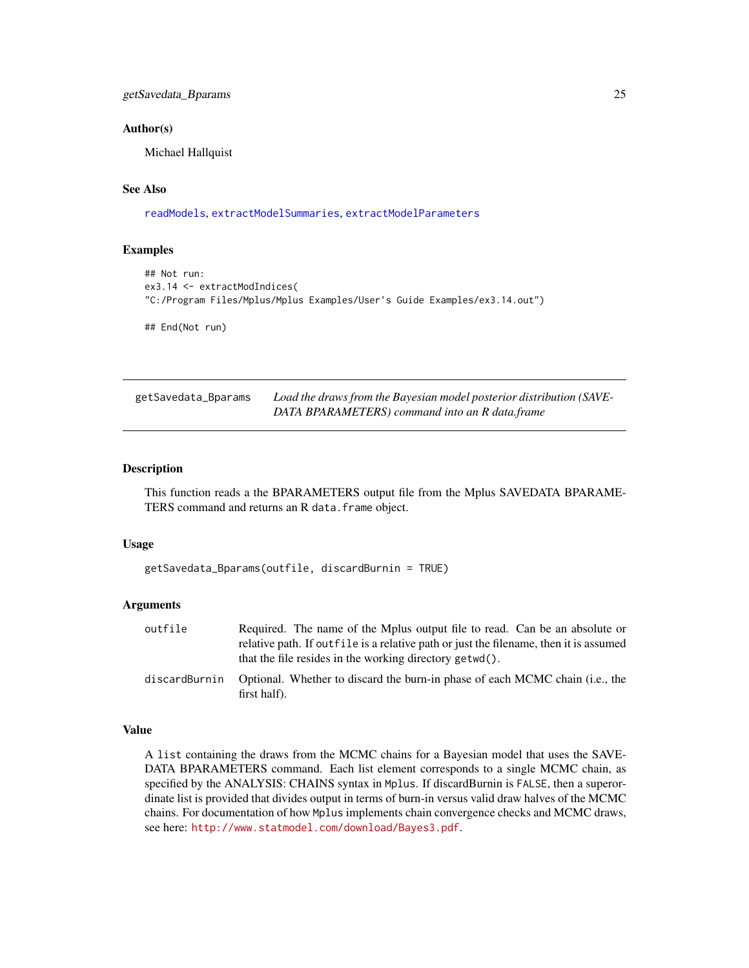# <span id="page-24-0"></span>getSavedata\_Bparams 25

#### Author(s)

Michael Hallquist

# See Also

[readModels](#page-67-1), [extractModelSummaries](#page-20-1), [extractModelParameters](#page-17-1)

# Examples

```
## Not run:
ex3.14 <- extractModIndices(
"C:/Program Files/Mplus/Mplus Examples/User's Guide Examples/ex3.14.out")
```
## End(Not run)

| getSavedata_Bparams | Load the draws from the Bayesian model posterior distribution (SAVE- |
|---------------------|----------------------------------------------------------------------|
|                     | DATA BPARAMETERS) command into an R data.frame                       |

# Description

This function reads a the BPARAMETERS output file from the Mplus SAVEDATA BPARAME-TERS command and returns an R data.frame object.

### Usage

```
getSavedata_Bparams(outfile, discardBurnin = TRUE)
```
# Arguments

| outfile       | Required. The name of the Mplus output file to read. Can be an absolute or                   |
|---------------|----------------------------------------------------------------------------------------------|
|               | relative path. If outfile is a relative path or just the filename, then it is assumed        |
|               | that the file resides in the working directory getwd().                                      |
| discardBurnin | Optional. Whether to discard the burn-in phase of each MCMC chain (i.e., the<br>first half). |

# Value

A list containing the draws from the MCMC chains for a Bayesian model that uses the SAVE-DATA BPARAMETERS command. Each list element corresponds to a single MCMC chain, as specified by the ANALYSIS: CHAINS syntax in Mplus. If discardBurnin is FALSE, then a superordinate list is provided that divides output in terms of burn-in versus valid draw halves of the MCMC chains. For documentation of how Mplus implements chain convergence checks and MCMC draws, see here: <http://www.statmodel.com/download/Bayes3.pdf>.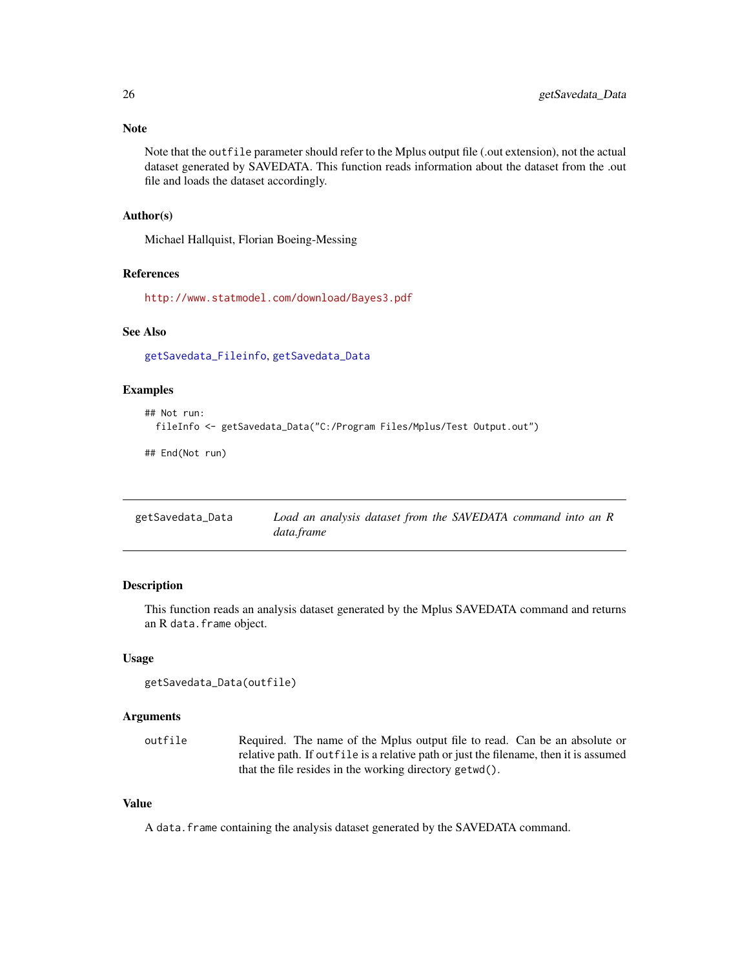<span id="page-25-0"></span>Note that the outfile parameter should refer to the Mplus output file (.out extension), not the actual dataset generated by SAVEDATA. This function reads information about the dataset from the .out file and loads the dataset accordingly.

#### Author(s)

Michael Hallquist, Florian Boeing-Messing

#### References

<http://www.statmodel.com/download/Bayes3.pdf>

#### See Also

[getSavedata\\_Fileinfo](#page-26-1), [getSavedata\\_Data](#page-25-1)

# Examples

```
## Not run:
 fileInfo <- getSavedata_Data("C:/Program Files/Mplus/Test Output.out")
```
## End(Not run)

<span id="page-25-1"></span>

| getSavedata_Data | Load an analysis dataset from the SAVEDATA command into an R |
|------------------|--------------------------------------------------------------|
|                  | data.frame                                                   |

# Description

This function reads an analysis dataset generated by the Mplus SAVEDATA command and returns an R data.frame object.

#### Usage

```
getSavedata_Data(outfile)
```
# Arguments

outfile Required. The name of the Mplus output file to read. Can be an absolute or relative path. If outfile is a relative path or just the filename, then it is assumed that the file resides in the working directory getwd().

#### Value

A data.frame containing the analysis dataset generated by the SAVEDATA command.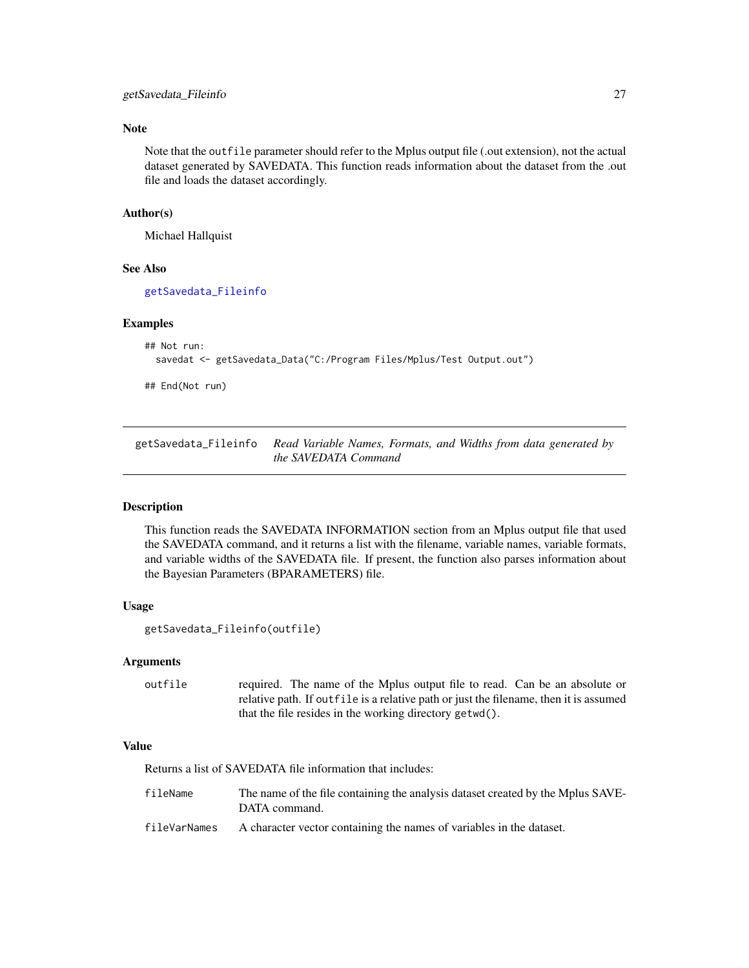# <span id="page-26-0"></span>Note

Note that the outfile parameter should refer to the Mplus output file (.out extension), not the actual dataset generated by SAVEDATA. This function reads information about the dataset from the .out file and loads the dataset accordingly.

#### Author(s)

Michael Hallquist

# See Also

[getSavedata\\_Fileinfo](#page-26-1)

#### Examples

```
## Not run:
 savedat <- getSavedata_Data("C:/Program Files/Mplus/Test Output.out")
```
## End(Not run)

<span id="page-26-1"></span>getSavedata\_Fileinfo *Read Variable Names, Formats, and Widths from data generated by the SAVEDATA Command*

#### Description

This function reads the SAVEDATA INFORMATION section from an Mplus output file that used the SAVEDATA command, and it returns a list with the filename, variable names, variable formats, and variable widths of the SAVEDATA file. If present, the function also parses information about the Bayesian Parameters (BPARAMETERS) file.

#### Usage

```
getSavedata_Fileinfo(outfile)
```
#### Arguments

outfile required. The name of the Mplus output file to read. Can be an absolute or relative path. If outfile is a relative path or just the filename, then it is assumed that the file resides in the working directory getwd().

# Value

Returns a list of SAVEDATA file information that includes:

| fileName     | The name of the file containing the analysis dataset created by the Mplus SAVE-<br>DATA command. |
|--------------|--------------------------------------------------------------------------------------------------|
| fileVarNames | A character vector containing the names of variables in the dataset.                             |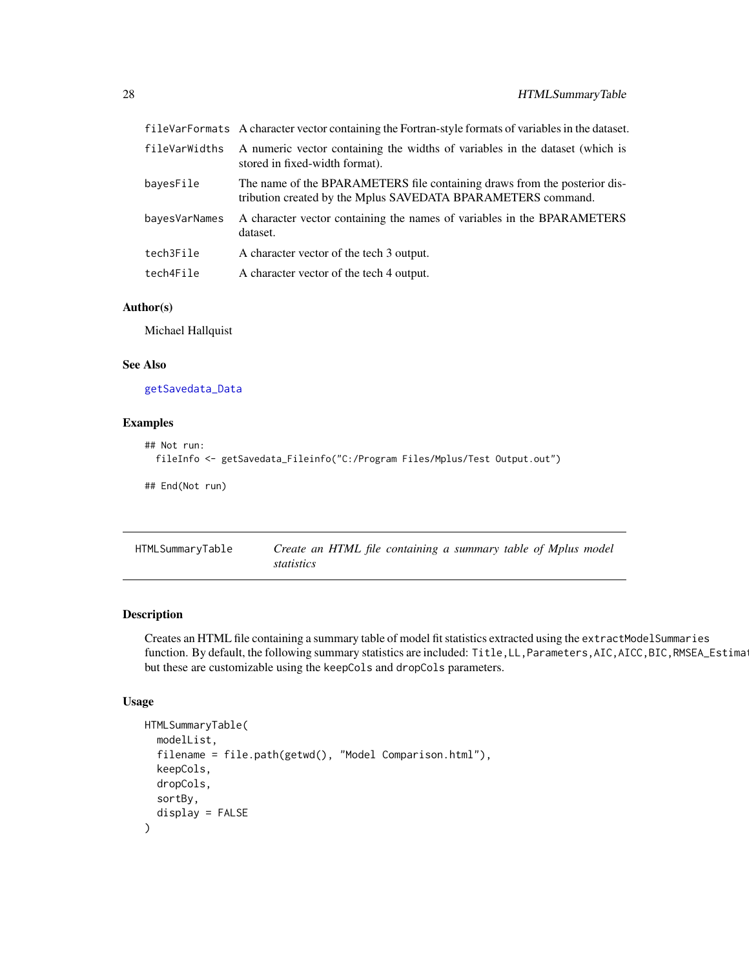<span id="page-27-0"></span>

|               | fileVarFormats A character vector containing the Fortran-style formats of variables in the dataset.                                       |
|---------------|-------------------------------------------------------------------------------------------------------------------------------------------|
| fileVarWidths | A numeric vector containing the widths of variables in the dataset (which is<br>stored in fixed-width format).                            |
| bayesFile     | The name of the BPARAMETERS file containing draws from the posterior dis-<br>tribution created by the Mplus SAVEDATA BPARAMETERS command. |
| bayesVarNames | A character vector containing the names of variables in the BPARAMETERS<br>dataset.                                                       |
| tech3File     | A character vector of the tech 3 output.                                                                                                  |
| tech4File     | A character vector of the tech 4 output.                                                                                                  |
|               |                                                                                                                                           |

# Author(s)

Michael Hallquist

#### See Also

[getSavedata\\_Data](#page-25-1)

# Examples

```
## Not run:
 fileInfo <- getSavedata_Fileinfo("C:/Program Files/Mplus/Test Output.out")
## End(Not run)
```
<span id="page-27-1"></span>

| HTMLSummaryTable | Create an HTML file containing a summary table of Mplus model |
|------------------|---------------------------------------------------------------|
|                  | statistics                                                    |

# Description

Creates an HTML file containing a summary table of model fit statistics extracted using the extractModelSummaries function. By default, the following summary statistics are included: Title,LL,Parameters,AIC,AICC,BIC,RMSEA\_Estimate but these are customizable using the keepCols and dropCols parameters.

# Usage

```
HTMLSummaryTable(
  modelList,
  filename = file.path(getwd(), "Model Comparison.html"),
 keepCols,
  dropCols,
  sortBy,
  display = FALSE
)
```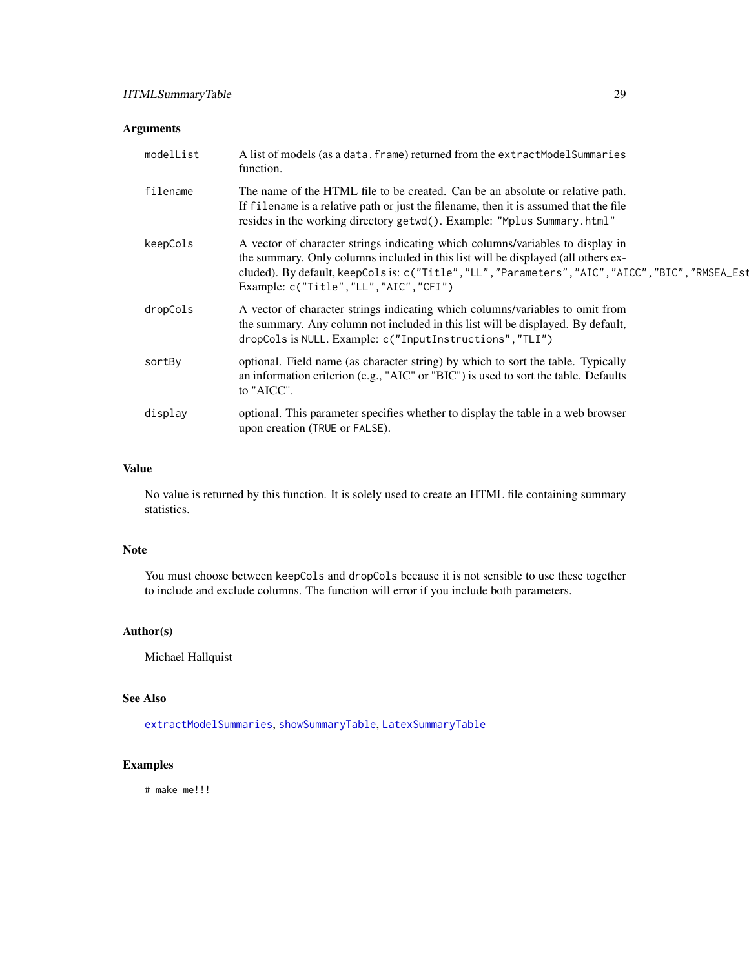# Arguments

| modelList | A list of models (as a data. frame) returned from the extractModelSummaries<br>function.                                                                                                                                                                                                                           |
|-----------|--------------------------------------------------------------------------------------------------------------------------------------------------------------------------------------------------------------------------------------------------------------------------------------------------------------------|
| filename  | The name of the HTML file to be created. Can be an absolute or relative path.<br>If filename is a relative path or just the filename, then it is assumed that the file<br>resides in the working directory getwd(). Example: "Mplus Summary.html"                                                                  |
| keepCols  | A vector of character strings indicating which columns/variables to display in<br>the summary. Only columns included in this list will be displayed (all others ex-<br>cluded). By default, keepCols is: c("Title","LL", "Parameters", "AIC", "AICC", "BIC", "RMSEA_Est<br>Example: c("Title", "LL", "AIC", "CFI") |
| dropCols  | A vector of character strings indicating which columns/variables to omit from<br>the summary. Any column not included in this list will be displayed. By default,<br>dropCols is NULL. Example: c("InputInstructions", "TLI")                                                                                      |
| sortBy    | optional. Field name (as character string) by which to sort the table. Typically<br>an information criterion (e.g., "AIC" or "BIC") is used to sort the table. Defaults<br>to "AICC".                                                                                                                              |
| display   | optional. This parameter specifies whether to display the table in a web browser<br>upon creation (TRUE or FALSE).                                                                                                                                                                                                 |

## Value

No value is returned by this function. It is solely used to create an HTML file containing summary statistics.

# Note

You must choose between keepCols and dropCols because it is not sensible to use these together to include and exclude columns. The function will error if you include both parameters.

# Author(s)

Michael Hallquist

# See Also

[extractModelSummaries](#page-20-1), [showSummaryTable](#page-73-1), [LatexSummaryTable](#page-29-1)

# Examples

# make me!!!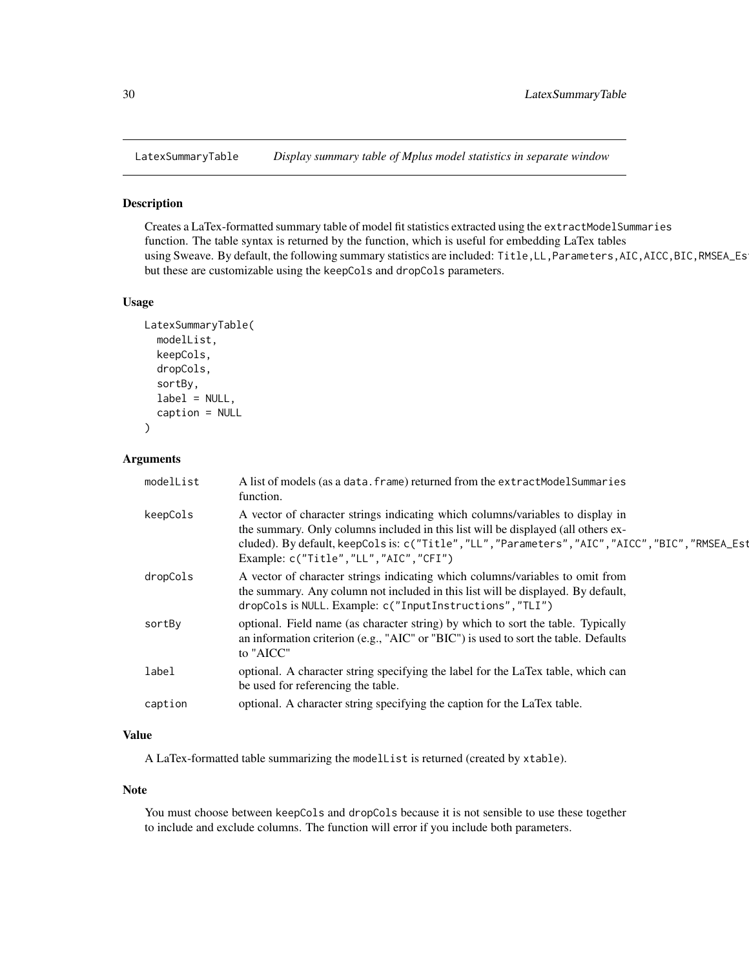<span id="page-29-1"></span><span id="page-29-0"></span>

#### Description

Creates a LaTex-formatted summary table of model fit statistics extracted using the extractModelSummaries function. The table syntax is returned by the function, which is useful for embedding LaTex tables using Sweave. By default, the following summary statistics are included: Title,LL,Parameters,AIC,AICC,BIC,RMSEA\_Es but these are customizable using the keepCols and dropCols parameters.

#### Usage

```
LatexSummaryTable(
  modelList,
  keepCols,
  dropCols,
  sortBy,
  label = NULL,caption = NULL
)
```
#### Arguments

| modelList | A list of models (as a data. frame) returned from the extractModelSummaries<br>function.                                                                                                                                                                                                                              |
|-----------|-----------------------------------------------------------------------------------------------------------------------------------------------------------------------------------------------------------------------------------------------------------------------------------------------------------------------|
| keepCols  | A vector of character strings indicating which columns/variables to display in<br>the summary. Only columns included in this list will be displayed (all others ex-<br>cluded). By default, keepCols is: c("Title", "LL", "Parameters", "AIC", "AICC", "BIC", "RMSEA_Est<br>Example: $c("Title", "LL", "AIC", "CFI")$ |
| dropCols  | A vector of character strings indicating which columns/variables to omit from<br>the summary. Any column not included in this list will be displayed. By default,<br>dropCols is NULL. Example: c("InputInstructions","TLI")                                                                                          |
| sortBy    | optional. Field name (as character string) by which to sort the table. Typically<br>an information criterion (e.g., "AIC" or "BIC") is used to sort the table. Defaults<br>to "AICC"                                                                                                                                  |
| label     | optional. A character string specifying the label for the LaTex table, which can<br>be used for referencing the table.                                                                                                                                                                                                |
| caption   | optional. A character string specifying the caption for the LaTex table.                                                                                                                                                                                                                                              |

#### Value

A LaTex-formatted table summarizing the modelList is returned (created by xtable).

#### Note

You must choose between keepCols and dropCols because it is not sensible to use these together to include and exclude columns. The function will error if you include both parameters.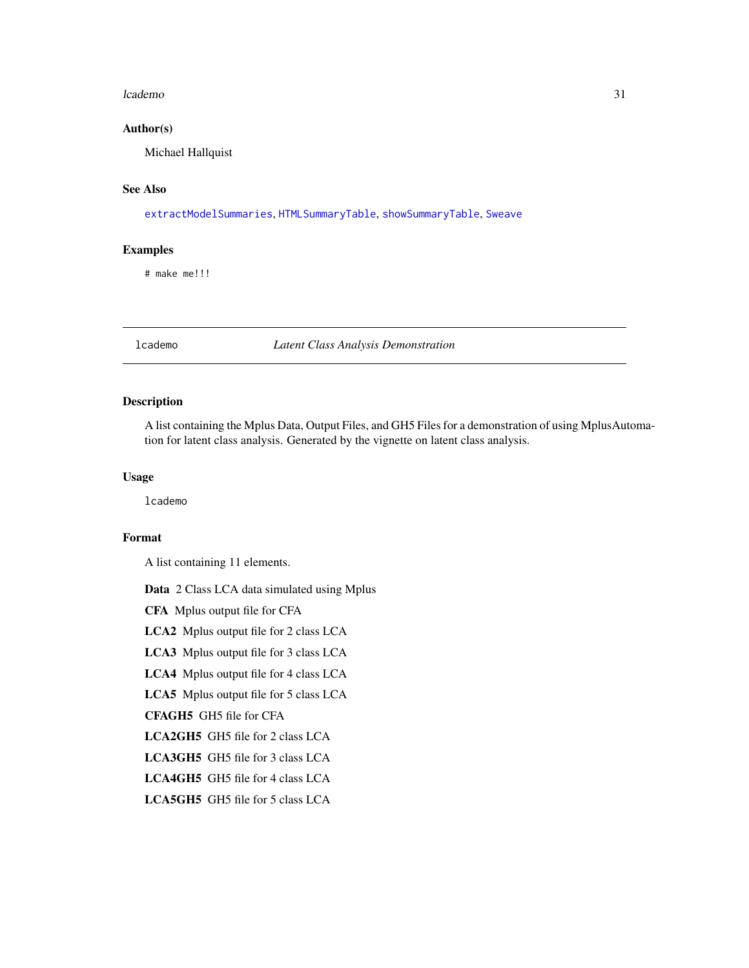#### <span id="page-30-0"></span>lcademo 31

#### Author(s)

Michael Hallquist

# See Also

[extractModelSummaries](#page-20-1), [HTMLSummaryTable](#page-27-1), [showSummaryTable](#page-73-1), [Sweave](#page-0-0)

# Examples

# make me!!!

lcademo *Latent Class Analysis Demonstration*

# Description

A list containing the Mplus Data, Output Files, and GH5 Files for a demonstration of using MplusAutomation for latent class analysis. Generated by the vignette on latent class analysis.

# Usage

lcademo

# Format

A list containing 11 elements.

Data 2 Class LCA data simulated using Mplus

CFA Mplus output file for CFA

LCA2 Mplus output file for 2 class LCA

LCA3 Mplus output file for 3 class LCA

LCA4 Mplus output file for 4 class LCA

LCA5 Mplus output file for 5 class LCA

CFAGH5 GH5 file for CFA

LCA2GH5 GH5 file for 2 class LCA

- LCA3GH5 GH5 file for 3 class LCA
- LCA4GH5 GH5 file for 4 class LCA
- LCA5GH5 GH5 file for 5 class LCA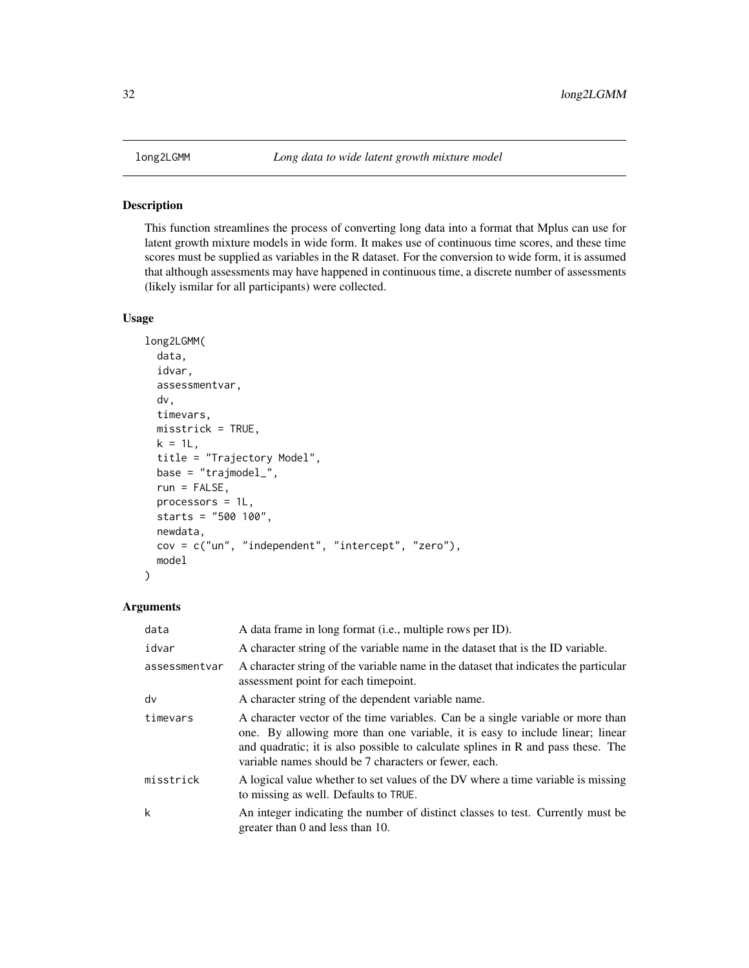<span id="page-31-0"></span>

#### Description

This function streamlines the process of converting long data into a format that Mplus can use for latent growth mixture models in wide form. It makes use of continuous time scores, and these time scores must be supplied as variables in the R dataset. For the conversion to wide form, it is assumed that although assessments may have happened in continuous time, a discrete number of assessments (likely ismilar for all participants) were collected.

# Usage

```
long2LGMM(
  data,
  idvar,
  assessmentvar,
  dv,
  timevars,
 misstrick = TRUE,
 k = 1L,
  title = "Trajectory Model",
 base = "trajmodel_",
  run = FALSE,processors = 1L,
  starts = "500 100",
 newdata,
 cov = c("un", "independent", "intercept", "zero"),
 model
)
```
# Arguments

| data          | A data frame in long format (i.e., multiple rows per ID).                                                                                                                                                                                                                                                     |
|---------------|---------------------------------------------------------------------------------------------------------------------------------------------------------------------------------------------------------------------------------------------------------------------------------------------------------------|
| idvar         | A character string of the variable name in the dataset that is the ID variable.                                                                                                                                                                                                                               |
| assessmentvar | A character string of the variable name in the dataset that indicates the particular<br>assessment point for each timepoint.                                                                                                                                                                                  |
| dv            | A character string of the dependent variable name.                                                                                                                                                                                                                                                            |
| timevars      | A character vector of the time variables. Can be a single variable or more than<br>one. By allowing more than one variable, it is easy to include linear; linear<br>and quadratic; it is also possible to calculate splines in R and pass these. The<br>variable names should be 7 characters or fewer, each. |
| misstrick     | A logical value whether to set values of the DV where a time variable is missing<br>to missing as well. Defaults to TRUE.                                                                                                                                                                                     |
| k             | An integer indicating the number of distinct classes to test. Currently must be<br>greater than 0 and less than 10.                                                                                                                                                                                           |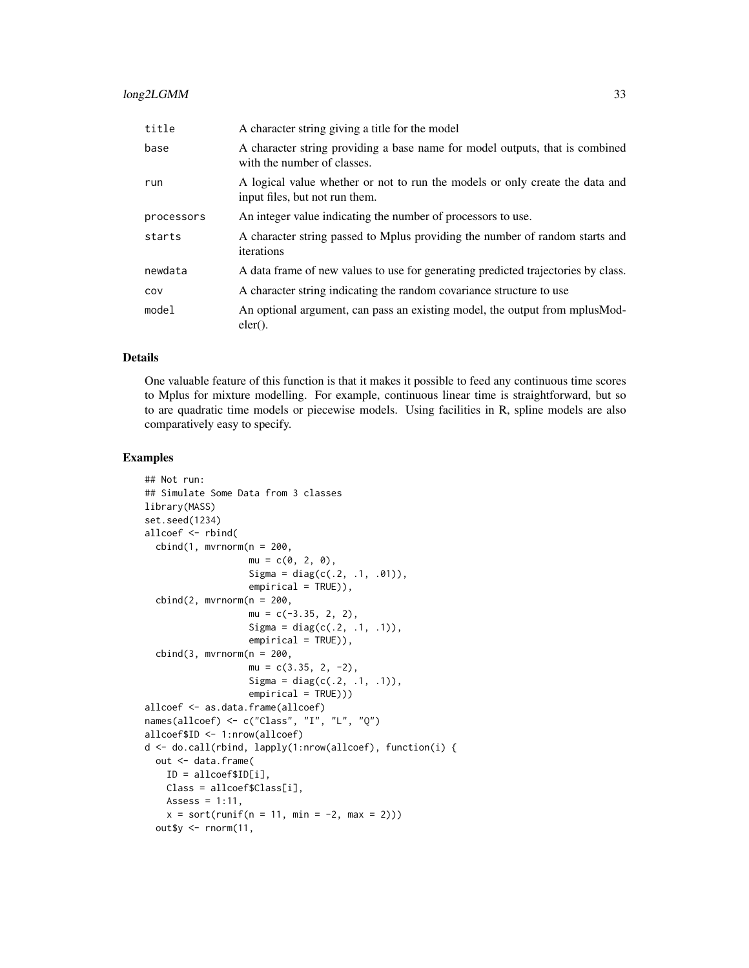# long2LGMM 33

| title      | A character string giving a title for the model                                                                |
|------------|----------------------------------------------------------------------------------------------------------------|
| base       | A character string providing a base name for model outputs, that is combined<br>with the number of classes.    |
| run        | A logical value whether or not to run the models or only create the data and<br>input files, but not run them. |
| processors | An integer value indicating the number of processors to use.                                                   |
| starts     | A character string passed to Mplus providing the number of random starts and<br>iterations                     |
| newdata    | A data frame of new values to use for generating predicted trajectories by class.                              |
| COV        | A character string indicating the random covariance structure to use                                           |
| model      | An optional argument, can pass an existing model, the output from mplus Mod-<br>$eler()$ .                     |

# Details

One valuable feature of this function is that it makes it possible to feed any continuous time scores to Mplus for mixture modelling. For example, continuous linear time is straightforward, but so to are quadratic time models or piecewise models. Using facilities in R, spline models are also comparatively easy to specify.

#### Examples

```
## Not run:
## Simulate Some Data from 3 classes
library(MASS)
set.seed(1234)
allcoef <- rbind(
  cbind(1, mvrnorm(n = 200,mu = c(0, 2, 0),Sigma = diag(c(.2, .1, .01)),empirical = TRUE)),
  cbind(2, mvrnorm(n = 200,mu = c(-3.35, 2, 2),
                   Sigma = diag(c(.2, .1, .1)),empirical = TRUE)),
  cbind(3, mvrnorm(n = 200,mu = c(3.35, 2, -2),
                   Sigma = diag(c(.2, .1, .1)),
                   empirical = TRUE))allcoef <- as.data.frame(allcoef)
names(allcoef) <- c("Class", "I", "L", "Q")
allcoef$ID <- 1:nrow(allcoef)
d <- do.call(rbind, lapply(1:nrow(allcoef), function(i) {
  out <- data.frame(
   ID = allcoef$ID[i],
   Class = allcoef$Class[i],
   Assess = 1:11,
   x = sort(runif(n = 11, min = -2, max = 2)))out$y <- rnorm(11,
```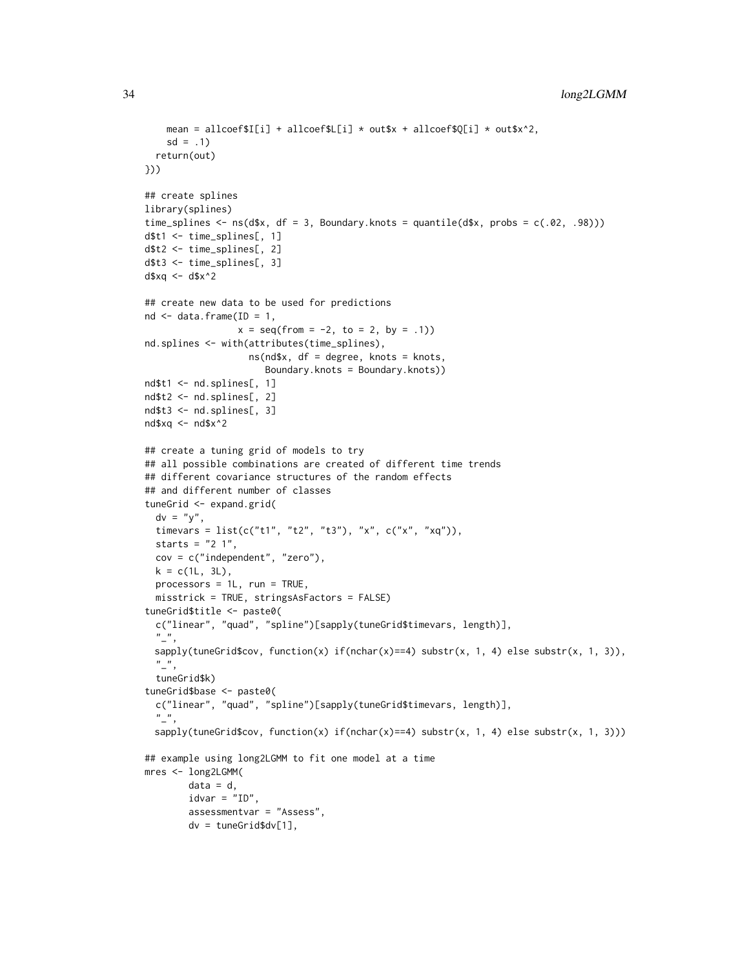```
mean = allcoef$I[i] + allcoef$L[i] * out$x + allcoef$Q[i] * out$x^2,
    sd = .1return(out)
}))
## create splines
library(splines)
time_splines \leq ns(d$x, df = 3, Boundary.knots = quantile(d$x, probs = c(.02, .98)))
d$t1 <- time_splines[, 1]
d$t2 <- time_splines[, 2]
d$t3 <- time_splines[, 3]
d$xq <- d$x^2
## create new data to be used for predictions
nd \leq data.frame(ID = 1,
                 x = seq(from = -2, to = 2, by = .1)nd.splines <- with(attributes(time_splines),
                   ns(nd$x, df = degree, knots = knots,
                      Boundary.knots = Boundary.knots))
nd$t1 <- nd.splines[, 1]
nd$t2 <- nd.splines[, 2]
nd$t3 <- nd.splines[, 3]
nd$xq <- nd$x^2
## create a tuning grid of models to try
## all possible combinations are created of different time trends
## different covariance structures of the random effects
## and different number of classes
tuneGrid <- expand.grid(
  dv = "y",
  timevars = list(c("t1", "t2", "t3"), "x", c("x", "xq")),
  starts = "2 1",cov = c("independent", "zero"),
  k = c(1L, 3L),
  processors = 1L, run = TRUE,
  misstrick = TRUE, stringsAsFactors = FALSE)
tuneGrid$title <- paste0(
  c("linear", "quad", "spline")[sapply(tuneGrid$timevars, length)],
  \binom{n}{r}sapply(tuneGrid$cov, function(x) if(nchar(x)==4) substr(x, 1, 4) else substr(x, 1, 3)),
  \frac{n}{2},
  tuneGrid$k)
tuneGrid$base <- paste0(
  c("linear", "quad", "spline")[sapply(tuneGrid$timevars, length)],
  \frac{n}{2},
 sapply(tuneGrid$cov, function(x) if(nchar(x)==4) substr(x, 1, 4) else substr(x, 1, 3)))
## example using long2LGMM to fit one model at a time
mres <- long2LGMM(
        data = d,
        idvar = "ID",assessmentvar = "Assess",
        dv = tuneGrid$dv[1],
```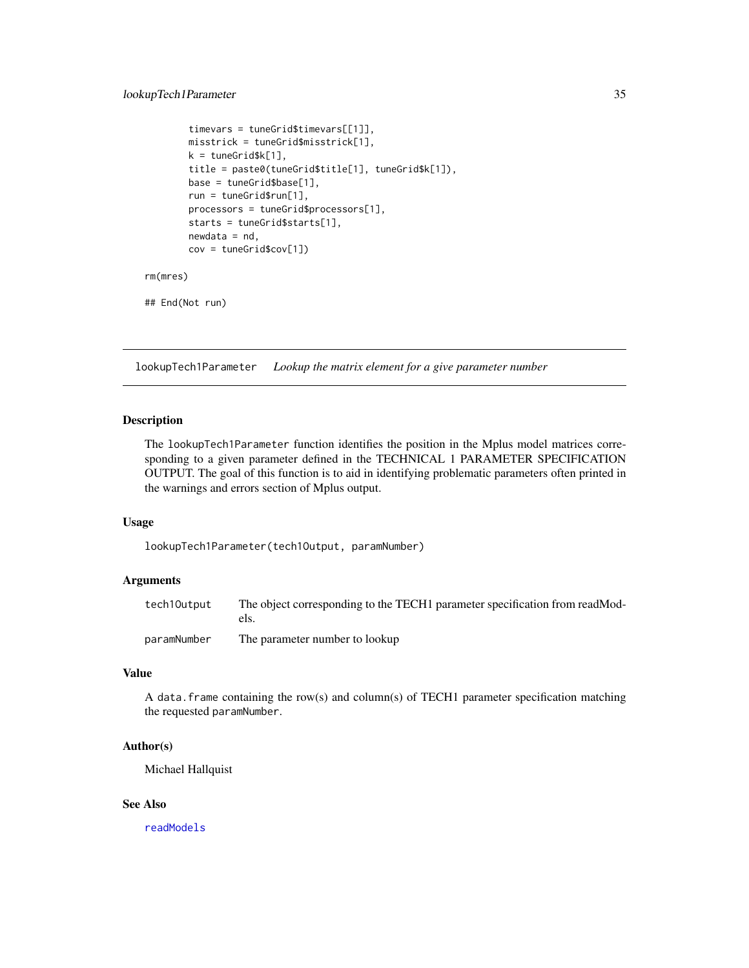```
timevars = tuneGrid$timevars[[1]],
        misstrick = tuneGrid$misstrick[1],
        k = tuneGrid$k[1],
        title = paste0(tuneGrid$title[1], tuneGrid$k[1]),
       base = tuneGrid$base[1],
        run = tuneGrid$run[1],
        processors = tuneGrid$processors[1],
        starts = tuneGrid$starts[1],
       newdata = nd,
       cov = tuneGrid$cov[1])
rm(mres)
```
## End(Not run)

lookupTech1Parameter *Lookup the matrix element for a give parameter number*

# Description

The lookupTech1Parameter function identifies the position in the Mplus model matrices corresponding to a given parameter defined in the TECHNICAL 1 PARAMETER SPECIFICATION OUTPUT. The goal of this function is to aid in identifying problematic parameters often printed in the warnings and errors section of Mplus output.

#### Usage

lookupTech1Parameter(tech1Output, paramNumber)

#### Arguments

| tech10utput | The object corresponding to the TECH1 parameter specification from readMod-<br>els. |
|-------------|-------------------------------------------------------------------------------------|
| paramNumber | The parameter number to lookup                                                      |

#### Value

A data.frame containing the row(s) and column(s) of TECH1 parameter specification matching the requested paramNumber.

# Author(s)

Michael Hallquist

#### See Also

[readModels](#page-67-1)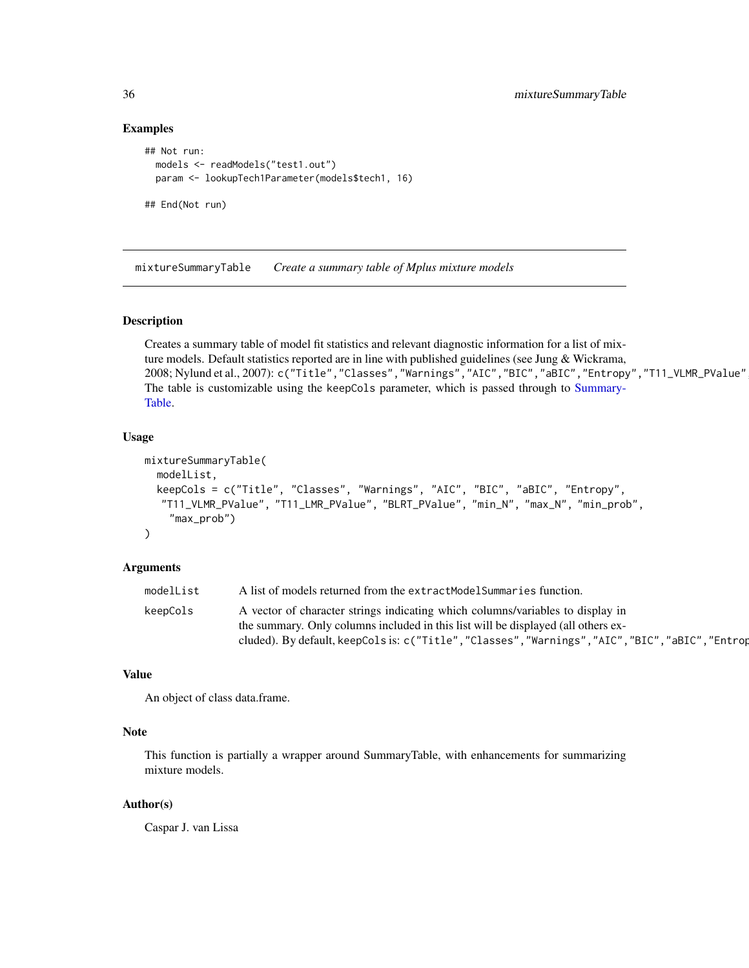## Examples

```
## Not run:
 models <- readModels("test1.out")
 param <- lookupTech1Parameter(models$tech1, 16)
## End(Not run)
```
mixtureSummaryTable *Create a summary table of Mplus mixture models*

#### Description

Creates a summary table of model fit statistics and relevant diagnostic information for a list of mixture models. Default statistics reported are in line with published guidelines (see Jung & Wickrama, 2008; Nylund et al., 2007): c("Title", "Classes", "Warnings", "AIC", "BIC", "aBIC", "Entropy", "T11\_VLMR\_PValue" The table is customizable using the keepCols parameter, which is passed through to [Summary-](#page-75-1)[Table.](#page-75-1)

# Usage

```
mixtureSummaryTable(
  modelList,
  keepCols = c("Title", "Classes", "Warnings", "AIC", "BIC", "aBIC", "Entropy",
  "T11_VLMR_PValue", "T11_LMR_PValue", "BLRT_PValue", "min_N", "max_N", "min_prob",
    "max_prob")
\mathcal{L}
```
#### Arguments

| modelList | A list of models returned from the extractModelSummaries function.                                |
|-----------|---------------------------------------------------------------------------------------------------|
| keepCols  | A vector of character strings indicating which columns/variables to display in                    |
|           | the summary. Only columns included in this list will be displayed (all others ex-                 |
|           | cluded). By default, keepCols is: c("Title", "Classes", "Warnings", "AIC", "BIC", "aBIC", "Entrop |

#### Value

An object of class data.frame.

# Note

This function is partially a wrapper around SummaryTable, with enhancements for summarizing mixture models.

# Author(s)

Caspar J. van Lissa

<span id="page-35-0"></span>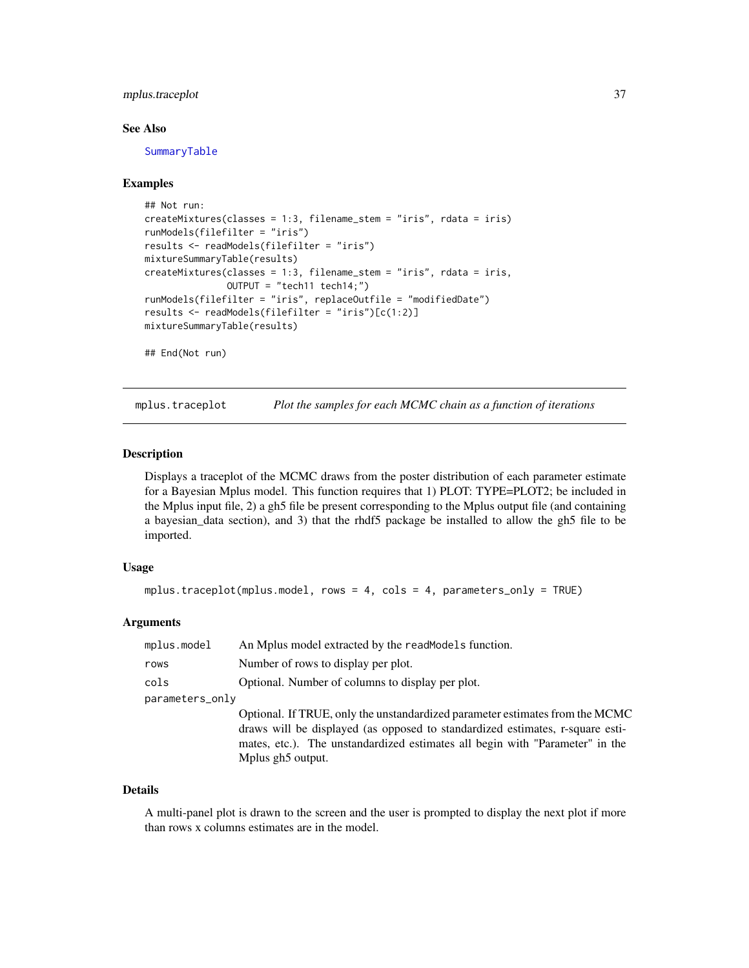# mplus.traceplot 37

### See Also

[SummaryTable](#page-75-0)

### Examples

```
## Not run:
createMixtures(classes = 1:3, filename_stem = "iris", rdata = iris)
runModels(filefilter = "iris")
results <- readModels(filefilter = "iris")
mixtureSummaryTable(results)
createMixtures(classes = 1:3, filename_stem = "iris", rdata = iris,
               OUTPUT = "tech11 tech14;")
runModels(filefilter = "iris", replaceOutfile = "modifiedDate")
results <- readModels(filefilter = "iris")[c(1:2)]
mixtureSummaryTable(results)
## End(Not run)
```
mplus.traceplot *Plot the samples for each MCMC chain as a function of iterations*

### Description

Displays a traceplot of the MCMC draws from the poster distribution of each parameter estimate for a Bayesian Mplus model. This function requires that 1) PLOT: TYPE=PLOT2; be included in the Mplus input file, 2) a gh5 file be present corresponding to the Mplus output file (and containing a bayesian\_data section), and 3) that the rhdf5 package be installed to allow the gh5 file to be imported.

#### Usage

```
mplus.traceplot(mplus.model, rows = 4, cols = 4, parameters_only = TRUE)
```
### Arguments

| mplus.model     | An Mplus model extracted by the read Models function.                         |
|-----------------|-------------------------------------------------------------------------------|
| rows            | Number of rows to display per plot.                                           |
| cols            | Optional. Number of columns to display per plot.                              |
| parameters_only |                                                                               |
|                 | Optional. If TRUE, only the unstandardized parameter estimates from the MCMC  |
|                 | draws will be displayed (as opposed to standardized estimates, r-square esti- |
|                 | mates, etc.). The unstandardized estimates all begin with "Parameter" in the  |
|                 | Mplus gh <sub>5</sub> output.                                                 |

#### Details

A multi-panel plot is drawn to the screen and the user is prompted to display the next plot if more than rows x columns estimates are in the model.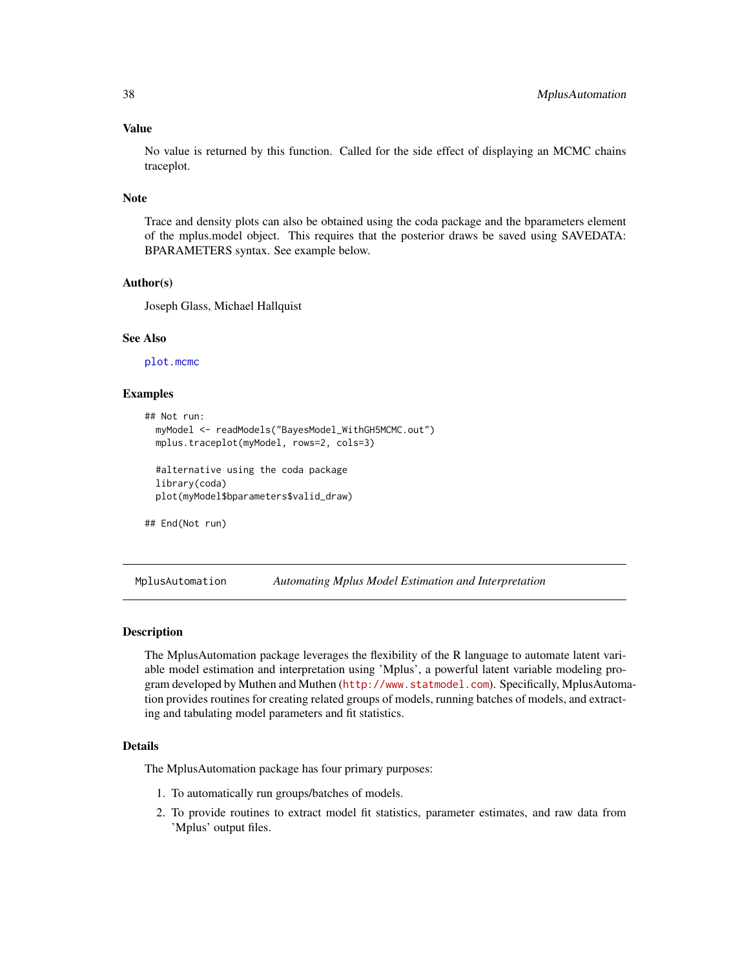### Value

No value is returned by this function. Called for the side effect of displaying an MCMC chains traceplot.

#### Note

Trace and density plots can also be obtained using the coda package and the bparameters element of the mplus.model object. This requires that the posterior draws be saved using SAVEDATA: BPARAMETERS syntax. See example below.

### Author(s)

Joseph Glass, Michael Hallquist

### See Also

[plot.mcmc](#page-0-0)

### Examples

```
## Not run:
 myModel <- readModels("BayesModel_WithGH5MCMC.out")
 mplus.traceplot(myModel, rows=2, cols=3)
 #alternative using the coda package
 library(coda)
 plot(myModel$bparameters$valid_draw)
```
## End(Not run)

MplusAutomation *Automating Mplus Model Estimation and Interpretation*

### Description

The MplusAutomation package leverages the flexibility of the R language to automate latent variable model estimation and interpretation using 'Mplus', a powerful latent variable modeling program developed by Muthen and Muthen (<http://www.statmodel.com>). Specifically, MplusAutomation provides routines for creating related groups of models, running batches of models, and extracting and tabulating model parameters and fit statistics.

# Details

The MplusAutomation package has four primary purposes:

- 1. To automatically run groups/batches of models.
- 2. To provide routines to extract model fit statistics, parameter estimates, and raw data from 'Mplus' output files.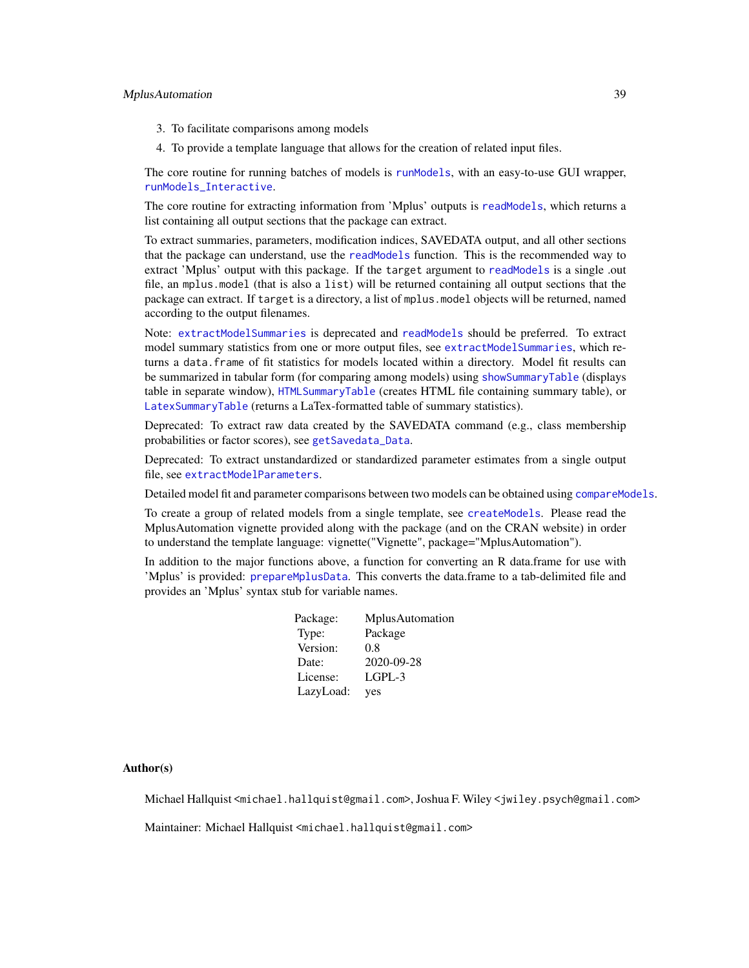- 3. To facilitate comparisons among models
- 4. To provide a template language that allows for the creation of related input files.

The core routine for running batches of models is [runModels](#page-69-0), with an easy-to-use GUI wrapper, [runModels\\_Interactive](#page-71-0).

The core routine for extracting information from 'Mplus' outputs is [readModels](#page-67-0), which returns a list containing all output sections that the package can extract.

To extract summaries, parameters, modification indices, SAVEDATA output, and all other sections that the package can understand, use the [readModels](#page-67-0) function. This is the recommended way to extract 'Mplus' output with this package. If the target argument to [readModels](#page-67-0) is a single .out file, an mplus.model (that is also a list) will be returned containing all output sections that the package can extract. If target is a directory, a list of mplus.model objects will be returned, named according to the output filenames.

Note: [extractModelSummaries](#page-20-0) is deprecated and [readModels](#page-67-0) should be preferred. To extract model summary statistics from one or more output files, see [extractModelSummaries](#page-20-0), which returns a data.frame of fit statistics for models located within a directory. Model fit results can be summarized in tabular form (for comparing among models) using [showSummaryTable](#page-73-0) (displays table in separate window), [HTMLSummaryTable](#page-27-0) (creates HTML file containing summary table), or [LatexSummaryTable](#page-29-0) (returns a LaTex-formatted table of summary statistics).

Deprecated: To extract raw data created by the SAVEDATA command (e.g., class membership probabilities or factor scores), see [getSavedata\\_Data](#page-25-0).

Deprecated: To extract unstandardized or standardized parameter estimates from a single output file, see [extractModelParameters](#page-17-0).

Detailed model fit and parameter comparisons between two models can be obtained using [compareModels](#page-6-0).

To create a group of related models from a single template, see [createModels](#page-12-0). Please read the MplusAutomation vignette provided along with the package (and on the CRAN website) in order to understand the template language: vignette("Vignette", package="MplusAutomation").

In addition to the major functions above, a function for converting an R data.frame for use with 'Mplus' is provided: [prepareMplusData](#page-62-0). This converts the data.frame to a tab-delimited file and provides an 'Mplus' syntax stub for variable names.

| Package:  | MplusAutomation |
|-----------|-----------------|
| Type:     | Package         |
| Version:  | 0.8             |
| Date:     | 2020-09-28      |
| License:  | $L$ GPL-3       |
| LazyLoad: | yes             |

### Author(s)

Michael Hallquist <michael.hallquist@gmail.com>, Joshua F. Wiley <jwiley.psych@gmail.com>

Maintainer: Michael Hallquist <michael.hallquist@gmail.com>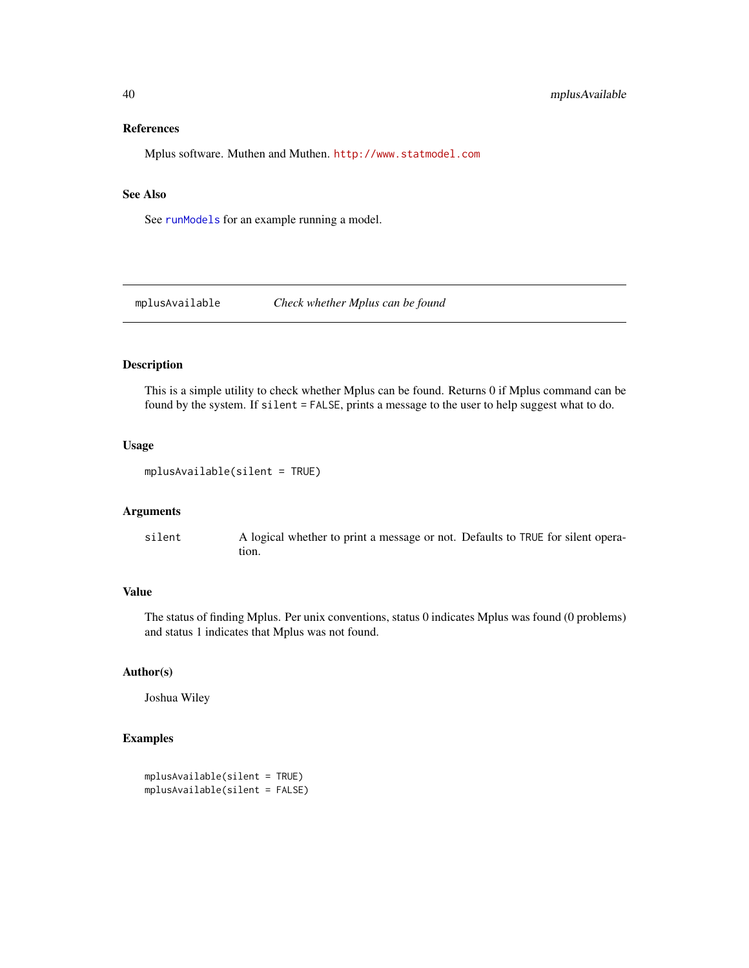### References

Mplus software. Muthen and Muthen. <http://www.statmodel.com>

### See Also

See [runModels](#page-69-0) for an example running a model.

mplusAvailable *Check whether Mplus can be found*

### Description

This is a simple utility to check whether Mplus can be found. Returns 0 if Mplus command can be found by the system. If silent = FALSE, prints a message to the user to help suggest what to do.

### Usage

```
mplusAvailable(silent = TRUE)
```
# Arguments

silent A logical whether to print a message or not. Defaults to TRUE for silent operation.

# Value

The status of finding Mplus. Per unix conventions, status 0 indicates Mplus was found (0 problems) and status 1 indicates that Mplus was not found.

### Author(s)

Joshua Wiley

# Examples

```
mplusAvailable(silent = TRUE)
mplusAvailable(silent = FALSE)
```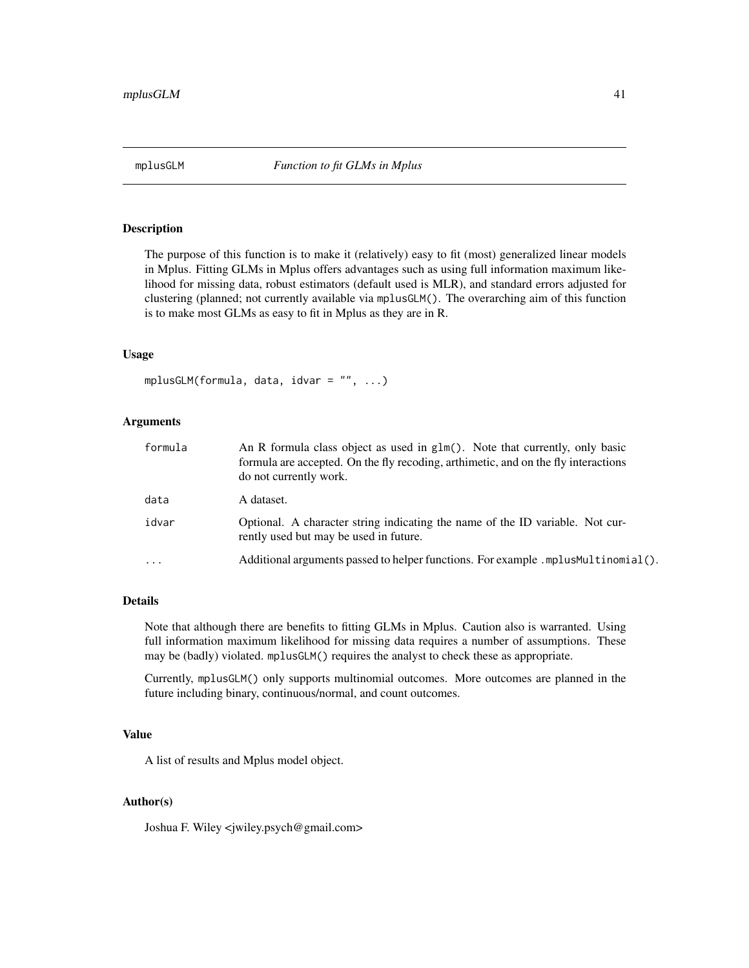# **Description**

The purpose of this function is to make it (relatively) easy to fit (most) generalized linear models in Mplus. Fitting GLMs in Mplus offers advantages such as using full information maximum likelihood for missing data, robust estimators (default used is MLR), and standard errors adjusted for clustering (planned; not currently available via mplusGLM(). The overarching aim of this function is to make most GLMs as easy to fit in Mplus as they are in R.

### Usage

```
mplusGLM(formula, data, idvar = "", ...)
```
### Arguments

| formula  | An R formula class object as used in glm(). Note that currently, only basic<br>formula are accepted. On the fly recoding, arthimetic, and on the fly interactions<br>do not currently work. |
|----------|---------------------------------------------------------------------------------------------------------------------------------------------------------------------------------------------|
| data     | A dataset.                                                                                                                                                                                  |
| idvar    | Optional. A character string indicating the name of the ID variable. Not cur-<br>rently used but may be used in future.                                                                     |
| $\cdots$ | Additional arguments passed to helper functions. For example .mplusMultinomial().                                                                                                           |

## Details

Note that although there are benefits to fitting GLMs in Mplus. Caution also is warranted. Using full information maximum likelihood for missing data requires a number of assumptions. These may be (badly) violated. mplusGLM() requires the analyst to check these as appropriate.

Currently, mplusGLM() only supports multinomial outcomes. More outcomes are planned in the future including binary, continuous/normal, and count outcomes.

### Value

A list of results and Mplus model object.

### Author(s)

Joshua F. Wiley <jwiley.psych@gmail.com>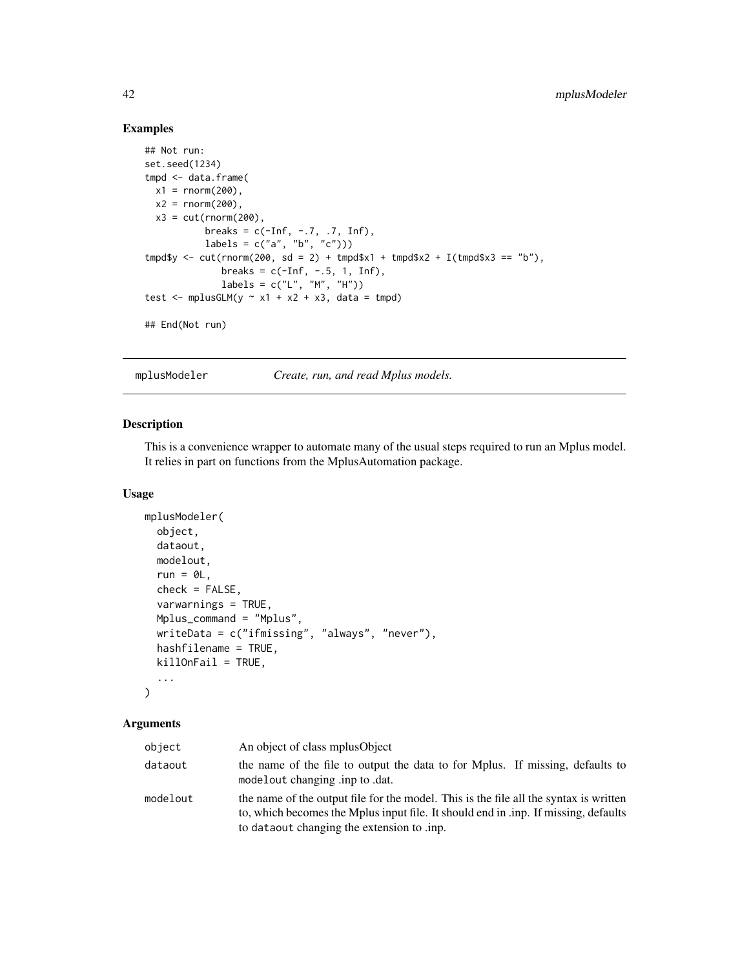# Examples

```
## Not run:
set.seed(1234)
tmpd <- data.frame(
 x1 = rnorm(200),
 x2 = rnorm(200),
 x3 = cut(rnorm(200),breaks = c(-Inf, -.7, .7, Inf),labels = c("a", "b", "c"))tmpd$y <- cut(rnorm(200, sd = 2) + tmpd$x1 + tmpd$x2 + I(tmpd$x3 == "b"),
              breaks = c(-Inf, -.5, 1, Inf),
              labels = c("L", "M", "H"))
test \leq mplusGLM(y \sim x1 + x2 + x3, data = tmpd)
## End(Not run)
```
<span id="page-41-0"></span>

mplusModeler *Create, run, and read Mplus models.*

# Description

This is a convenience wrapper to automate many of the usual steps required to run an Mplus model. It relies in part on functions from the MplusAutomation package.

#### Usage

```
mplusModeler(
  object,
  dataout,
 modelout,
  run = 0L,
  check = FALSE,
  varwarnings = TRUE,
  Mplus_command = "Mplus",
  writeData = c("ifmissing", "always", "never"),
 hashfilename = TRUE,
  killOnFail = TRUE,
  ...
\mathcal{L}
```
### Arguments

| object   | An object of class mplus Object                                                                                                                                                                                            |
|----------|----------------------------------------------------------------------------------------------------------------------------------------------------------------------------------------------------------------------------|
| dataout  | the name of the file to output the data to for Mplus. If missing, defaults to<br>modelout changing inp to .dat.                                                                                                            |
| modelout | the name of the output file for the model. This is the file all the syntax is written<br>to, which becomes the Mplus input file. It should end in .inp. If missing, defaults<br>to dataout changing the extension to .inp. |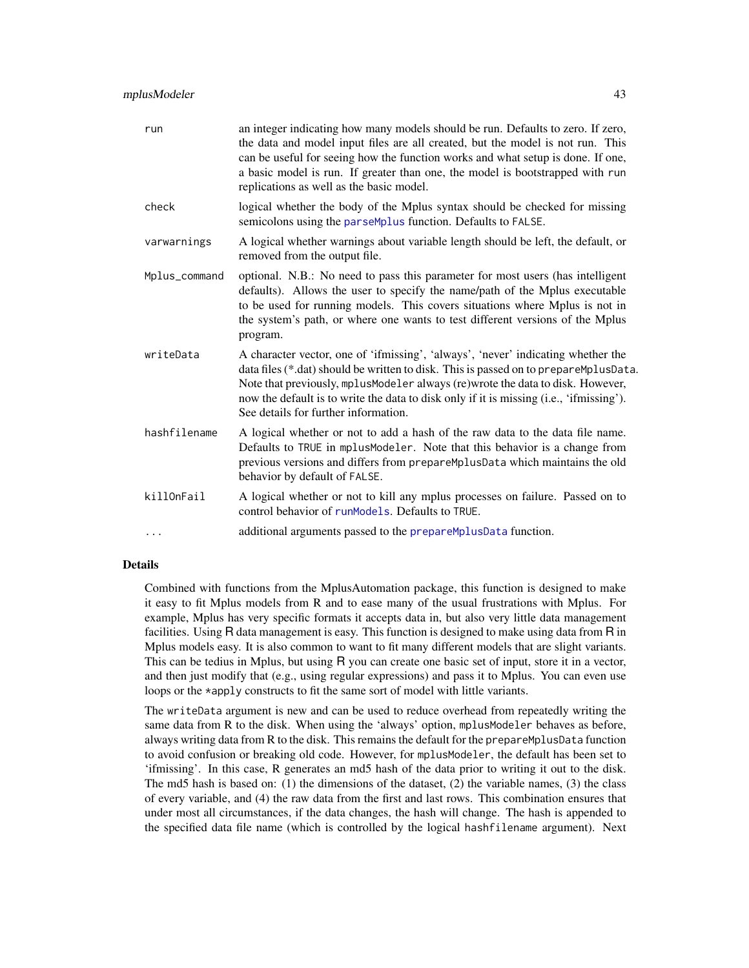| run           | an integer indicating how many models should be run. Defaults to zero. If zero,<br>the data and model input files are all created, but the model is not run. This<br>can be useful for seeing how the function works and what setup is done. If one,<br>a basic model is run. If greater than one, the model is bootstrapped with run<br>replications as well as the basic model.              |
|---------------|------------------------------------------------------------------------------------------------------------------------------------------------------------------------------------------------------------------------------------------------------------------------------------------------------------------------------------------------------------------------------------------------|
| check         | logical whether the body of the Mplus syntax should be checked for missing<br>semicolons using the parseMplus function. Defaults to FALSE.                                                                                                                                                                                                                                                     |
| varwarnings   | A logical whether warnings about variable length should be left, the default, or<br>removed from the output file.                                                                                                                                                                                                                                                                              |
| Mplus_command | optional. N.B.: No need to pass this parameter for most users (has intelligent<br>defaults). Allows the user to specify the name/path of the Mplus executable<br>to be used for running models. This covers situations where Mplus is not in<br>the system's path, or where one wants to test different versions of the Mplus<br>program.                                                      |
| writeData     | A character vector, one of 'ifmissing', 'always', 'never' indicating whether the<br>data files (*.dat) should be written to disk. This is passed on to prepareMplusData.<br>Note that previously, mplusModeler always (re) wrote the data to disk. However,<br>now the default is to write the data to disk only if it is missing (i.e., 'ifmissing').<br>See details for further information. |
| hashfilename  | A logical whether or not to add a hash of the raw data to the data file name.<br>Defaults to TRUE in mplusModeler. Note that this behavior is a change from<br>previous versions and differs from prepareMplusData which maintains the old<br>behavior by default of FALSE.                                                                                                                    |
| killOnFail    | A logical whether or not to kill any mplus processes on failure. Passed on to<br>control behavior of runModels. Defaults to TRUE.                                                                                                                                                                                                                                                              |
| $\cdots$      | additional arguments passed to the prepareMplusData function.                                                                                                                                                                                                                                                                                                                                  |

# Details

Combined with functions from the MplusAutomation package, this function is designed to make it easy to fit Mplus models from R and to ease many of the usual frustrations with Mplus. For example, Mplus has very specific formats it accepts data in, but also very little data management facilities. Using R data management is easy. This function is designed to make using data from R in Mplus models easy. It is also common to want to fit many different models that are slight variants. This can be tedius in Mplus, but using R you can create one basic set of input, store it in a vector, and then just modify that (e.g., using regular expressions) and pass it to Mplus. You can even use loops or the \*apply constructs to fit the same sort of model with little variants.

The writeData argument is new and can be used to reduce overhead from repeatedly writing the same data from R to the disk. When using the 'always' option, mplusModeler behaves as before, always writing data from R to the disk. This remains the default for the prepareMplusData function to avoid confusion or breaking old code. However, for mplusModeler, the default has been set to 'ifmissing'. In this case, R generates an md5 hash of the data prior to writing it out to the disk. The md5 hash is based on: (1) the dimensions of the dataset, (2) the variable names, (3) the class of every variable, and (4) the raw data from the first and last rows. This combination ensures that under most all circumstances, if the data changes, the hash will change. The hash is appended to the specified data file name (which is controlled by the logical hashfilename argument). Next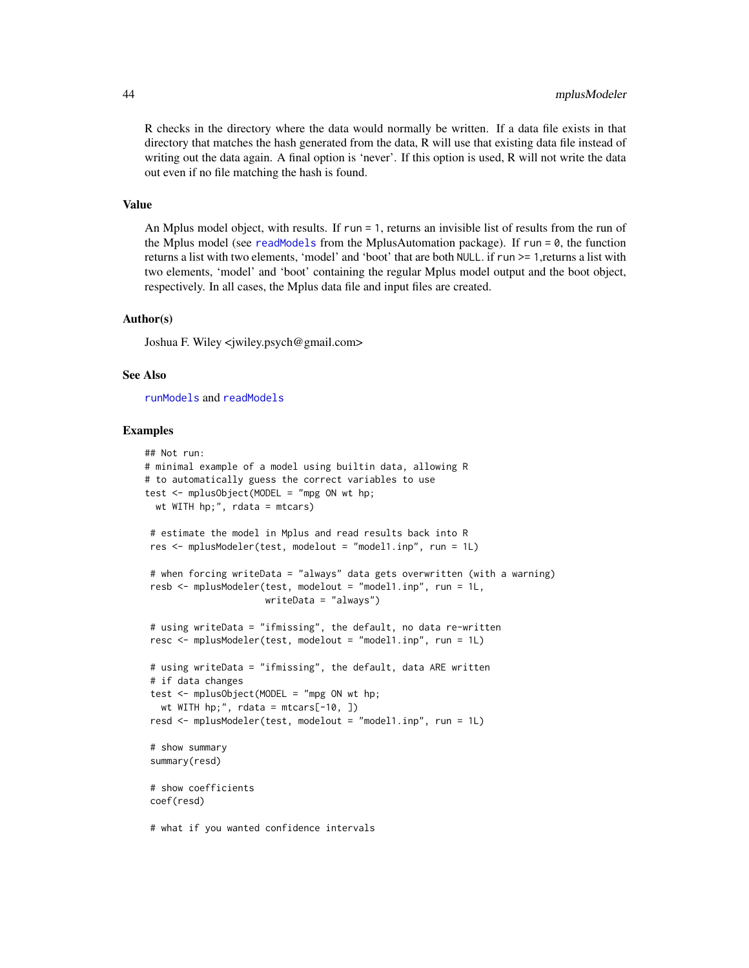R checks in the directory where the data would normally be written. If a data file exists in that directory that matches the hash generated from the data, R will use that existing data file instead of writing out the data again. A final option is 'never'. If this option is used, R will not write the data out even if no file matching the hash is found.

#### Value

An Mplus model object, with results. If run = 1, returns an invisible list of results from the run of the Mplus model (see [readModels](#page-67-0) from the MplusAutomation package). If run  $= 0$ , the function returns a list with two elements, 'model' and 'boot' that are both NULL. if run >= 1,returns a list with two elements, 'model' and 'boot' containing the regular Mplus model output and the boot object, respectively. In all cases, the Mplus data file and input files are created.

# Author(s)

Joshua F. Wiley <jwiley.psych@gmail.com>

### See Also

[runModels](#page-69-0) and [readModels](#page-67-0)

### Examples

```
## Not run:
# minimal example of a model using builtin data, allowing R
# to automatically guess the correct variables to use
test \leq mplusObject(MODEL = "mpg ON wt hp;
 wt WITH hp;", rdata = mtcars)
 # estimate the model in Mplus and read results back into R
 res <- mplusModeler(test, modelout = "model1.inp", run = 1L)
 # when forcing writeData = "always" data gets overwritten (with a warning)
 resb <- mplusModeler(test, modelout = "model1.inp", run = 1L,
                      writeData = "always")
 # using writeData = "ifmissing", the default, no data re-written
 resc <- mplusModeler(test, modelout = "model1.inp", run = 1L)
 # using writeData = "ifmissing", the default, data ARE written
 # if data changes
 test <- mplusObject(MODEL = "mpg ON wt hp;
  wt WITH hp;", rdata = mtcars[-10, ])
 resd <- mplusModeler(test, modelout = "model1.inp", run = 1L)
 # show summary
 summary(resd)
 # show coefficients
 coef(resd)
```
# what if you wanted confidence intervals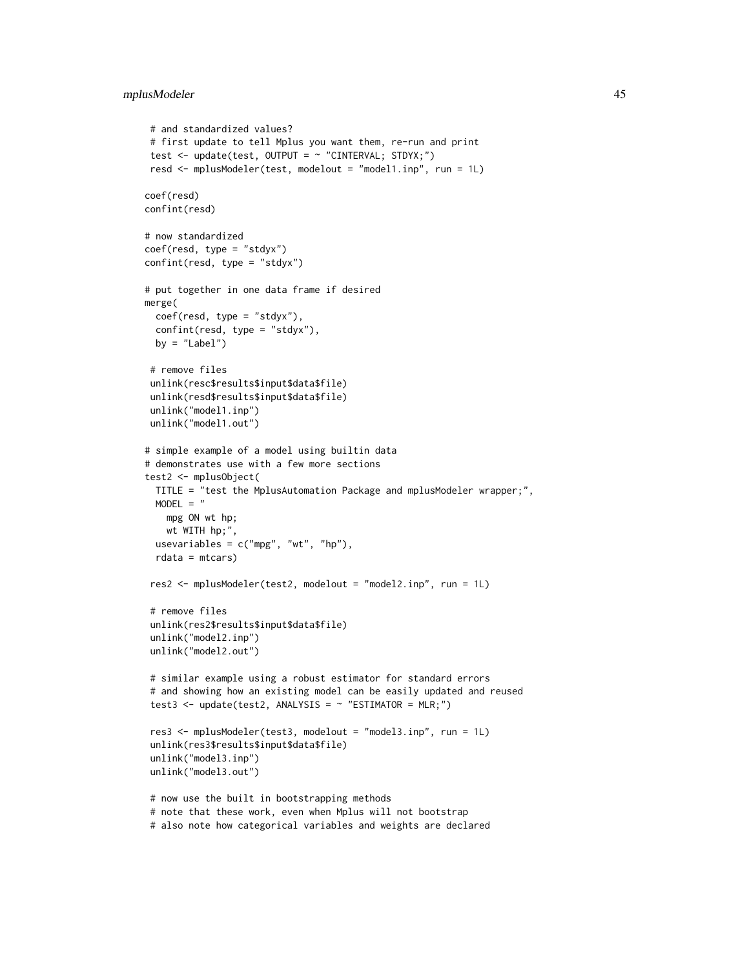```
# and standardized values?
# first update to tell Mplus you want them, re-run and print
test <- update(test, OUTPUT = ~ "CINTERVAL; STDYX;")
resd <- mplusModeler(test, modelout = "model1.inp", run = 1L)
coef(resd)
confint(resd)
# now standardized
coef(resd, type = "stdyx")
confint(resd, type = "stdyx")
# put together in one data frame if desired
merge(
 coef(resd, type = "stdyx"),
 confint(resd, type = "stdyx"),
 by = "Label")
# remove files
unlink(resc$results$input$data$file)
unlink(resd$results$input$data$file)
unlink("model1.inp")
unlink("model1.out")
# simple example of a model using builtin data
# demonstrates use with a few more sections
test2 <- mplusObject(
 TITLE = "test the MplusAutomation Package and mplusModeler wrapper;",
 MODEL = "mpg ON wt hp;
   wt WITH hp;",
 usevariables = c("mpg", "wt", "hp"),
 rdata = mtcars)
res2 <- mplusModeler(test2, modelout = "model2.inp", run = 1L)
 # remove files
unlink(res2$results$input$data$file)
 unlink("model2.inp")
unlink("model2.out")
 # similar example using a robust estimator for standard errors
 # and showing how an existing model can be easily updated and reused
 test3 <- update(test2, ANALYSIS = \sim "ESTIMATOR = MLR;")
res3 <- mplusModeler(test3, modelout = "model3.inp", run = 1L)
unlink(res3$results$input$data$file)
unlink("model3.inp")
unlink("model3.out")
 # now use the built in bootstrapping methods
 # note that these work, even when Mplus will not bootstrap
```

```
# also note how categorical variables and weights are declared
```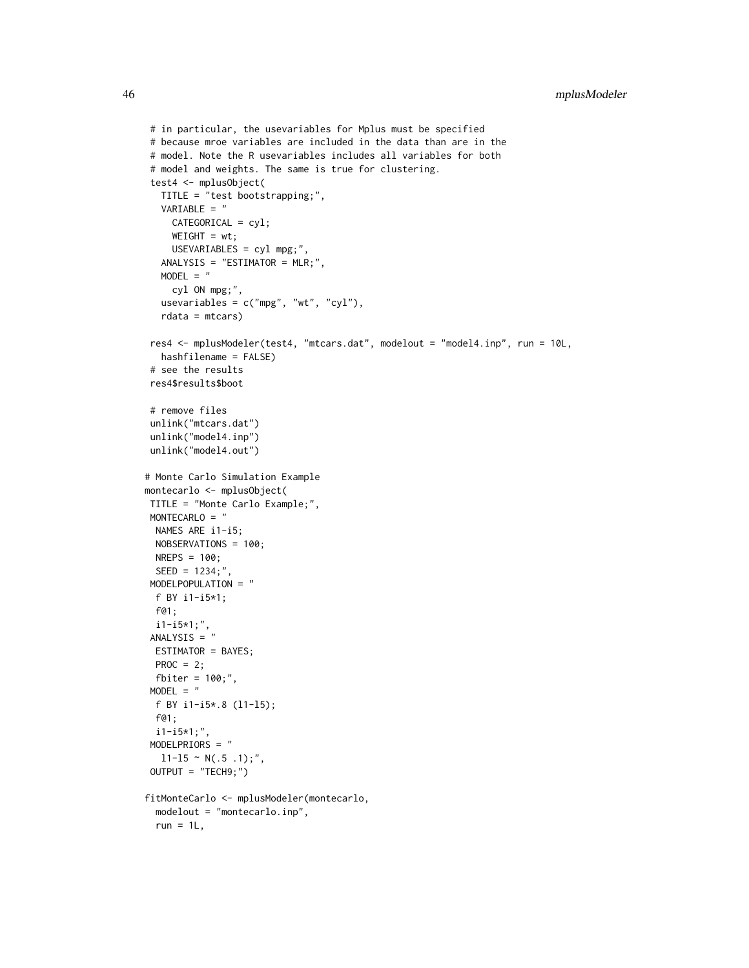```
# in particular, the usevariables for Mplus must be specified
# because mroe variables are included in the data than are in the
# model. Note the R usevariables includes all variables for both
# model and weights. The same is true for clustering.
test4 <- mplusObject(
  TITLE = "test bootstrapping;",
  VARIABLE = "
    CATEGORICAL = cyl;
    WEIGHT = wt;USEVARIABLES = cyl mpg;",
  ANALYSIS = "ESTIMATOR = MLR;",
  MODEL = "cyl ON mpg;",
  usevariables = c("mpg", "wt", "cyl"),
  rdata = mtcars)
res4 <- mplusModeler(test4, "mtcars.dat", modelout = "model4.inp", run = 10L,
  hashfilename = FALSE)
# see the results
res4$results$boot
# remove files
unlink("mtcars.dat")
unlink("model4.inp")
unlink("model4.out")
# Monte Carlo Simulation Example
montecarlo <- mplusObject(
TITLE = "Monte Carlo Example;",
MONTECARLO = "
 NAMES ARE i1-i5;
 NOBSERVATIONS = 100;
 NREPS = 100;
 SEED = 1234;",
MODELPOPULATION = "
 f BY i1-i5*1;
 f@1;
 i1-i5*1;",
ANALYSIS = "
 ESTIMATOR = BAYES;
 PROC = 2;
 fbiter = 100;",
MODEL = "f BY i1-i5*.8 (l1-l5);
 f@1;
 i1-i5*1;",
MODELPRIORS = "
  11-15 \sim N(.5.1);",
OUTPUT = "TECH9;")
fitMonteCarlo <- mplusModeler(montecarlo,
 modelout = "montecarlo.inp",
 run = 1L,
```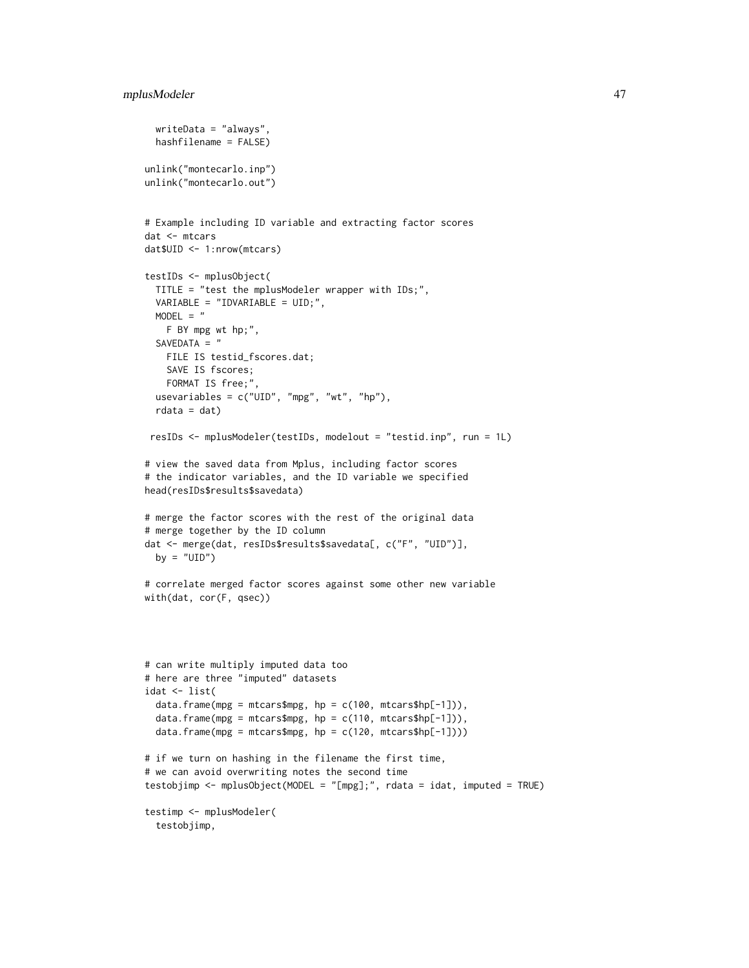```
writeData = "always",
  hashfilename = FALSE)
unlink("montecarlo.inp")
unlink("montecarlo.out")
# Example including ID variable and extracting factor scores
dat <- mtcars
dat$UID <- 1:nrow(mtcars)
testIDs <- mplusObject(
  TITLE = "test the mplusModeler wrapper with IDs;",
  VARIABLE = "IDVARIABLE = UID;",
  MODEL = "F BY mpg wt hp;",
  SAVEDATA = "
   FILE IS testid_fscores.dat;
   SAVE IS fscores;
   FORMAT IS free;",
  usevariables = c("UID", "mpg", "wt", "hp"),
  rdata = dat)resIDs <- mplusModeler(testIDs, modelout = "testid.inp", run = 1L)
# view the saved data from Mplus, including factor scores
# the indicator variables, and the ID variable we specified
head(resIDs$results$savedata)
# merge the factor scores with the rest of the original data
# merge together by the ID column
dat <- merge(dat, resIDs$results$savedata[, c("F", "UID")],
 by = "UID")
# correlate merged factor scores against some other new variable
with(dat, cor(F, qsec))
# can write multiply imputed data too
# here are three "imputed" datasets
idat \le list(
  data.frame(mpg = mtcars$mpg, hp = c(100, mtcars$hp[-1])),
  data.frame(mpg = mtcars$mpg, hp = c(110, mtcars$hp[-1])),
  data.frame(mpg = mtcars$mpg, hp = c(120, \text{mtcars}$hp[-1])))
# if we turn on hashing in the filename the first time,
# we can avoid overwriting notes the second time
testobjimp <- mplusObject(MODEL = "[mpg];", rdata = idat, imputed = TRUE)
testimp <- mplusModeler(
  testobjimp,
```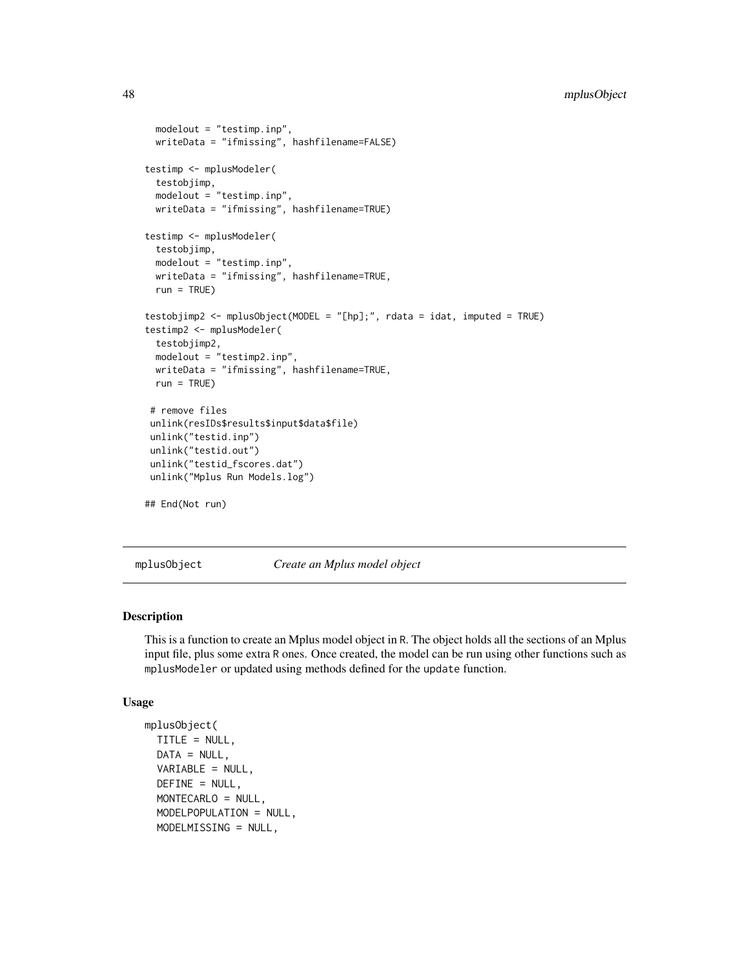```
modelout = "testimp.inp",
 writeData = "ifmissing", hashfilename=FALSE)
testimp <- mplusModeler(
 testobjimp,
 modelout = "testimp.inp",
 writeData = "ifmissing", hashfilename=TRUE)
testimp <- mplusModeler(
 testobjimp,
 modelout = "testimp.inp",
 writeData = "ifmissing", hashfilename=TRUE,
 run = TRUE)
testobjimp2 <- mplusObject(MODEL = "[hp];", rdata = idat, imputed = TRUE)
testimp2 <- mplusModeler(
 testobjimp2,
 modelout = "testimp2.inp",
 writeData = "ifmissing", hashfilename=TRUE,
 run = TRUE)
 # remove files
unlink(resIDs$results$input$data$file)
unlink("testid.inp")
unlink("testid.out")
unlink("testid_fscores.dat")
 unlink("Mplus Run Models.log")
## End(Not run)
```
mplusObject *Create an Mplus model object*

### Description

This is a function to create an Mplus model object in R. The object holds all the sections of an Mplus input file, plus some extra R ones. Once created, the model can be run using other functions such as mplusModeler or updated using methods defined for the update function.

### Usage

```
mplusObject(
  TITLE = NULL,
 DATA = NULL,
 VARIABLE = NULL,
 DEFINE = NULL,
 MONTECARLO = NULL,
 MODELPOPULATION = NULL,
 MODELMISSING = NULL,
```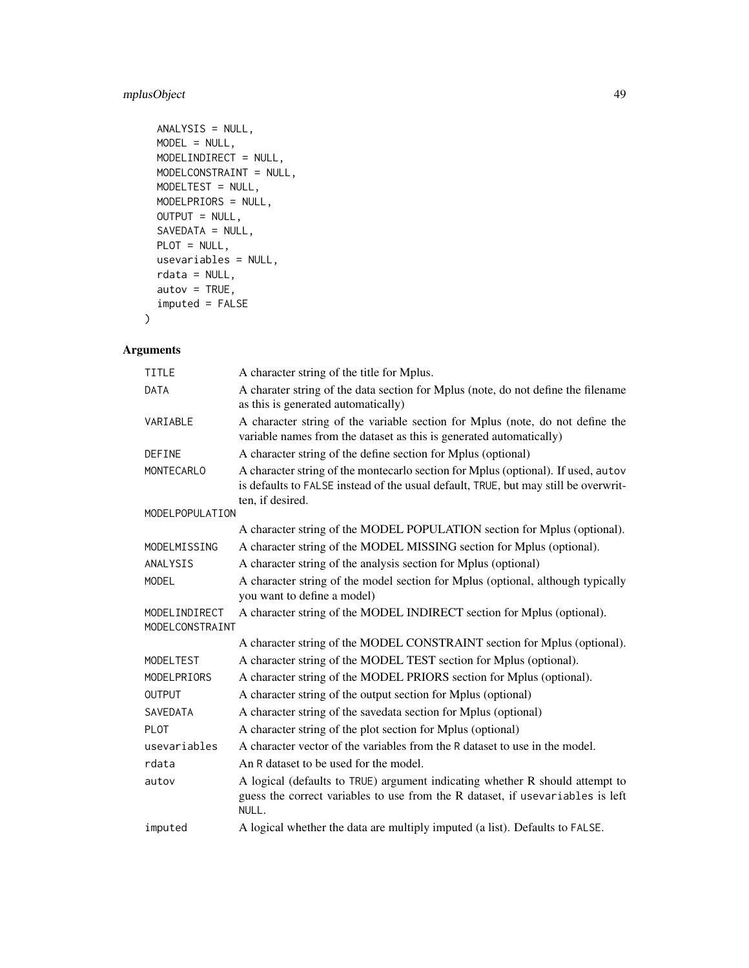# mplusObject 49

```
ANALYSIS = NULL,
MODEL = NULL,MODELINDIRECT = NULL,
MODELCONSTRAINT = NULL,
MODELTEST = NULL,
MODELPRIORS = NULL,
OUTPUT = NULL,
SAVEDATA = NULL,
PLOT = NULL,
usevariables = NULL,
rdata = NULL,
autov = TRUE,imputed = FALSE
```
# Arguments

)

| <b>TITLE</b>                     | A character string of the title for Mplus.                                                                                                                                                   |
|----------------------------------|----------------------------------------------------------------------------------------------------------------------------------------------------------------------------------------------|
| <b>DATA</b>                      | A charater string of the data section for Mplus (note, do not define the filename<br>as this is generated automatically)                                                                     |
| VARIABLE                         | A character string of the variable section for Mplus (note, do not define the<br>variable names from the dataset as this is generated automatically)                                         |
| <b>DEFINE</b>                    | A character string of the define section for Mplus (optional)                                                                                                                                |
| MONTECARLO                       | A character string of the montecarlo section for Mplus (optional). If used, autov<br>is defaults to FALSE instead of the usual default, TRUE, but may still be overwrit-<br>ten, if desired. |
| MODELPOPULATION                  |                                                                                                                                                                                              |
|                                  | A character string of the MODEL POPULATION section for Mplus (optional).                                                                                                                     |
| MODELMISSING                     | A character string of the MODEL MISSING section for Mplus (optional).                                                                                                                        |
| ANALYSIS                         | A character string of the analysis section for Mplus (optional)                                                                                                                              |
| <b>MODEL</b>                     | A character string of the model section for Mplus (optional, although typically<br>you want to define a model)                                                                               |
| MODELINDIRECT<br>MODELCONSTRAINT | A character string of the MODEL INDIRECT section for Mplus (optional).                                                                                                                       |
|                                  | A character string of the MODEL CONSTRAINT section for Mplus (optional).                                                                                                                     |
| <b>MODELTEST</b>                 | A character string of the MODEL TEST section for Mplus (optional).                                                                                                                           |
| MODELPRIORS                      | A character string of the MODEL PRIORS section for Mplus (optional).                                                                                                                         |
| <b>OUTPUT</b>                    | A character string of the output section for Mplus (optional)                                                                                                                                |
| SAVEDATA                         | A character string of the savedata section for Mplus (optional)                                                                                                                              |
| <b>PLOT</b>                      | A character string of the plot section for Mplus (optional)                                                                                                                                  |
| usevariables                     | A character vector of the variables from the R dataset to use in the model.                                                                                                                  |
| rdata                            | An R dataset to be used for the model.                                                                                                                                                       |
| autov                            | A logical (defaults to TRUE) argument indicating whether R should attempt to<br>guess the correct variables to use from the R dataset, if usevariables is left<br>NULL.                      |
| imputed                          | A logical whether the data are multiply imputed (a list). Defaults to FALSE.                                                                                                                 |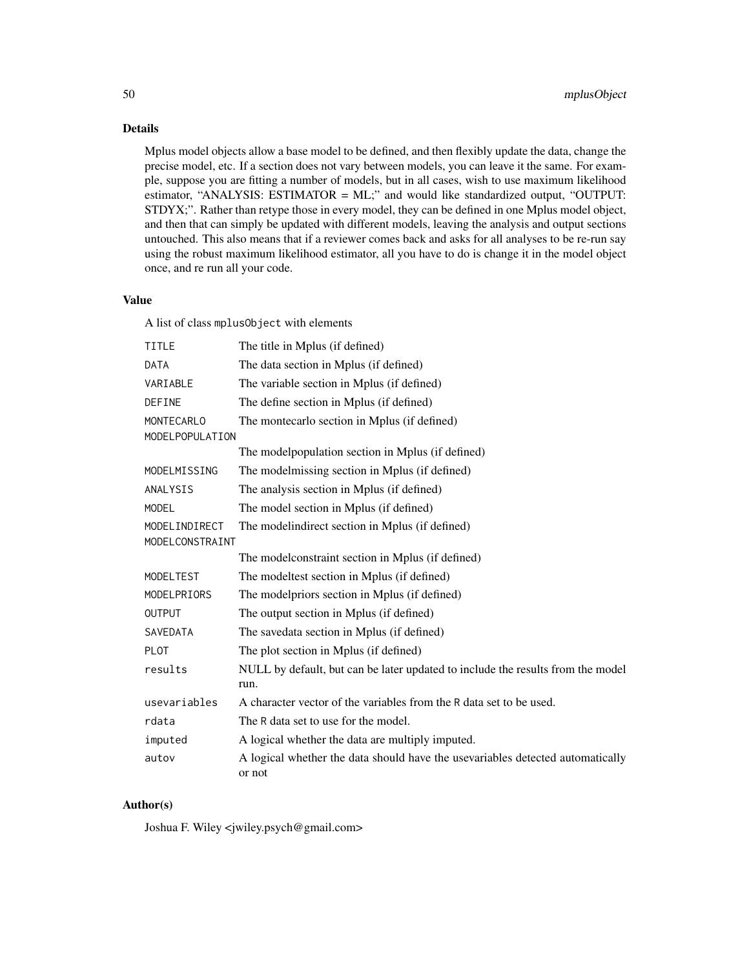Details

Mplus model objects allow a base model to be defined, and then flexibly update the data, change the precise model, etc. If a section does not vary between models, you can leave it the same. For example, suppose you are fitting a number of models, but in all cases, wish to use maximum likelihood estimator, "ANALYSIS: ESTIMATOR = ML;" and would like standardized output, "OUTPUT: STDYX;". Rather than retype those in every model, they can be defined in one Mplus model object, and then that can simply be updated with different models, leaving the analysis and output sections untouched. This also means that if a reviewer comes back and asks for all analyses to be re-run say using the robust maximum likelihood estimator, all you have to do is change it in the model object once, and re run all your code.

#### Value

A list of class mplusObject with elements

| <b>TITLE</b>      | The title in Mplus (if defined)                                                          |
|-------------------|------------------------------------------------------------------------------------------|
| <b>DATA</b>       | The data section in Mplus (if defined)                                                   |
| VARIABLE          | The variable section in Mplus (if defined)                                               |
| DEFINE            | The define section in Mplus (if defined)                                                 |
| <b>MONTECARLO</b> | The montecarlo section in Mplus (if defined)                                             |
| MODELPOPULATION   |                                                                                          |
|                   | The modelpopulation section in Mplus (if defined)                                        |
| MODELMISSING      | The modelmissing section in Mplus (if defined)                                           |
| ANALYSIS          | The analysis section in Mplus (if defined)                                               |
| <b>MODEL</b>      | The model section in Mplus (if defined)                                                  |
| MODELINDIRECT     | The modelindirect section in Mplus (if defined)                                          |
| MODELCONSTRAINT   |                                                                                          |
|                   | The model constraint section in Mplus (if defined)                                       |
| MODELTEST         | The modeltest section in Mplus (if defined)                                              |
| MODELPRIORS       | The modelpriors section in Mplus (if defined)                                            |
| <b>OUTPUT</b>     | The output section in Mplus (if defined)                                                 |
| <b>SAVEDATA</b>   | The savedata section in Mplus (if defined)                                               |
| <b>PLOT</b>       | The plot section in Mplus (if defined)                                                   |
| results           | NULL by default, but can be later updated to include the results from the model<br>run.  |
| usevariables      | A character vector of the variables from the R data set to be used.                      |
| rdata             | The R data set to use for the model.                                                     |
| imputed           | A logical whether the data are multiply imputed.                                         |
| autov             | A logical whether the data should have the usevariables detected automatically<br>or not |

### Author(s)

Joshua F. Wiley <jwiley.psych@gmail.com>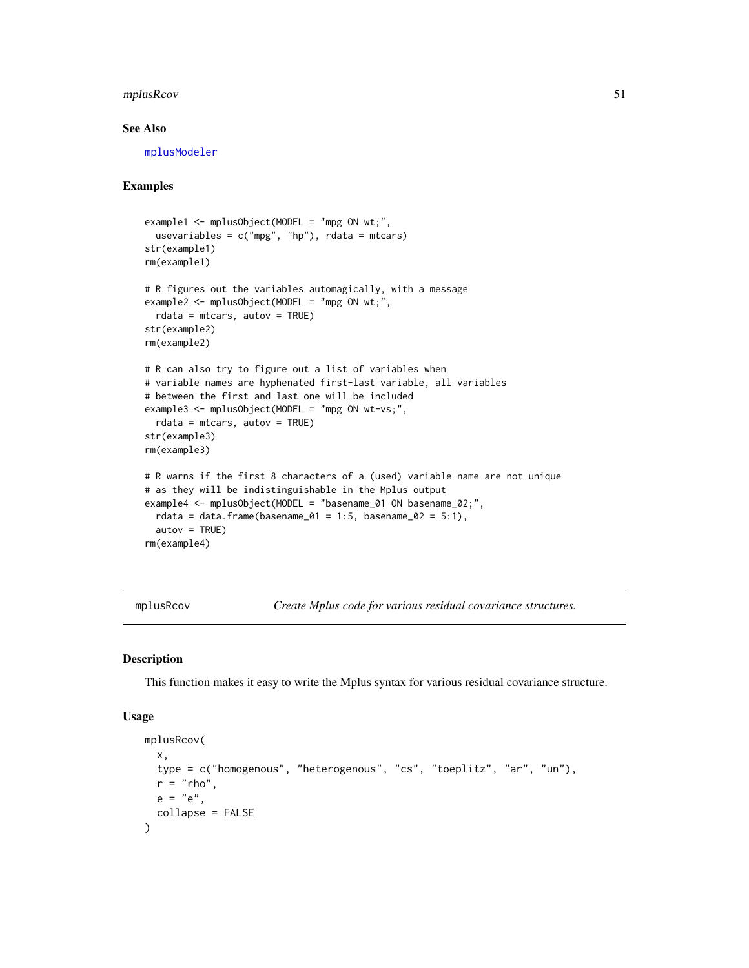## mplusRcov 51

# See Also

[mplusModeler](#page-41-0)

# Examples

```
example1 <- mplusObject(MODEL = "mpg ON wt;",
 usevariables = c("mpg", "hp"),rdata = mtcars)
str(example1)
rm(example1)
# R figures out the variables automagically, with a message
example2 <- mplusObject(MODEL = "mpg ON wt;",
 rdata = mtcars, autov = TRUE)
str(example2)
rm(example2)
# R can also try to figure out a list of variables when
# variable names are hyphenated first-last variable, all variables
# between the first and last one will be included
example3 <- mplusObject(MODEL = "mpg ON wt-vs;",
 rdata = mtcars, autov = TRUE)
str(example3)
rm(example3)
# R warns if the first 8 characters of a (used) variable name are not unique
# as they will be indistinguishable in the Mplus output
example4 <- mplusObject(MODEL = "basename_01 ON basename_02;",
 rdata = data.frame(basename_01 = 1:5, basename_02 = 5:1),
 autov = TRUE)rm(example4)
```
mplusRcov *Create Mplus code for various residual covariance structures.*

# Description

This function makes it easy to write the Mplus syntax for various residual covariance structure.

#### Usage

```
mplusRcov(
  x,
  type = c("homogenous", "heterogenous", "cs", "toeplitz", "ar", "un"),
 r = "rho".e = "e",collapse = FALSE
)
```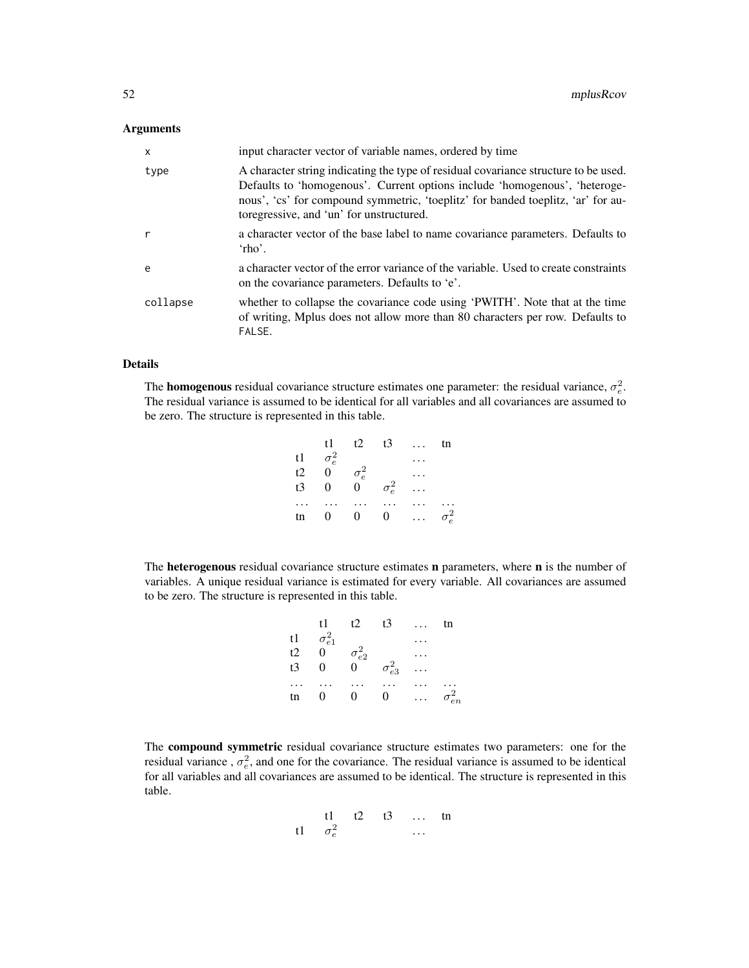### Arguments

| $\mathsf{x}$ | input character vector of variable names, ordered by time                                                                                                                                                                                                                                         |
|--------------|---------------------------------------------------------------------------------------------------------------------------------------------------------------------------------------------------------------------------------------------------------------------------------------------------|
| type         | A character string indicating the type of residual covariance structure to be used.<br>Defaults to 'homogenous'. Current options include 'homogenous', 'heteroge-<br>nous', 'cs' for compound symmetric, 'toeplitz' for banded toeplitz, 'ar' for au-<br>toregressive, and 'un' for unstructured. |
| r            | a character vector of the base label to name covariance parameters. Defaults to<br>$'$ rho'.                                                                                                                                                                                                      |
| $\epsilon$   | a character vector of the error variance of the variable. Used to create constraints<br>on the covariance parameters. Defaults to 'e'.                                                                                                                                                            |
| collapse     | whether to collapse the covariance code using 'PWITH'. Note that at the time<br>of writing, Mplus does not allow more than 80 characters per row. Defaults to<br>FALSE.                                                                                                                           |

### Details

The **homogenous** residual covariance structure estimates one parameter: the residual variance,  $\sigma_e^2$ . The residual variance is assumed to be identical for all variables and all covariances are assumed to be zero. The structure is represented in this table.

| t1 -           |                |                         |              | tn                            |
|----------------|----------------|-------------------------|--------------|-------------------------------|
|                |                |                         |              |                               |
|                |                |                         |              |                               |
| $\mathbf{0}$   | $\overline{0}$ |                         |              |                               |
|                |                |                         |              |                               |
| $\overline{0}$ | $\overline{0}$ |                         |              | $\sigma_e^2$                  |
|                | $\sigma_e^2$   | t2<br>$\sigma_e^2$<br>0 | $\sigma_e^2$ | $t3 \ldots$<br>$\overline{0}$ |

The heterogenous residual covariance structure estimates n parameters, where n is the number of variables. A unique residual variance is estimated for every variable. All covariances are assumed to be zero. The structure is represented in this table.

|    | t1              | t2              | t3              | tn              |
|----|-----------------|-----------------|-----------------|-----------------|
| t1 | $\sigma_{e1}^2$ |                 |                 |                 |
| t2 | 0               | $\sigma^2_{e2}$ |                 |                 |
| t3 | 0               | 0               | $\sigma_{e3}^2$ |                 |
|    |                 |                 |                 |                 |
| tn | 0               | $\theta$        | $\overline{0}$  | $\sigma_{en}^2$ |
|    |                 |                 |                 |                 |

The compound symmetric residual covariance structure estimates two parameters: one for the residual variance,  $\sigma_e^2$ , and one for the covariance. The residual variance is assumed to be identical for all variables and all covariances are assumed to be identical. The structure is represented in this table.

$$
\begin{array}{cccc}\n\text{t1} & \text{t2} & \text{t3} & \dots & \text{tn} \\
\text{t1} & \sigma_e^2 & & \dots & \dots\n\end{array}
$$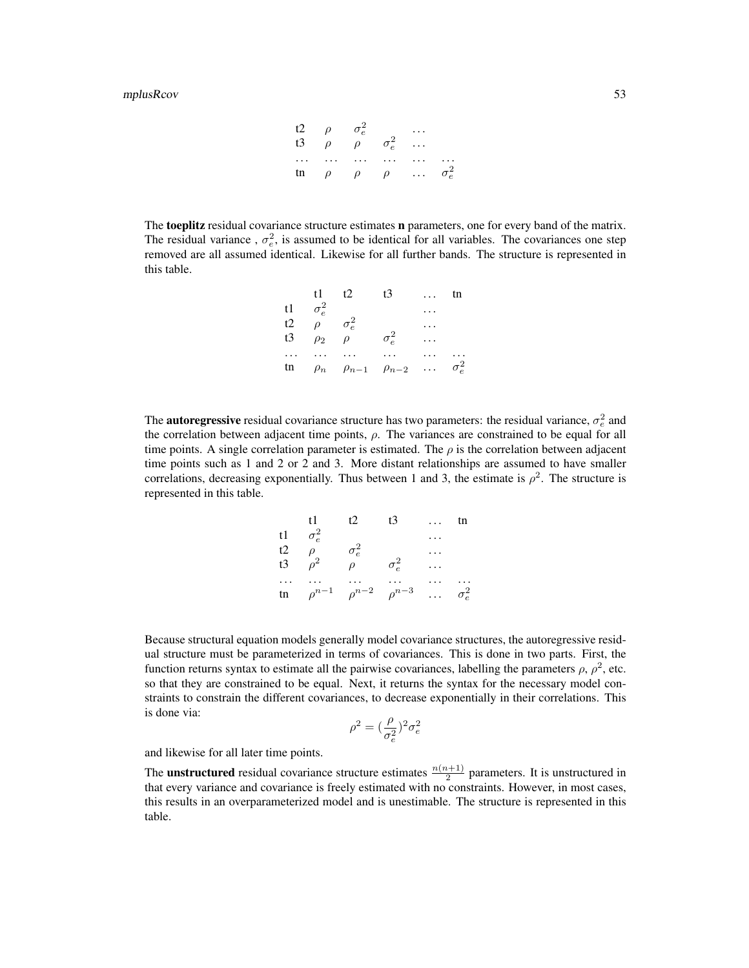| t2  | $\rho$ | $\sigma_e^2$ | ...          |     |              |
|-----|--------|--------------|--------------|-----|--------------|
| t3  | $\rho$ | $\rho$       | $\sigma_e^2$ | ... |              |
| ... | ...    | ...          | ...          | ... | ...          |
| tn  | $\rho$ | $\rho$       | $\rho$       | ... | $\sigma_e^2$ |

The toeplitz residual covariance structure estimates **n** parameters, one for every band of the matrix. The residual variance,  $\sigma_e^2$ , is assumed to be identical for all variables. The covariances one step removed are all assumed identical. Likewise for all further bands. The structure is represented in this table.

|    | t1.          | t2                                 | t3           | $\cdots$ | tn           |
|----|--------------|------------------------------------|--------------|----------|--------------|
| t1 | $\sigma_e^2$ |                                    |              |          |              |
| t2 | $\rho$       | $\sigma_e^2$                       |              |          |              |
| t3 | $\rho_2$     | $\rho$                             | $\sigma_e^2$ |          |              |
|    |              |                                    |              |          |              |
| tn |              | $\rho_n$ $\rho_{n-1}$ $\rho_{n-2}$ |              | $\cdots$ | $\sigma_e^2$ |

The **autoregressive** residual covariance structure has two parameters: the residual variance,  $\sigma_e^2$  and the correlation between adjacent time points,  $\rho$ . The variances are constrained to be equal for all time points. A single correlation parameter is estimated. The  $\rho$  is the correlation between adjacent time points such as 1 and 2 or 2 and 3. More distant relationships are assumed to have smaller correlations, decreasing exponentially. Thus between 1 and 3, the estimate is  $\rho^2$ . The structure is represented in this table.

|          | t1           | t2           | t3           | tn           |
|----------|--------------|--------------|--------------|--------------|
| t1       | $\sigma_e^2$ |              |              |              |
| t2<br>t3 |              | $\sigma_e^2$ |              |              |
|          | $\rho^2$     | $\rho$       | $\sigma_e^2$ |              |
|          |              |              |              |              |
| tn       | $\rho^{n-1}$ | $\rho^{n-2}$ | $\rho^{n-3}$ | $\sigma_e^2$ |

Because structural equation models generally model covariance structures, the autoregressive residual structure must be parameterized in terms of covariances. This is done in two parts. First, the function returns syntax to estimate all the pairwise covariances, labelling the parameters  $\rho$ ,  $\rho^2$ , etc. so that they are constrained to be equal. Next, it returns the syntax for the necessary model constraints to constrain the different covariances, to decrease exponentially in their correlations. This is done via:

$$
\rho^2 = (\frac{\rho}{\sigma_e^2})^2 \sigma_e^2
$$

and likewise for all later time points.

The **unstructured** residual covariance structure estimates  $\frac{n(n+1)}{2}$  parameters. It is unstructured in that every variance and covariance is freely estimated with no constraints. However, in most cases, this results in an overparameterized model and is unestimable. The structure is represented in this table.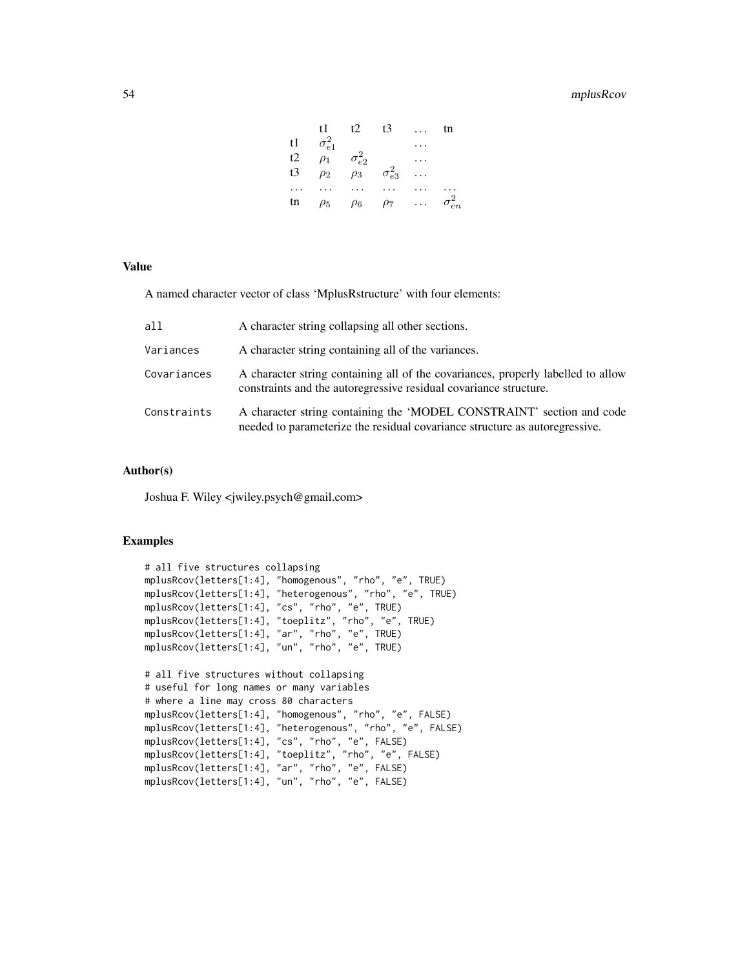# 54 mplusRcov

|    | t1.             | t2.             | t3              | tn              |
|----|-----------------|-----------------|-----------------|-----------------|
| t1 | $\sigma_{e1}^2$ |                 |                 |                 |
| t2 | $\rho_1$        | $\sigma_{e2}^2$ |                 |                 |
| t3 | $\rho_2$        | $\rho_3$        | $\sigma_{e3}^2$ |                 |
|    |                 |                 |                 |                 |
| tn | $\rho_5$        | $\rho_6$        | $\rho_7$        | $\sigma_{en}^2$ |

#### Value

A named character vector of class 'MplusRstructure' with four elements:

| all         | A character string collapsing all other sections.                                                                                                     |
|-------------|-------------------------------------------------------------------------------------------------------------------------------------------------------|
| Variances   | A character string containing all of the variances.                                                                                                   |
| Covariances | A character string containing all of the covariances, properly labelled to allow<br>constraints and the autoregressive residual covariance structure. |
| Constraints | A character string containing the 'MODEL CONSTRAINT' section and code<br>needed to parameterize the residual covariance structure as autoregressive.  |

#### Author(s)

Joshua F. Wiley <jwiley.psych@gmail.com>

### Examples

```
# all five structures collapsing
mplusRcov(letters[1:4], "homogenous", "rho", "e", TRUE)
mplusRcov(letters[1:4], "heterogenous", "rho", "e", TRUE)
mplusRcov(letters[1:4], "cs", "rho", "e", TRUE)
mplusRcov(letters[1:4], "toeplitz", "rho", "e", TRUE)
mplusRcov(letters[1:4], "ar", "rho", "e", TRUE)
mplusRcov(letters[1:4], "un", "rho", "e", TRUE)
# all five structures without collapsing
# useful for long names or many variables
# where a line may cross 80 characters
mplusRcov(letters[1:4], "homogenous", "rho", "e", FALSE)
mplusRcov(letters[1:4], "heterogenous", "rho", "e", FALSE)
mplusRcov(letters[1:4], "cs", "rho", "e", FALSE)
mplusRcov(letters[1:4], "toeplitz", "rho", "e", FALSE)
mplusRcov(letters[1:4], "ar", "rho", "e", FALSE)
mplusRcov(letters[1:4], "un", "rho", "e", FALSE)
```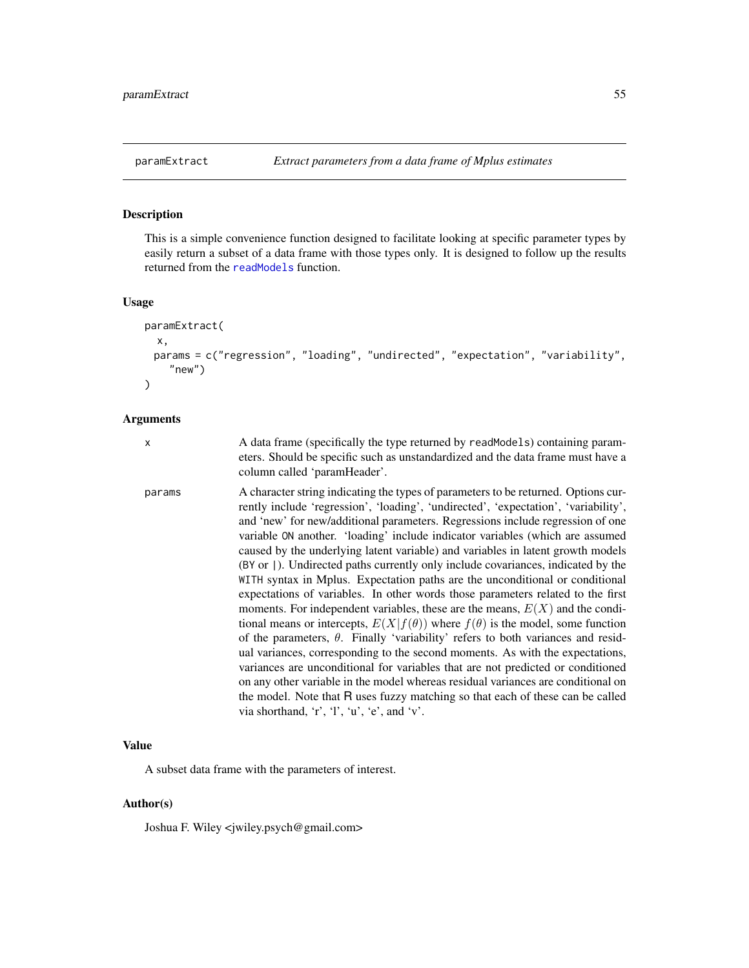### Description

This is a simple convenience function designed to facilitate looking at specific parameter types by easily return a subset of a data frame with those types only. It is designed to follow up the results returned from the [readModels](#page-67-0) function.

#### Usage

```
paramExtract(
  x,
 params = c("regression", "loading", "undirected", "expectation", "variability",
    "new")
\mathcal{L}
```
#### Arguments

| ř, |  |
|----|--|
| I  |  |
|    |  |
|    |  |
| í. |  |

x A data frame (specifically the type returned by readModels) containing parameters. Should be specific such as unstandardized and the data frame must have a column called 'paramHeader'.

params A character string indicating the types of parameters to be returned. Options currently include 'regression', 'loading', 'undirected', 'expectation', 'variability', and 'new' for new/additional parameters. Regressions include regression of one variable ON another. 'loading' include indicator variables (which are assumed caused by the underlying latent variable) and variables in latent growth models (BY or |). Undirected paths currently only include covariances, indicated by the WITH syntax in Mplus. Expectation paths are the unconditional or conditional expectations of variables. In other words those parameters related to the first moments. For independent variables, these are the means,  $E(X)$  and the conditional means or intercepts,  $E(X|f(\theta))$  where  $f(\theta)$  is the model, some function of the parameters,  $\theta$ . Finally 'variability' refers to both variances and residual variances, corresponding to the second moments. As with the expectations, variances are unconditional for variables that are not predicted or conditioned on any other variable in the model whereas residual variances are conditional on the model. Note that R uses fuzzy matching so that each of these can be called via shorthand, 'r', 'l', 'u', 'e', and 'v'.

# Value

A subset data frame with the parameters of interest.

### Author(s)

Joshua F. Wiley <jwiley.psych@gmail.com>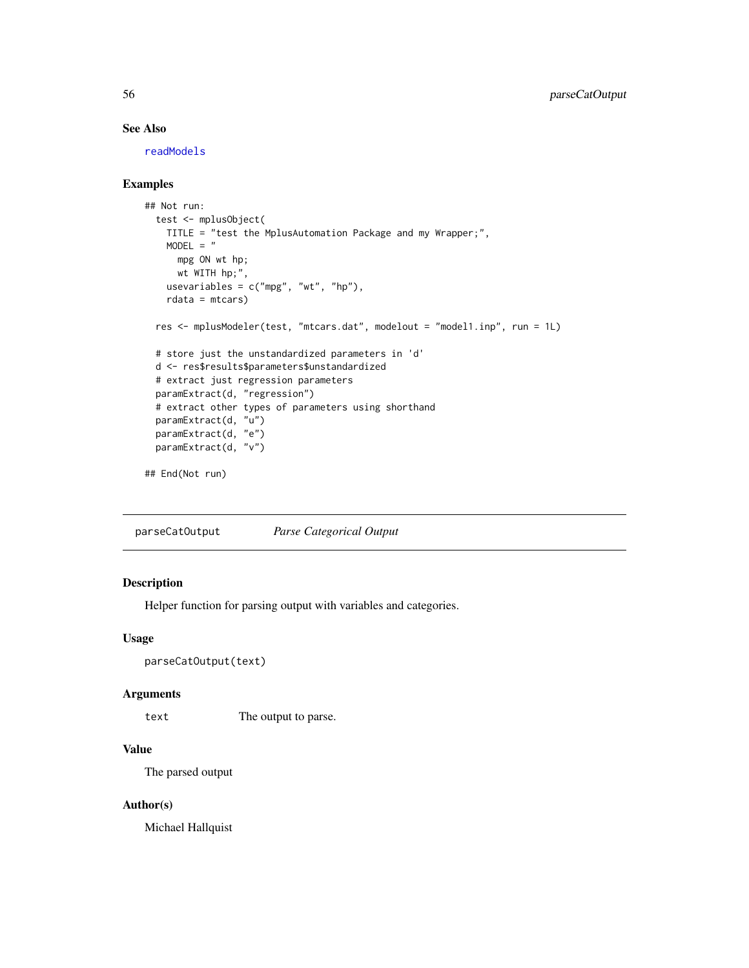# See Also

[readModels](#page-67-0)

## Examples

```
## Not run:
 test <- mplusObject(
   TITLE = "test the MplusAutomation Package and my Wrapper;",
   MODEL = "mpg ON wt hp;
     wt WITH hp;",
   usevariables = c("mpg", "wt", "hp"),rdata = mtcars)
 res <- mplusModeler(test, "mtcars.dat", modelout = "model1.inp", run = 1L)
 # store just the unstandardized parameters in 'd'
 d <- res$results$parameters$unstandardized
 # extract just regression parameters
 paramExtract(d, "regression")
 # extract other types of parameters using shorthand
 paramExtract(d, "u")
 paramExtract(d, "e")
 paramExtract(d, "v")
## End(Not run)
```
parseCatOutput *Parse Categorical Output*

### Description

Helper function for parsing output with variables and categories.

#### Usage

```
parseCatOutput(text)
```
# Arguments

text The output to parse.

# Value

The parsed output

#### Author(s)

Michael Hallquist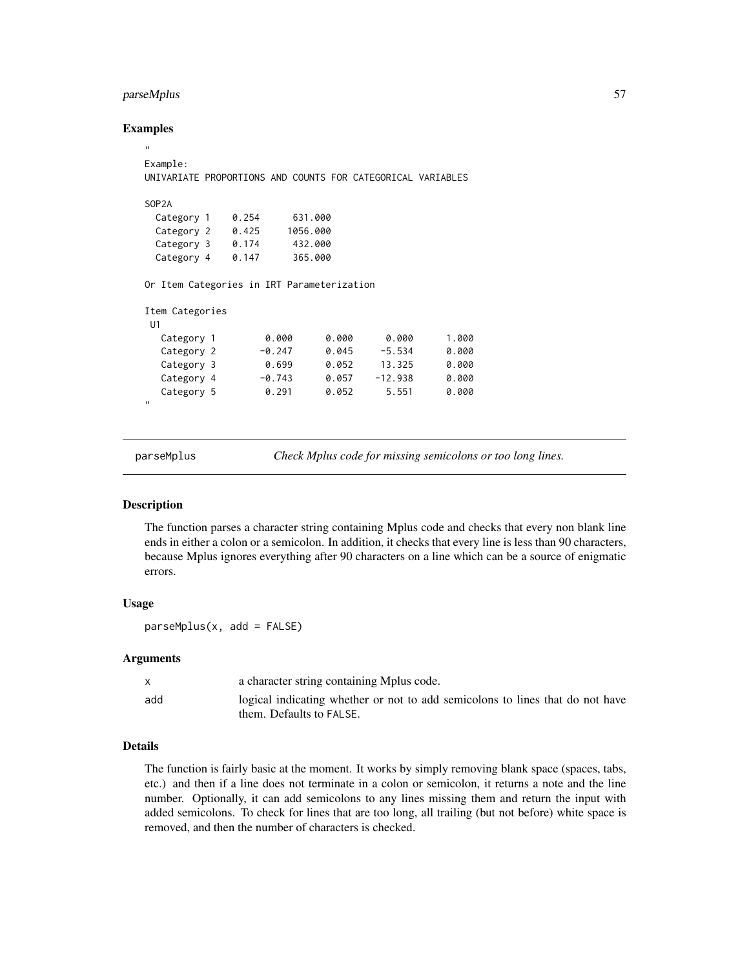# parseMplus 57

### Examples

```
"
Example:
UNIVARIATE PROPORTIONS AND COUNTS FOR CATEGORICAL VARIABLES
SOP2A
 Category 1  0.254  631.000
 Category 2 0.425 1056.000
 Category 3 0.174 432.000
 Category 4 0.147 365.000
Or Item Categories in IRT Parameterization
Item Categories
U1
  Category 1 0.000 0.000 0.000 1.000
  Category 2 -0.247 0.045 -5.534 0.000
  Category 3 0.699 0.052 13.325 0.000
  Category 4 -0.743 0.057 -12.938 0.000
  Category 5 0.291 0.052 5.551 0.000
"
```
parseMplus *Check Mplus code for missing semicolons or too long lines.*

# Description

The function parses a character string containing Mplus code and checks that every non blank line ends in either a colon or a semicolon. In addition, it checks that every line is less than 90 characters, because Mplus ignores everything after 90 characters on a line which can be a source of enigmatic errors.

# Usage

parseMplus(x, add = FALSE)

#### Arguments

|     | a character string containing Mplus code.                                                                 |
|-----|-----------------------------------------------------------------------------------------------------------|
| add | logical indicating whether or not to add semicolons to lines that do not have<br>them. Defaults to FALSE. |

# Details

The function is fairly basic at the moment. It works by simply removing blank space (spaces, tabs, etc.) and then if a line does not terminate in a colon or semicolon, it returns a note and the line number. Optionally, it can add semicolons to any lines missing them and return the input with added semicolons. To check for lines that are too long, all trailing (but not before) white space is removed, and then the number of characters is checked.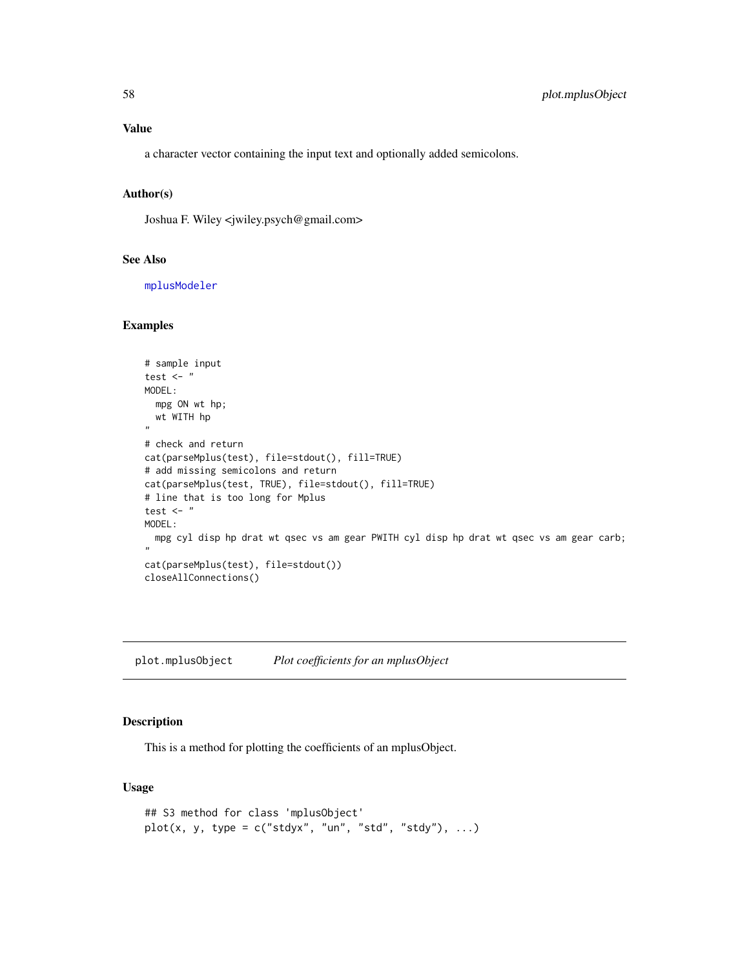# Value

a character vector containing the input text and optionally added semicolons.

# Author(s)

Joshua F. Wiley <jwiley.psych@gmail.com>

#### See Also

[mplusModeler](#page-41-0)

#### Examples

```
# sample input
test \leftarrow "
MODEL:
 mpg ON wt hp;
 wt WITH hp
"
# check and return
cat(parseMplus(test), file=stdout(), fill=TRUE)
# add missing semicolons and return
cat(parseMplus(test, TRUE), file=stdout(), fill=TRUE)
# line that is too long for Mplus
test \leftarrow "
MODEL:
 mpg cyl disp hp drat wt qsec vs am gear PWITH cyl disp hp drat wt qsec vs am gear carb;
"
cat(parseMplus(test), file=stdout())
closeAllConnections()
```
plot.mplusObject *Plot coefficients for an mplusObject*

#### Description

This is a method for plotting the coefficients of an mplusObject.

# Usage

```
## S3 method for class 'mplusObject'
plot(x, y, type = c("stdyx", "un", "std", "stdy"), ...)
```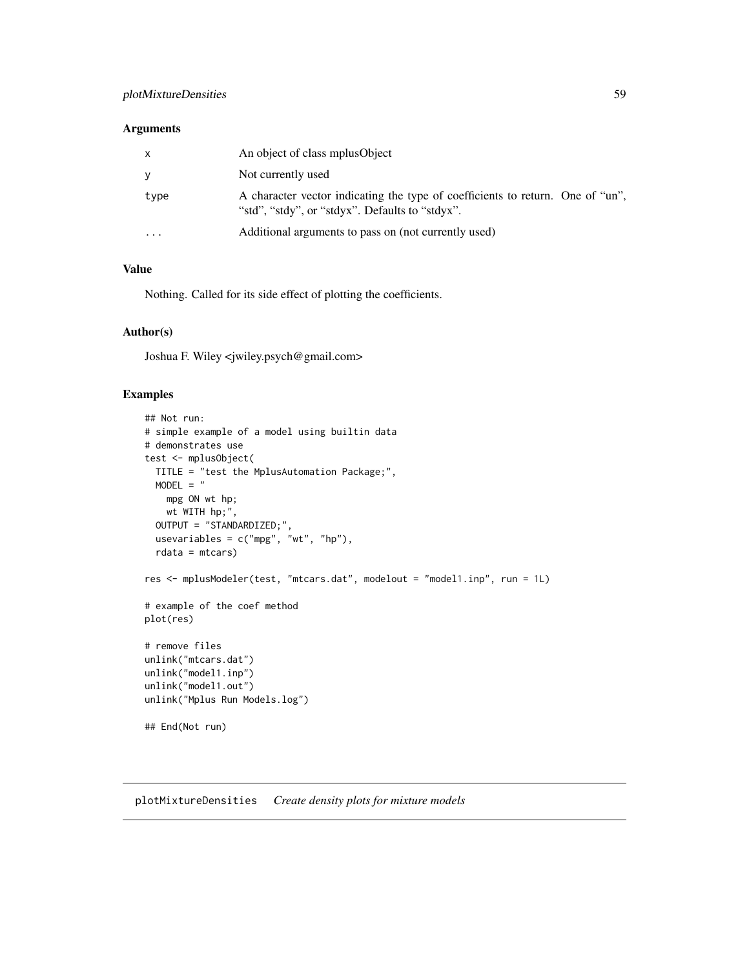# plotMixtureDensities 59

### Arguments

| $\mathsf{x}$ | An object of class mplus Object                                                                                                   |
|--------------|-----------------------------------------------------------------------------------------------------------------------------------|
| y            | Not currently used                                                                                                                |
| type         | A character vector indicating the type of coefficients to return. One of "un",<br>"std", "stdy", or "stdyx". Defaults to "stdyx". |
| .            | Additional arguments to pass on (not currently used)                                                                              |

# Value

Nothing. Called for its side effect of plotting the coefficients.

### Author(s)

Joshua F. Wiley <jwiley.psych@gmail.com>

# Examples

```
## Not run:
# simple example of a model using builtin data
# demonstrates use
test <- mplusObject(
 TITLE = "test the MplusAutomation Package;",
 MODEL = "mpg ON wt hp;
   wt WITH hp;",
  OUTPUT = "STANDARDIZED;",
 usevariables = c("mpg", "wt", "hp"),
  rdata = mtcars)
res <- mplusModeler(test, "mtcars.dat", modelout = "model1.inp", run = 1L)
# example of the coef method
plot(res)
# remove files
unlink("mtcars.dat")
unlink("model1.inp")
unlink("model1.out")
unlink("Mplus Run Models.log")
## End(Not run)
```
plotMixtureDensities *Create density plots for mixture models*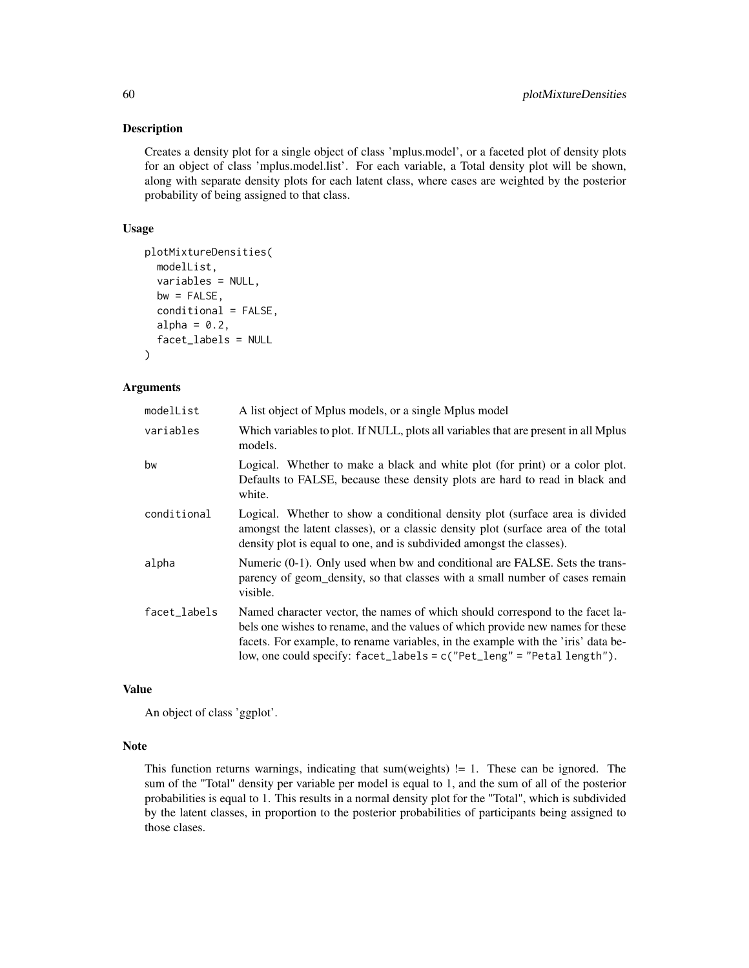# Description

Creates a density plot for a single object of class 'mplus.model', or a faceted plot of density plots for an object of class 'mplus.model.list'. For each variable, a Total density plot will be shown, along with separate density plots for each latent class, where cases are weighted by the posterior probability of being assigned to that class.

### Usage

```
plotMixtureDensities(
  modelList,
  variables = NULL,
  bw = FALSE,conditional = FALSE,
  alpha = 0.2,
  facet_labels = NULL
\lambda
```
### Arguments

| modelList    | A list object of Mplus models, or a single Mplus model                                                                                                                                                                                                                                                                         |
|--------------|--------------------------------------------------------------------------------------------------------------------------------------------------------------------------------------------------------------------------------------------------------------------------------------------------------------------------------|
| variables    | Which variables to plot. If NULL, plots all variables that are present in all Mplus<br>models.                                                                                                                                                                                                                                 |
| bw           | Logical. Whether to make a black and white plot (for print) or a color plot.<br>Defaults to FALSE, because these density plots are hard to read in black and<br>white.                                                                                                                                                         |
| conditional  | Logical. Whether to show a conditional density plot (surface area is divided<br>amongst the latent classes), or a classic density plot (surface area of the total<br>density plot is equal to one, and is subdivided amongst the classes).                                                                                     |
| alpha        | Numeric (0-1). Only used when bw and conditional are FALSE. Sets the trans-<br>parency of geom_density, so that classes with a small number of cases remain<br>visible.                                                                                                                                                        |
| facet_labels | Named character vector, the names of which should correspond to the facet la-<br>bels one wishes to rename, and the values of which provide new names for these<br>facets. For example, to rename variables, in the example with the 'iris' data be-<br>low, one could specify: facet_labels = c("Pet_leng" = "Petal length"). |

### Value

An object of class 'ggplot'.

# Note

This function returns warnings, indicating that sum(weights)  $!= 1$ . These can be ignored. The sum of the "Total" density per variable per model is equal to 1, and the sum of all of the posterior probabilities is equal to 1. This results in a normal density plot for the "Total", which is subdivided by the latent classes, in proportion to the posterior probabilities of participants being assigned to those clases.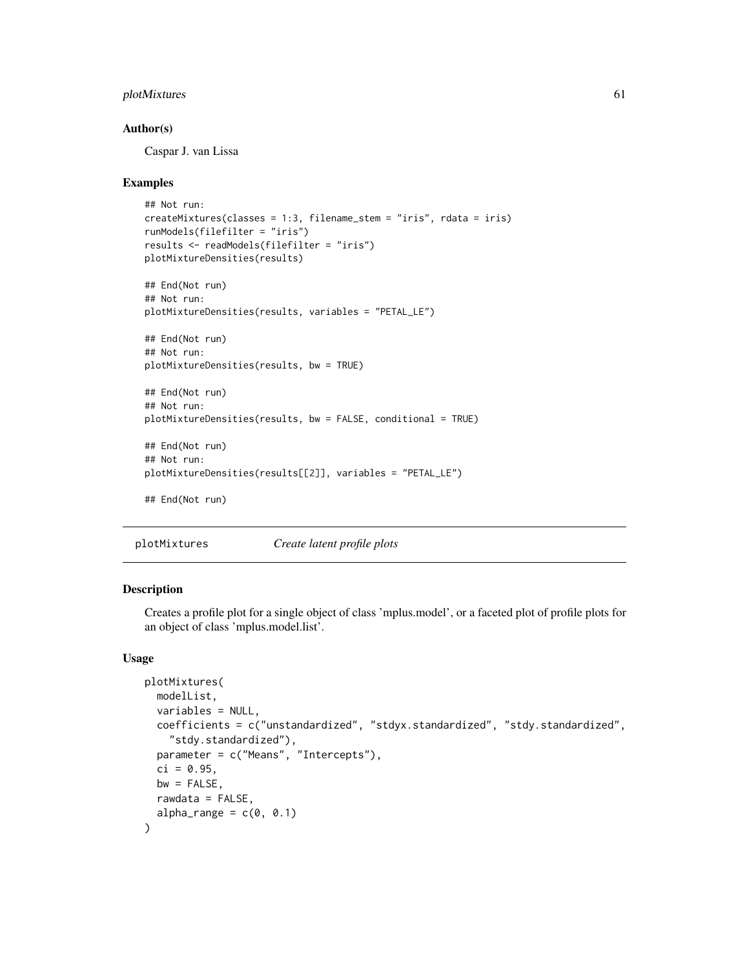# plotMixtures 61

### Author(s)

Caspar J. van Lissa

### Examples

```
## Not run:
createMixtures(classes = 1:3, filename_stem = "iris", rdata = iris)
runModels(filefilter = "iris")
results <- readModels(filefilter = "iris")
plotMixtureDensities(results)
## End(Not run)
## Not run:
plotMixtureDensities(results, variables = "PETAL_LE")
## End(Not run)
## Not run:
plotMixtureDensities(results, bw = TRUE)
## End(Not run)
## Not run:
plotMixtureDensities(results, bw = FALSE, conditional = TRUE)
## End(Not run)
## Not run:
plotMixtureDensities(results[[2]], variables = "PETAL_LE")
## End(Not run)
```
plotMixtures *Create latent profile plots*

### Description

Creates a profile plot for a single object of class 'mplus.model', or a faceted plot of profile plots for an object of class 'mplus.model.list'.

### Usage

```
plotMixtures(
 modelList,
 variables = NULL,
 coefficients = c("unstandardized", "stdyx.standardized", "stdy.standardized",
    "stdy.standardized"),
  parameter = c("Means", "Intercepts"),
 ci = 0.95,
 bw = FALSE,
 rawdata = FALSE,
  alpha_range = c(0, 0.1))
```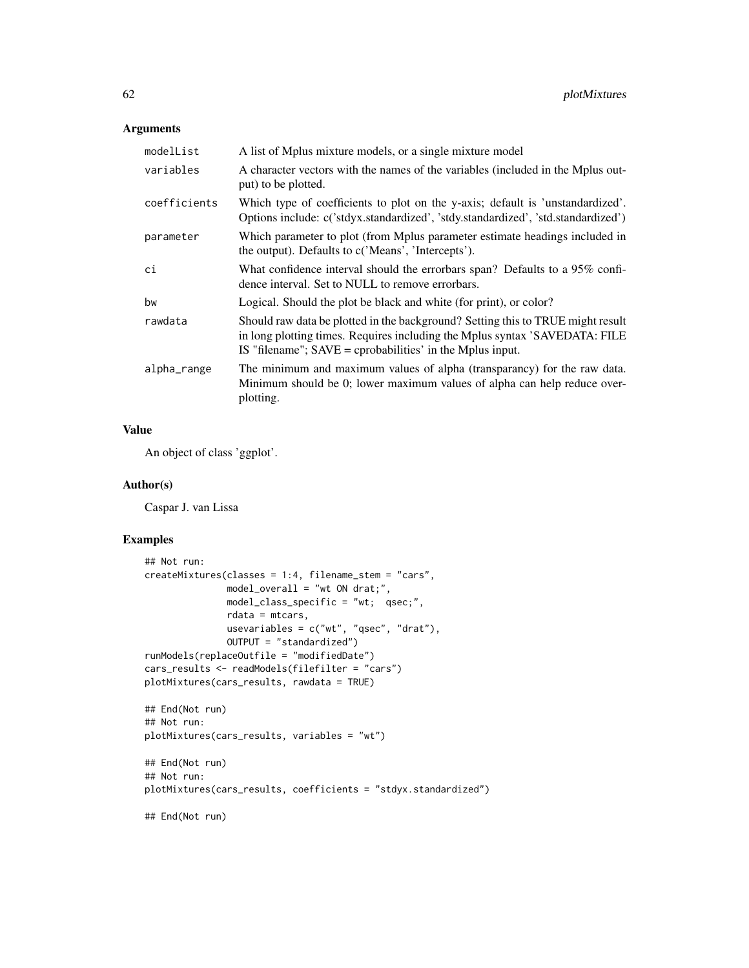# Arguments

| modelList    | A list of Mplus mixture models, or a single mixture model                                                                                                                                                                     |
|--------------|-------------------------------------------------------------------------------------------------------------------------------------------------------------------------------------------------------------------------------|
| variables    | A character vectors with the names of the variables (included in the Mplus out-<br>put) to be plotted.                                                                                                                        |
| coefficients | Which type of coefficients to plot on the y-axis; default is 'unstandardized'.<br>Options include: c('stdyx.standardized', 'stdy.standardized', 'std.standardized')                                                           |
| parameter    | Which parameter to plot (from Mplus parameter estimate headings included in<br>the output). Defaults to c('Means', 'Intercepts').                                                                                             |
| ci           | What confidence interval should the errorbars span? Defaults to a 95% confi-<br>dence interval. Set to NULL to remove errorbars.                                                                                              |
| bw           | Logical. Should the plot be black and white (for print), or color?                                                                                                                                                            |
| rawdata      | Should raw data be plotted in the background? Setting this to TRUE might result<br>in long plotting times. Requires including the Mplus syntax 'SAVEDATA: FILE<br>IS "filename"; $SAVE =$ cprobabilities' in the Mplus input. |
| alpha_range  | The minimum and maximum values of alpha (transparancy) for the raw data.<br>Minimum should be 0; lower maximum values of alpha can help reduce over-<br>plotting.                                                             |

# Value

An object of class 'ggplot'.

# Author(s)

Caspar J. van Lissa

# Examples

```
## Not run:
createMixtures(classes = 1:4, filename_stem = "cars",
              model overall = "wt ON drat;",
              model_class_specific = "wt; qsec;",
              rdata = mtcars,
              usevariables = c("wt", "qsec", "drat"),
              OUTPUT = "standardized")
runModels(replaceOutfile = "modifiedDate")
cars_results <- readModels(filefilter = "cars")
plotMixtures(cars_results, rawdata = TRUE)
## End(Not run)
## Not run:
plotMixtures(cars_results, variables = "wt")
## End(Not run)
## Not run:
plotMixtures(cars_results, coefficients = "stdyx.standardized")
## End(Not run)
```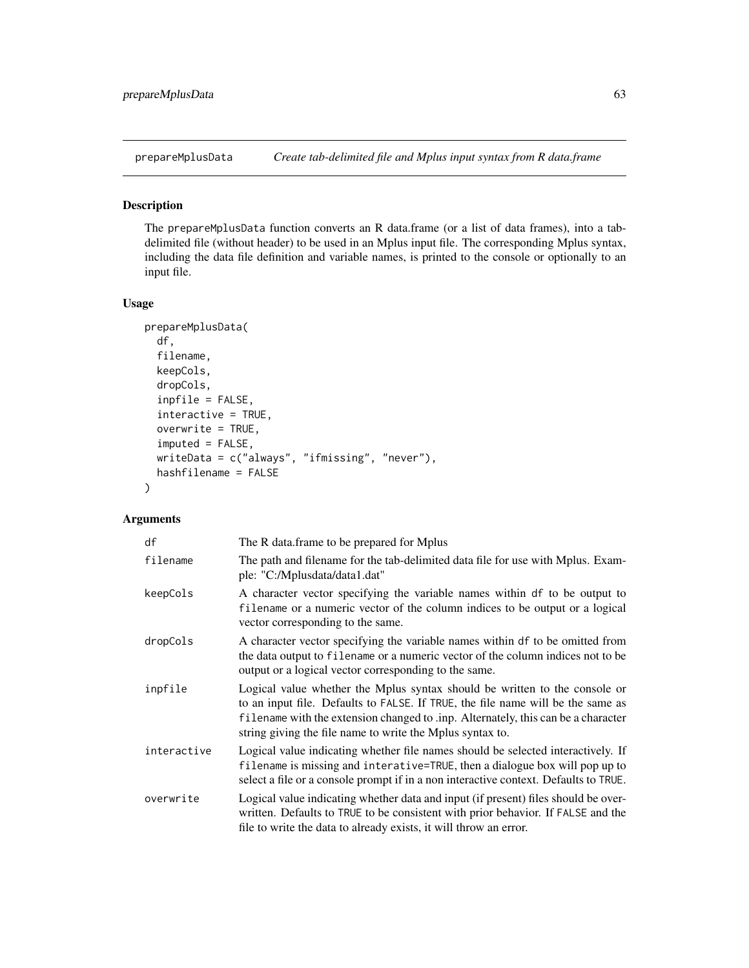<span id="page-62-0"></span>

# Description

The prepareMplusData function converts an R data.frame (or a list of data frames), into a tabdelimited file (without header) to be used in an Mplus input file. The corresponding Mplus syntax, including the data file definition and variable names, is printed to the console or optionally to an input file.

### Usage

```
prepareMplusData(
  df,
  filename,
  keepCols,
  dropCols,
  inpfile = FALSE,
  interactive = TRUE,
  overwrite = TRUE,
  imputed = FALSE,
  writeData = c("always", "ifmissing", "never"),
  hashfilename = FALSE
)
```
# Arguments

| df          | The R data.frame to be prepared for Mplus                                                                                                                                                                                                                                                                       |
|-------------|-----------------------------------------------------------------------------------------------------------------------------------------------------------------------------------------------------------------------------------------------------------------------------------------------------------------|
| filename    | The path and filename for the tab-delimited data file for use with Mplus. Exam-<br>ple: "C:/Mplusdata/data1.dat"                                                                                                                                                                                                |
| keepCols    | A character vector specifying the variable names within df to be output to<br>filename or a numeric vector of the column indices to be output or a logical<br>vector corresponding to the same.                                                                                                                 |
| dropCols    | A character vector specifying the variable names within df to be omitted from<br>the data output to filename or a numeric vector of the column indices not to be<br>output or a logical vector corresponding to the same.                                                                                       |
| inpfile     | Logical value whether the Mplus syntax should be written to the console or<br>to an input file. Defaults to FALSE. If TRUE, the file name will be the same as<br>filename with the extension changed to .inp. Alternately, this can be a character<br>string giving the file name to write the Mplus syntax to. |
| interactive | Logical value indicating whether file names should be selected interactively. If<br>filename is missing and interative=TRUE, then a dialogue box will pop up to<br>select a file or a console prompt if in a non interactive context. Defaults to TRUE.                                                         |
| overwrite   | Logical value indicating whether data and input (if present) files should be over-<br>written. Defaults to TRUE to be consistent with prior behavior. If FALSE and the<br>file to write the data to already exists, it will throw an error.                                                                     |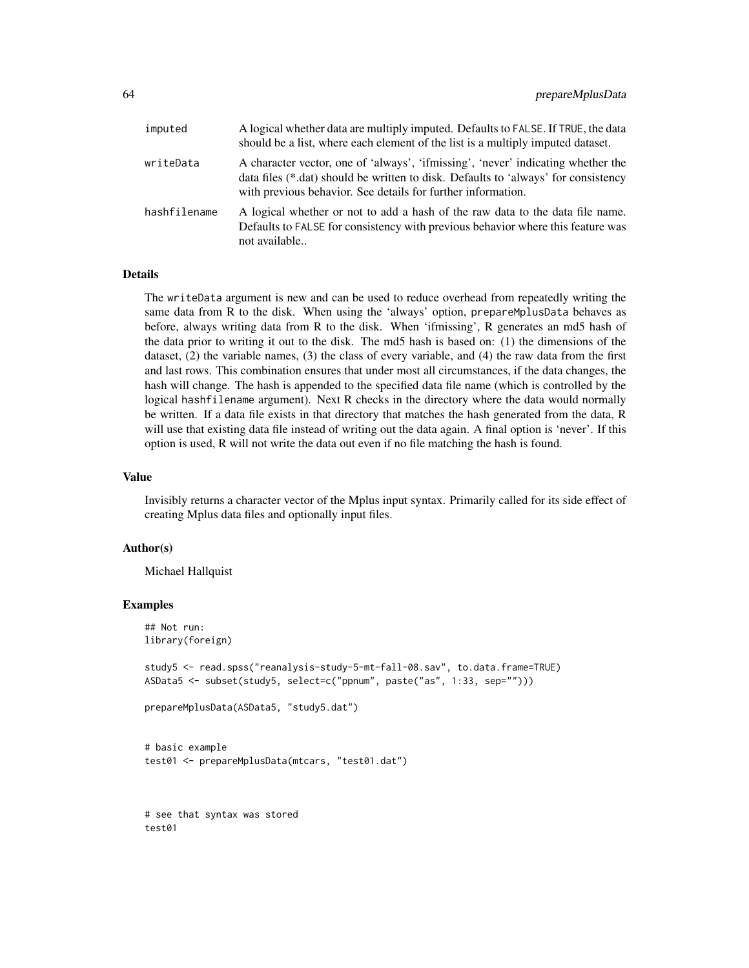| imputed      | A logical whether data are multiply imputed. Defaults to FALSE. If TRUE, the data<br>should be a list, where each element of the list is a multiply imputed dataset.                                                                   |
|--------------|----------------------------------------------------------------------------------------------------------------------------------------------------------------------------------------------------------------------------------------|
| writeData    | A character vector, one of 'always', 'ifmissing', 'never' indicating whether the<br>data files (*.dat) should be written to disk. Defaults to 'always' for consistency<br>with previous behavior. See details for further information. |
| hashfilename | A logical whether or not to add a hash of the raw data to the data file name.<br>Defaults to FALSE for consistency with previous behavior where this feature was<br>not available                                                      |

### Details

The writeData argument is new and can be used to reduce overhead from repeatedly writing the same data from R to the disk. When using the 'always' option, prepareMplusData behaves as before, always writing data from R to the disk. When 'ifmissing', R generates an md5 hash of the data prior to writing it out to the disk. The md5 hash is based on: (1) the dimensions of the dataset, (2) the variable names, (3) the class of every variable, and (4) the raw data from the first and last rows. This combination ensures that under most all circumstances, if the data changes, the hash will change. The hash is appended to the specified data file name (which is controlled by the logical hashfilename argument). Next R checks in the directory where the data would normally be written. If a data file exists in that directory that matches the hash generated from the data, R will use that existing data file instead of writing out the data again. A final option is 'never'. If this option is used, R will not write the data out even if no file matching the hash is found.

### Value

Invisibly returns a character vector of the Mplus input syntax. Primarily called for its side effect of creating Mplus data files and optionally input files.

#### Author(s)

Michael Hallquist

### Examples

```
## Not run:
library(foreign)
study5 <- read.spss("reanalysis-study-5-mt-fall-08.sav", to.data.frame=TRUE)
ASData5 <- subset(study5, select=c("ppnum", paste("as", 1:33, sep="")))
prepareMplusData(ASData5, "study5.dat")
```

```
# basic example
test01 <- prepareMplusData(mtcars, "test01.dat")
```
# see that syntax was stored test01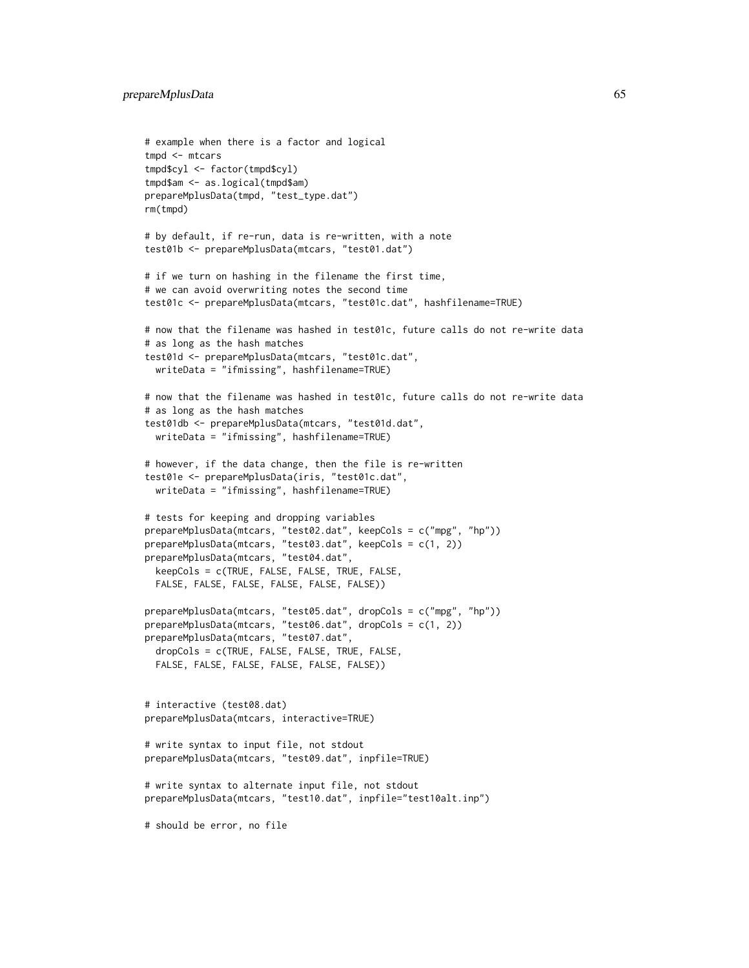```
# example when there is a factor and logical
tmpd <- mtcars
tmpd$cyl <- factor(tmpd$cyl)
tmpd$am <- as.logical(tmpd$am)
prepareMplusData(tmpd, "test_type.dat")
rm(tmpd)
# by default, if re-run, data is re-written, with a note
test01b <- prepareMplusData(mtcars, "test01.dat")
# if we turn on hashing in the filename the first time,
# we can avoid overwriting notes the second time
test01c <- prepareMplusData(mtcars, "test01c.dat", hashfilename=TRUE)
# now that the filename was hashed in test01c, future calls do not re-write data
# as long as the hash matches
test01d <- prepareMplusData(mtcars, "test01c.dat",
 writeData = "ifmissing", hashfilename=TRUE)
# now that the filename was hashed in test01c, future calls do not re-write data
# as long as the hash matches
test01db <- prepareMplusData(mtcars, "test01d.dat",
 writeData = "ifmissing", hashfilename=TRUE)
# however, if the data change, then the file is re-written
test01e <- prepareMplusData(iris, "test01c.dat",
 writeData = "ifmissing", hashfilename=TRUE)
# tests for keeping and dropping variables
prepareMplusData(mtcars, "test02.dat", keepCols = c("mpg", "hp"))
prepareMplusData(mtcars, "test03.dat", keepCols = c(1, 2))
prepareMplusData(mtcars, "test04.dat",
 keepCols = c(TRUE, FALSE, FALSE, TRUE, FALSE,
 FALSE, FALSE, FALSE, FALSE, FALSE, FALSE))
prepareMplusData(mtcars, "test05.dat", dropCols = c("mpg", "hp"))
prepareMplusData(mtcars, "test06.dat", dropCols = c(1, 2))
prepareMplusData(mtcars, "test07.dat",
 dropCols = c(TRUE, FALSE, FALSE, TRUE, FALSE,
 FALSE, FALSE, FALSE, FALSE, FALSE, FALSE))
# interactive (test08.dat)
prepareMplusData(mtcars, interactive=TRUE)
# write syntax to input file, not stdout
prepareMplusData(mtcars, "test09.dat", inpfile=TRUE)
# write syntax to alternate input file, not stdout
prepareMplusData(mtcars, "test10.dat", inpfile="test10alt.inp")
# should be error, no file
```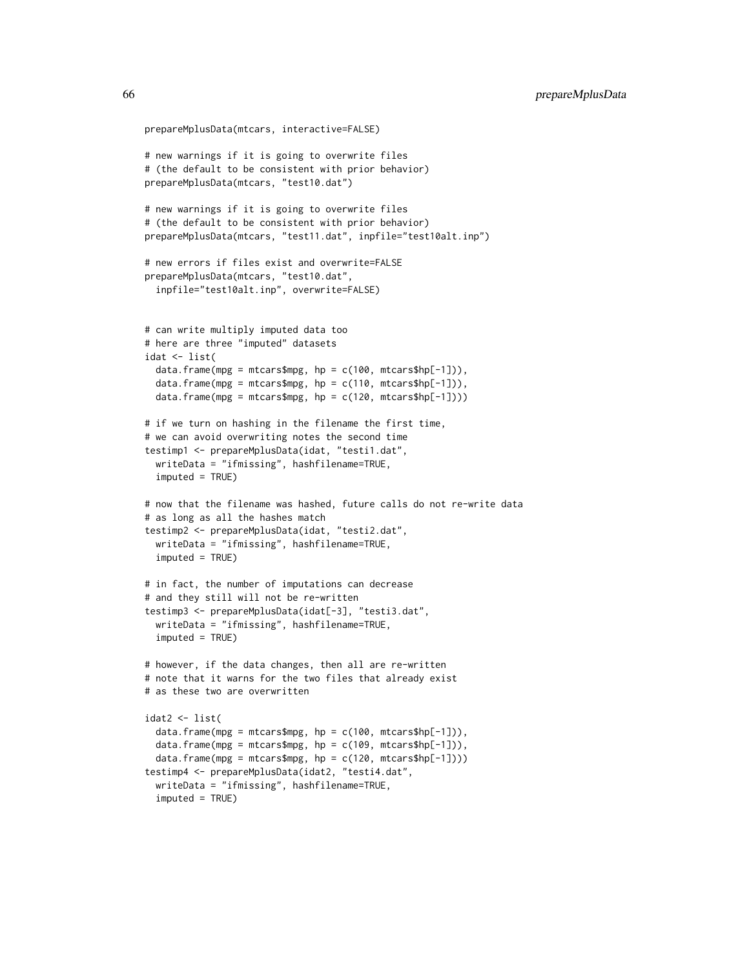```
prepareMplusData(mtcars, interactive=FALSE)
# new warnings if it is going to overwrite files
# (the default to be consistent with prior behavior)
prepareMplusData(mtcars, "test10.dat")
# new warnings if it is going to overwrite files
# (the default to be consistent with prior behavior)
prepareMplusData(mtcars, "test11.dat", inpfile="test10alt.inp")
# new errors if files exist and overwrite=FALSE
prepareMplusData(mtcars, "test10.dat",
 inpfile="test10alt.inp", overwrite=FALSE)
# can write multiply imputed data too
# here are three "imputed" datasets
idat <- list(
 data.frame(mpg = mtcars$mpg, hp = c(100, mtcars$hp[-1])),
 data.frame(mpg = mtcars$mpg, hp = c(110, \text{mtcars}$hp[-1])),
 data.frame(mpg = mtcars$mpg, hp = c(120, mtcars$hp[-1])))
# if we turn on hashing in the filename the first time,
# we can avoid overwriting notes the second time
testimp1 <- prepareMplusData(idat, "testi1.dat",
 writeData = "ifmissing", hashfilename=TRUE,
 imputed = TRUE)
# now that the filename was hashed, future calls do not re-write data
# as long as all the hashes match
testimp2 <- prepareMplusData(idat, "testi2.dat",
 writeData = "ifmissing", hashfilename=TRUE,
 imputed = TRUE)
# in fact, the number of imputations can decrease
# and they still will not be re-written
testimp3 <- prepareMplusData(idat[-3], "testi3.dat",
 writeData = "ifmissing", hashfilename=TRUE,
 imputed = TRUE)
# however, if the data changes, then all are re-written
# note that it warns for the two files that already exist
# as these two are overwritten
idat2 < - list(data.frame(mpg = mtcars$mpg, hp = c(100, \text{mtcars}$hp[-1])),
 data.frame(mpg = mtcars$mpg, hp = c(109, mtcars$hp[-1])),
 data.frame(mpg = mtcars$mpg, hp = c(120, mtcars$hp[-1])))
testimp4 <- prepareMplusData(idat2, "testi4.dat",
 writeData = "ifmissing", hashfilename=TRUE,
 imputed = TRUE)
```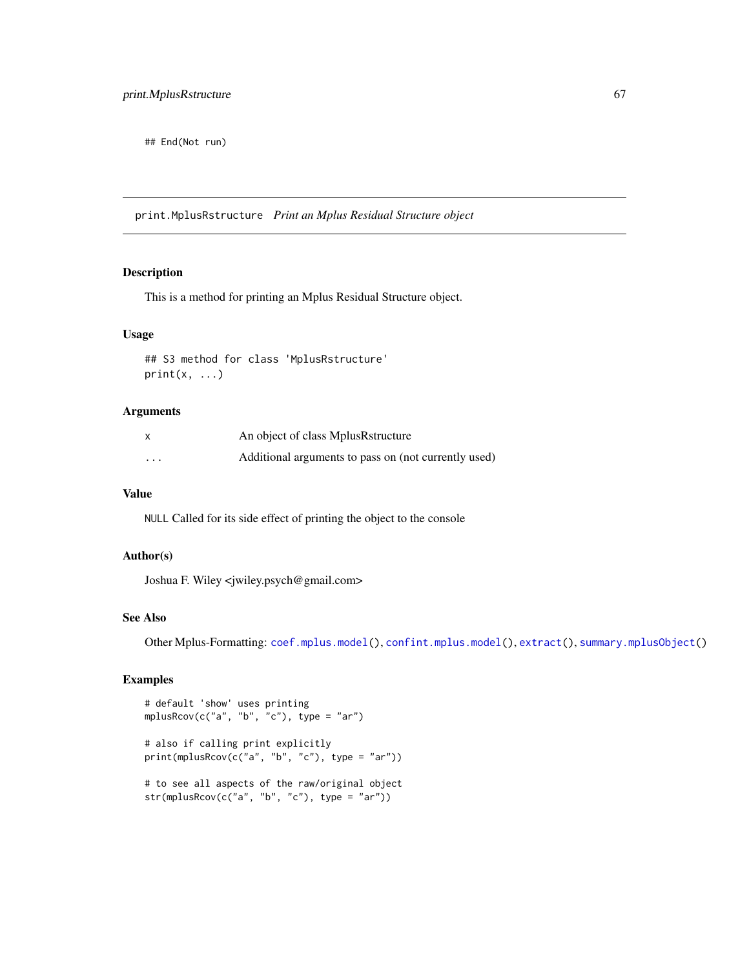## End(Not run)

print.MplusRstructure *Print an Mplus Residual Structure object*

### Description

This is a method for printing an Mplus Residual Structure object.

### Usage

## S3 method for class 'MplusRstructure'  $print(x, \ldots)$ 

### Arguments

|                         | An object of class MplusRstructure                   |
|-------------------------|------------------------------------------------------|
| $\cdot$ $\cdot$ $\cdot$ | Additional arguments to pass on (not currently used) |

### Value

NULL Called for its side effect of printing the object to the console

#### Author(s)

Joshua F. Wiley <jwiley.psych@gmail.com>

# See Also

Other Mplus-Formatting: [coef.mplus.model\(](#page-4-0)), [confint.mplus.model\(](#page-8-0)), [extract\(](#page-15-0)), [summary.mplusObject\(](#page-74-0))

# Examples

```
# default 'show' uses printing
mplusRcov(c("a", "b", "c"), type = "ar")
# also if calling print explicitly
print(mplusRcov(c("a", "b", "c"), type = "ar"))
# to see all aspects of the raw/original object
str(mplusRcov(c("a", "b", "c"), type = "ar"))
```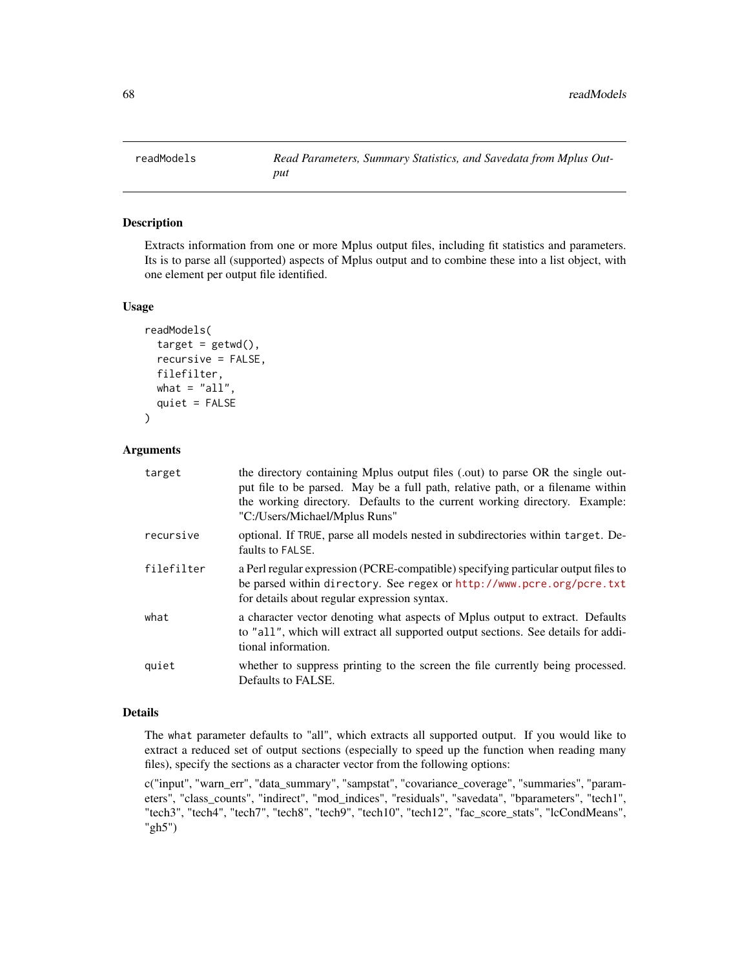<span id="page-67-0"></span>

### Description

Extracts information from one or more Mplus output files, including fit statistics and parameters. Its is to parse all (supported) aspects of Mplus output and to combine these into a list object, with one element per output file identified.

### Usage

```
readModels(
  target = getwd(),
  recursive = FALSE,
  filefilter,
  what = "all",quiet = FALSE\mathcal{E}
```
# Arguments

| target     | the directory containing Mplus output files (.out) to parse OR the single out-<br>put file to be parsed. May be a full path, relative path, or a filename within<br>the working directory. Defaults to the current working directory. Example:<br>"C:/Users/Michael/Mplus Runs" |
|------------|---------------------------------------------------------------------------------------------------------------------------------------------------------------------------------------------------------------------------------------------------------------------------------|
| recursive  | optional. If TRUE, parse all models nested in subdirectories within target. De-<br>faults to FALSE.                                                                                                                                                                             |
| filefilter | a Perl regular expression (PCRE-compatible) specifying particular output files to<br>be parsed within directory. See regex or http://www.pcre.org/pcre.txt<br>for details about regular expression syntax.                                                                      |
| what       | a character vector denoting what aspects of Mplus output to extract. Defaults<br>to "all", which will extract all supported output sections. See details for addi-<br>tional information.                                                                                       |
| quiet      | whether to suppress printing to the screen the file currently being processed.<br>Defaults to FALSE.                                                                                                                                                                            |

# Details

The what parameter defaults to "all", which extracts all supported output. If you would like to extract a reduced set of output sections (especially to speed up the function when reading many files), specify the sections as a character vector from the following options:

c("input", "warn\_err", "data\_summary", "sampstat", "covariance\_coverage", "summaries", "parameters", "class\_counts", "indirect", "mod\_indices", "residuals", "savedata", "bparameters", "tech1", "tech3", "tech4", "tech7", "tech8", "tech9", "tech10", "tech12", "fac\_score\_stats", "lcCondMeans", "gh5")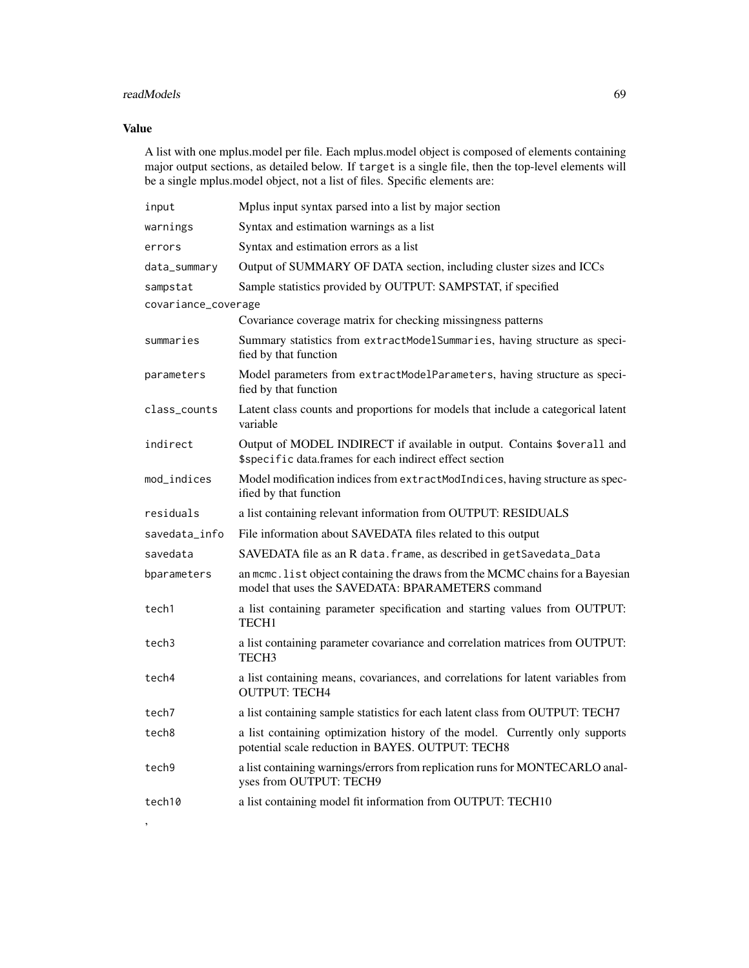# readModels 69

# Value

'

A list with one mplus.model per file. Each mplus.model object is composed of elements containing major output sections, as detailed below. If target is a single file, then the top-level elements will be a single mplus.model object, not a list of files. Specific elements are:

| input               | Mplus input syntax parsed into a list by major section                                                                             |
|---------------------|------------------------------------------------------------------------------------------------------------------------------------|
| warnings            | Syntax and estimation warnings as a list                                                                                           |
| errors              | Syntax and estimation errors as a list                                                                                             |
| data_summary        | Output of SUMMARY OF DATA section, including cluster sizes and ICCs                                                                |
| sampstat            | Sample statistics provided by OUTPUT: SAMPSTAT, if specified                                                                       |
| covariance_coverage |                                                                                                                                    |
|                     | Covariance coverage matrix for checking missingness patterns                                                                       |
| summaries           | Summary statistics from extractModelSummaries, having structure as speci-<br>fied by that function                                 |
| parameters          | Model parameters from extractModelParameters, having structure as speci-<br>fied by that function                                  |
| class_counts        | Latent class counts and proportions for models that include a categorical latent<br>variable                                       |
| indirect            | Output of MODEL INDIRECT if available in output. Contains \$overall and<br>\$specific data.frames for each indirect effect section |
| mod_indices         | Model modification indices from extractModIndices, having structure as spec-<br>ified by that function                             |
| residuals           | a list containing relevant information from OUTPUT: RESIDUALS                                                                      |
| savedata info       | File information about SAVEDATA files related to this output                                                                       |
| savedata            | SAVEDATA file as an R data. frame, as described in getSavedata_Data                                                                |
| bparameters         | an mcmc. list object containing the draws from the MCMC chains for a Bayesian<br>model that uses the SAVEDATA: BPARAMETERS command |
| tech1               | a list containing parameter specification and starting values from OUTPUT:<br>TECH1                                                |
| tech3               | a list containing parameter covariance and correlation matrices from OUTPUT:<br>TECH3                                              |
| tech4               | a list containing means, covariances, and correlations for latent variables from<br><b>OUTPUT: TECH4</b>                           |
| tech7               | a list containing sample statistics for each latent class from OUTPUT: TECH7                                                       |
| tech8               | a list containing optimization history of the model. Currently only supports<br>potential scale reduction in BAYES. OUTPUT: TECH8  |
| tech9               | a list containing warnings/errors from replication runs for MONTECARLO anal-<br>yses from OUTPUT: TECH9                            |
| tech10              | a list containing model fit information from OUTPUT: TECH10                                                                        |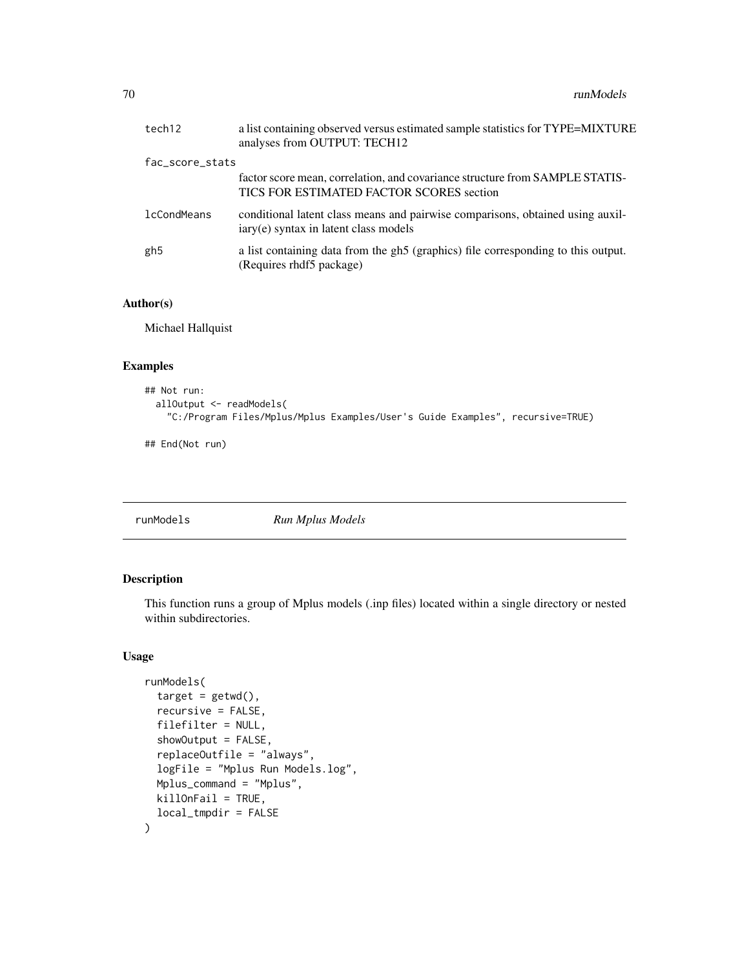| tech12             | a list containing observed versus estimated sample statistics for TYPE=MIXTURE<br>analyses from OUTPUT: TECH12           |
|--------------------|--------------------------------------------------------------------------------------------------------------------------|
| fac_score_stats    |                                                                                                                          |
|                    | factor score mean, correlation, and covariance structure from SAMPLE STATIS-<br>TICS FOR ESTIMATED FACTOR SCORES section |
| <b>lcCondMeans</b> | conditional latent class means and pairwise comparisons, obtained using auxil-<br>iary(e) syntax in latent class models  |
| gh5                | a list containing data from the gh5 (graphics) file corresponding to this output.<br>(Requires rhdf5 package)            |

### Author(s)

Michael Hallquist

### Examples

```
## Not run:
 allOutput <- readModels(
    "C:/Program Files/Mplus/Mplus Examples/User's Guide Examples", recursive=TRUE)
```
## End(Not run)

<span id="page-69-0"></span>runModels *Run Mplus Models*

# Description

This function runs a group of Mplus models (.inp files) located within a single directory or nested within subdirectories.

### Usage

```
runModels(
  target = getwd(),recursive = FALSE,
  filefilter = NULL,
  showOutput = FALSE,
  replaceOutfile = "always",
  logFile = "Mplus Run Models.log",
 Mplus_command = "Mplus",
 killOnFail = TRUE,
  local_tmpdir = FALSE
\mathcal{E}
```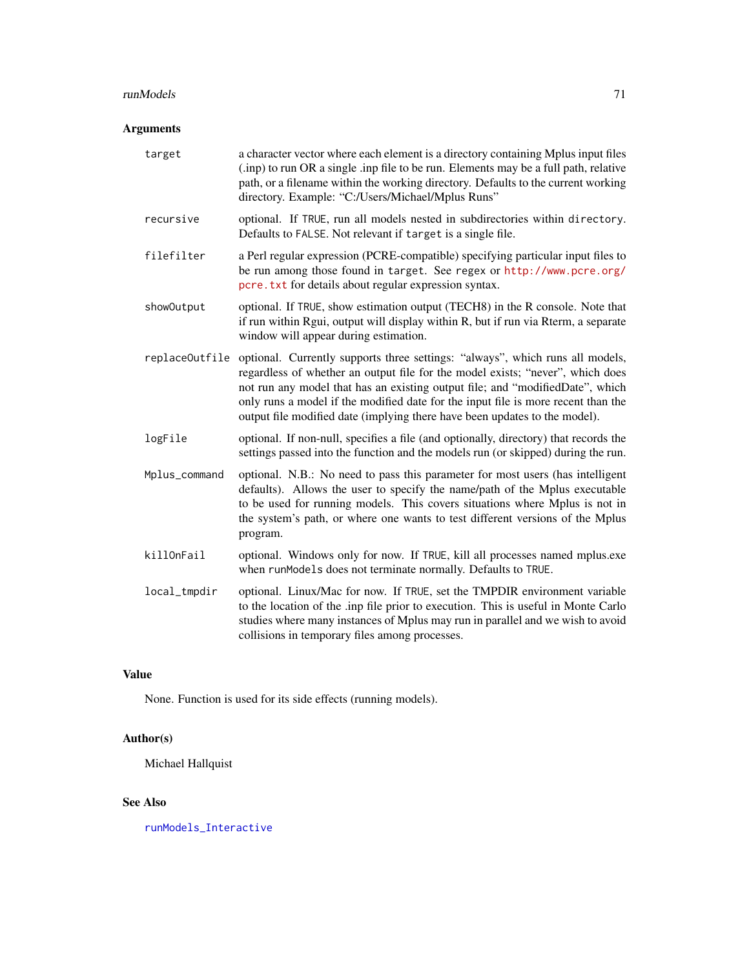#### runModels 71

# Arguments

| target         | a character vector where each element is a directory containing Mplus input files<br>(.inp) to run OR a single .inp file to be run. Elements may be a full path, relative<br>path, or a filename within the working directory. Defaults to the current working<br>directory. Example: "C:/Users/Michael/Mplus Runs"                                                                                                 |
|----------------|---------------------------------------------------------------------------------------------------------------------------------------------------------------------------------------------------------------------------------------------------------------------------------------------------------------------------------------------------------------------------------------------------------------------|
| recursive      | optional. If TRUE, run all models nested in subdirectories within directory.<br>Defaults to FALSE. Not relevant if target is a single file.                                                                                                                                                                                                                                                                         |
| filefilter     | a Perl regular expression (PCRE-compatible) specifying particular input files to<br>be run among those found in target. See regex or http://www.pcre.org/<br>pcre. txt for details about regular expression syntax.                                                                                                                                                                                                 |
| showOutput     | optional. If TRUE, show estimation output (TECH8) in the R console. Note that<br>if run within Rgui, output will display within R, but if run via Rterm, a separate<br>window will appear during estimation.                                                                                                                                                                                                        |
| replaceOutfile | optional. Currently supports three settings: "always", which runs all models,<br>regardless of whether an output file for the model exists; "never", which does<br>not run any model that has an existing output file; and "modifiedDate", which<br>only runs a model if the modified date for the input file is more recent than the<br>output file modified date (implying there have been updates to the model). |
| logFile        | optional. If non-null, specifies a file (and optionally, directory) that records the<br>settings passed into the function and the models run (or skipped) during the run.                                                                                                                                                                                                                                           |
| Mplus_command  | optional. N.B.: No need to pass this parameter for most users (has intelligent<br>defaults). Allows the user to specify the name/path of the Mplus executable<br>to be used for running models. This covers situations where Mplus is not in<br>the system's path, or where one wants to test different versions of the Mplus<br>program.                                                                           |
| killOnFail     | optional. Windows only for now. If TRUE, kill all processes named mplus.exe<br>when runModels does not terminate normally. Defaults to TRUE.                                                                                                                                                                                                                                                                        |
| local_tmpdir   | optional. Linux/Mac for now. If TRUE, set the TMPDIR environment variable<br>to the location of the .inp file prior to execution. This is useful in Monte Carlo<br>studies where many instances of Mplus may run in parallel and we wish to avoid<br>collisions in temporary files among processes.                                                                                                                 |

# Value

None. Function is used for its side effects (running models).

# Author(s)

Michael Hallquist

# See Also

[runModels\\_Interactive](#page-71-0)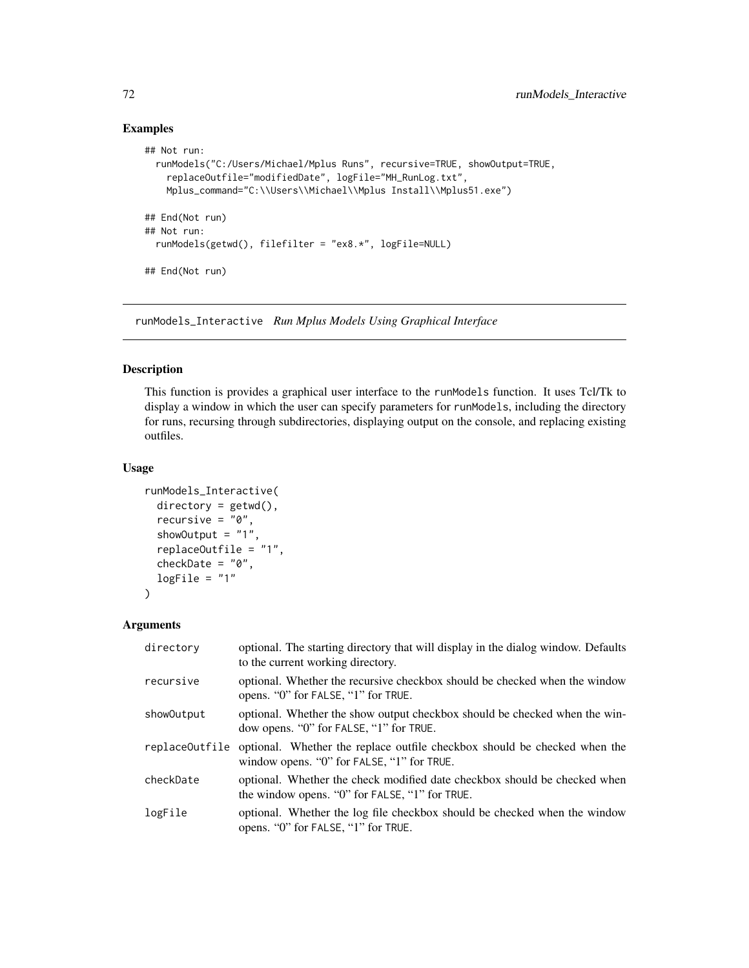# Examples

```
## Not run:
 runModels("C:/Users/Michael/Mplus Runs", recursive=TRUE, showOutput=TRUE,
   replaceOutfile="modifiedDate", logFile="MH_RunLog.txt",
   Mplus_command="C:\\Users\\Michael\\Mplus Install\\Mplus51.exe")
## End(Not run)
## Not run:
 runModels(getwd(), filefilter = "ex8.*", logFile=NULL)
## End(Not run)
```
<span id="page-71-0"></span>runModels\_Interactive *Run Mplus Models Using Graphical Interface*

# Description

This function is provides a graphical user interface to the runModels function. It uses Tcl/Tk to display a window in which the user can specify parameters for runModels, including the directory for runs, recursing through subdirectories, displaying output on the console, and replacing existing outfiles.

### Usage

```
runModels_Interactive(
  directory = getwd(),
  recursive = "0",showOutput = "1",
  replaceOutfile = "1",
  checkDate = "0",logFile = "1"\lambda
```
### Arguments

| directory  | optional. The starting directory that will display in the dialog window. Defaults<br>to the current working directory.                 |
|------------|----------------------------------------------------------------------------------------------------------------------------------------|
| recursive  | optional. Whether the recursive checkbox should be checked when the window<br>opens. "0" for FALSE, "1" for TRUE.                      |
| showOutput | optional. Whether the show output checkbox should be checked when the win-<br>dow opens. "0" for FALSE, "1" for TRUE.                  |
|            | replaceOutfile optional. Whether the replace outfile checkbox should be checked when the<br>window opens. "0" for FALSE, "1" for TRUE. |
| checkDate  | optional. Whether the check modified date checkbox should be checked when<br>the window opens. "0" for FALSE, "1" for TRUE.            |
| logFile    | optional. Whether the log file checkbox should be checked when the window<br>opens. "0" for FALSE, "1" for TRUE.                       |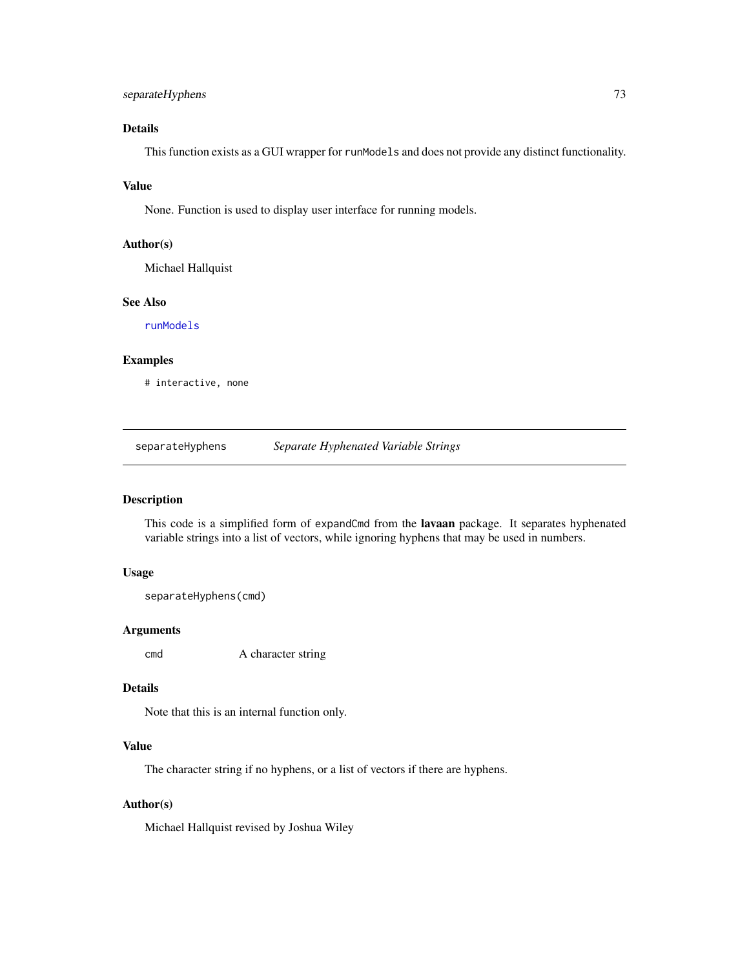# <span id="page-72-0"></span>separateHyphens 73

# Details

This function exists as a GUI wrapper for runModels and does not provide any distinct functionality.

#### Value

None. Function is used to display user interface for running models.

#### Author(s)

Michael Hallquist

# See Also

[runModels](#page-69-0)

#### Examples

# interactive, none

separateHyphens *Separate Hyphenated Variable Strings*

# Description

This code is a simplified form of expandCmd from the lavaan package. It separates hyphenated variable strings into a list of vectors, while ignoring hyphens that may be used in numbers.

# Usage

```
separateHyphens(cmd)
```
#### Arguments

cmd A character string

### Details

Note that this is an internal function only.

# Value

The character string if no hyphens, or a list of vectors if there are hyphens.

# Author(s)

Michael Hallquist revised by Joshua Wiley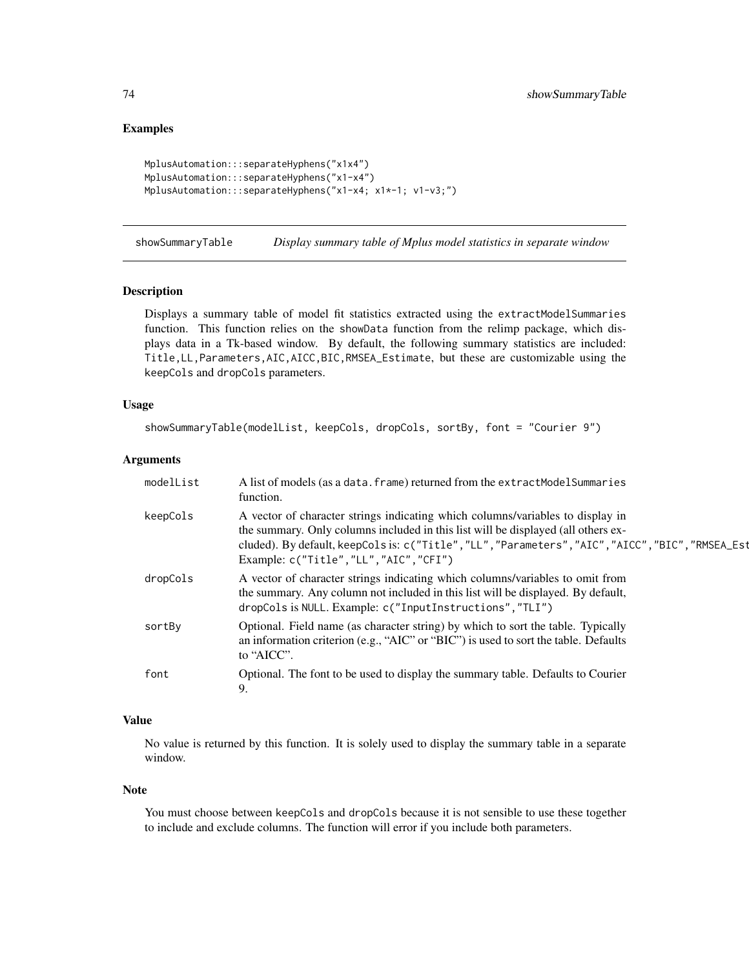```
MplusAutomation:::separateHyphens("x1x4")
MplusAutomation:::separateHyphens("x1-x4")
MplusAutomation:::separateHyphens("x1-x4; x1*-1; v1-v3;")
```
showSummaryTable *Display summary table of Mplus model statistics in separate window*

# Description

Displays a summary table of model fit statistics extracted using the extractModelSummaries function. This function relies on the showData function from the relimp package, which displays data in a Tk-based window. By default, the following summary statistics are included: Title,LL,Parameters,AIC,AICC,BIC,RMSEA\_Estimate, but these are customizable using the keepCols and dropCols parameters.

# Usage

```
showSummaryTable(modelList, keepCols, dropCols, sortBy, font = "Courier 9")
```
#### Arguments

| modelList | A list of models (as a data. frame) returned from the extractModelSummaries<br>function.                                                                                                                                                                                                                            |
|-----------|---------------------------------------------------------------------------------------------------------------------------------------------------------------------------------------------------------------------------------------------------------------------------------------------------------------------|
| keepCols  | A vector of character strings indicating which columns/variables to display in<br>the summary. Only columns included in this list will be displayed (all others ex-<br>cluded). By default, keepCols is: c("Title", "LL", "Parameters", "AIC", "AICC", "BIC", "RMSEA_Est<br>Example: c("Title", "LL", "AIC", "CFI") |
| dropCols  | A vector of character strings indicating which columns/variables to omit from<br>the summary. Any column not included in this list will be displayed. By default,<br>dropCols is NULL. Example: c("InputInstructions","TLI")                                                                                        |
| sortBy    | Optional. Field name (as character string) by which to sort the table. Typically<br>an information criterion (e.g., "AIC" or "BIC") is used to sort the table. Defaults<br>to "AICC".                                                                                                                               |
| font      | Optional. The font to be used to display the summary table. Defaults to Courier<br>9.                                                                                                                                                                                                                               |

# Value

No value is returned by this function. It is solely used to display the summary table in a separate window.

#### Note

You must choose between keepCols and dropCols because it is not sensible to use these together to include and exclude columns. The function will error if you include both parameters.

<span id="page-73-0"></span>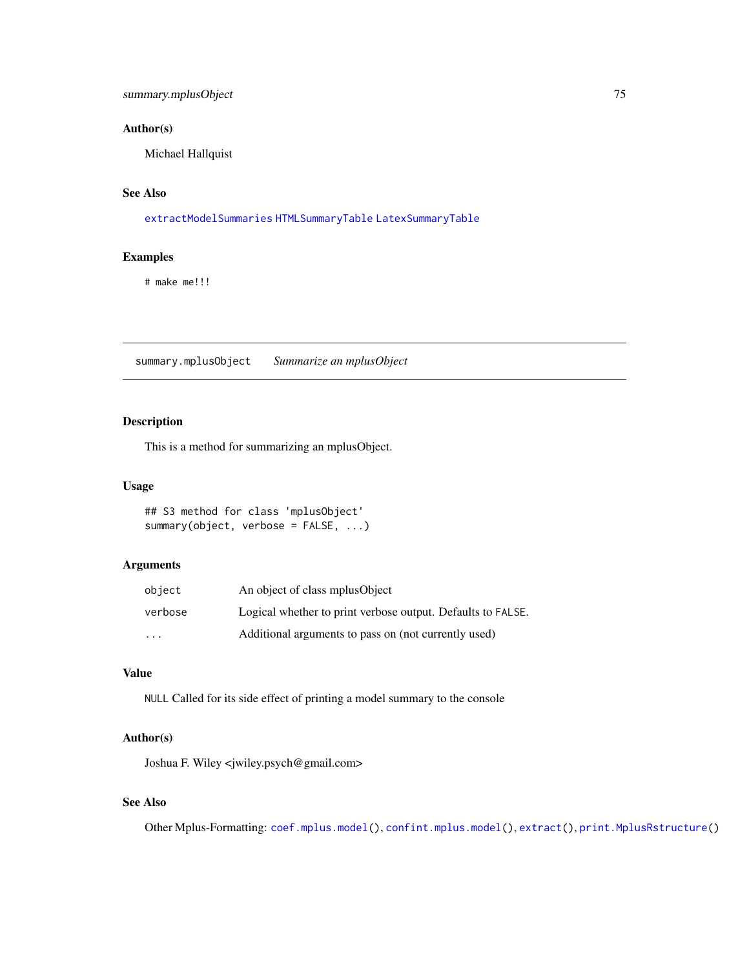# <span id="page-74-0"></span>Author(s)

Michael Hallquist

# See Also

[extractModelSummaries](#page-20-0) [HTMLSummaryTable](#page-27-0) [LatexSummaryTable](#page-29-0)

# Examples

# make me!!!

summary.mplusObject *Summarize an mplusObject*

# Description

This is a method for summarizing an mplusObject.

#### Usage

## S3 method for class 'mplusObject' summary(object, verbose = FALSE, ...)

# Arguments

| object  | An object of class mplus Object                             |
|---------|-------------------------------------------------------------|
| verbose | Logical whether to print verbose output. Defaults to FALSE. |
| $\cdot$ | Additional arguments to pass on (not currently used)        |

# Value

NULL Called for its side effect of printing a model summary to the console

# Author(s)

Joshua F. Wiley <jwiley.psych@gmail.com>

# See Also

Other Mplus-Formatting: [coef.mplus.model\(](#page-4-0)), [confint.mplus.model\(](#page-8-0)), [extract\(](#page-15-0)), [print.MplusRstructure\(](#page-66-0))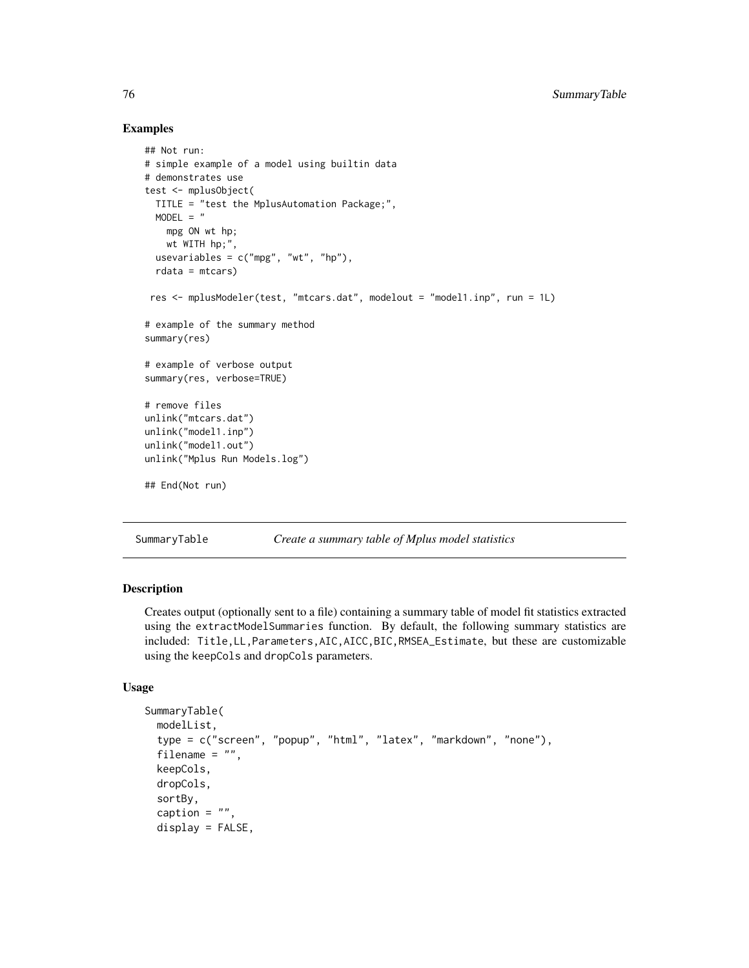```
## Not run:
# simple example of a model using builtin data
# demonstrates use
test <- mplusObject(
 TITLE = "test the MplusAutomation Package;",
 MODEL = "mpg ON wt hp;
   wt WITH hp;",
 usevariables = c("mpg", "wt", "hp"),
 rdata = mtcars)
res <- mplusModeler(test, "mtcars.dat", modelout = "model1.inp", run = 1L)
# example of the summary method
summary(res)
# example of verbose output
summary(res, verbose=TRUE)
# remove files
unlink("mtcars.dat")
unlink("model1.inp")
unlink("model1.out")
unlink("Mplus Run Models.log")
## End(Not run)
```
SummaryTable *Create a summary table of Mplus model statistics*

# Description

Creates output (optionally sent to a file) containing a summary table of model fit statistics extracted using the extractModelSummaries function. By default, the following summary statistics are included: Title,LL,Parameters,AIC,AICC,BIC,RMSEA\_Estimate, but these are customizable using the keepCols and dropCols parameters.

# Usage

```
SummaryTable(
 modelList,
  type = c("screen", "popup", "html", "latex", "markdown", "none"),
  filename = ",
  keepCols,
  dropCols,
  sortBy,
  caption = ",
  display = FALSE,
```
<span id="page-75-0"></span>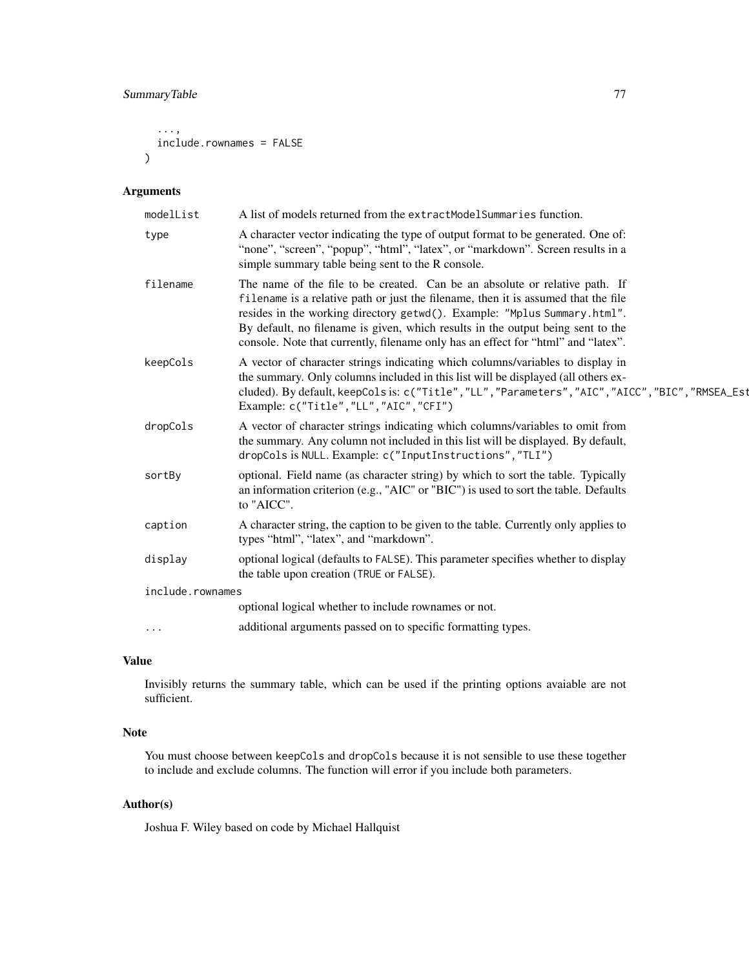```
...,
  include.rownames = FALSE
\lambda
```
# Arguments

| A list of models returned from the extractModelSummaries function.                                                                                                                                                                                                                                                                                                                                                    |
|-----------------------------------------------------------------------------------------------------------------------------------------------------------------------------------------------------------------------------------------------------------------------------------------------------------------------------------------------------------------------------------------------------------------------|
| A character vector indicating the type of output format to be generated. One of:<br>"none", "screen", "popup", "html", "latex", or "markdown". Screen results in a<br>simple summary table being sent to the R console.                                                                                                                                                                                               |
| The name of the file to be created. Can be an absolute or relative path. If<br>filename is a relative path or just the filename, then it is assumed that the file<br>resides in the working directory getwd(). Example: "Mplus Summary.html".<br>By default, no filename is given, which results in the output being sent to the<br>console. Note that currently, filename only has an effect for "html" and "latex". |
| A vector of character strings indicating which columns/variables to display in<br>the summary. Only columns included in this list will be displayed (all others ex-<br>cluded). By default, keepCols is: c("Title", "LL", "Parameters", "AIC", "AICC", "BIC", "RMSEA_Est<br>Example: c("Title", "LL", "AIC", "CFI")                                                                                                   |
| A vector of character strings indicating which columns/variables to omit from<br>the summary. Any column not included in this list will be displayed. By default,<br>dropCols is NULL. Example: c("InputInstructions", "TLI")                                                                                                                                                                                         |
| optional. Field name (as character string) by which to sort the table. Typically<br>an information criterion (e.g., "AIC" or "BIC") is used to sort the table. Defaults<br>to "AICC".                                                                                                                                                                                                                                 |
| A character string, the caption to be given to the table. Currently only applies to<br>types "html", "latex", and "markdown".                                                                                                                                                                                                                                                                                         |
| optional logical (defaults to FALSE). This parameter specifies whether to display<br>the table upon creation (TRUE or FALSE).                                                                                                                                                                                                                                                                                         |
| include.rownames                                                                                                                                                                                                                                                                                                                                                                                                      |
| optional logical whether to include rownames or not.                                                                                                                                                                                                                                                                                                                                                                  |
| additional arguments passed on to specific formatting types.                                                                                                                                                                                                                                                                                                                                                          |
|                                                                                                                                                                                                                                                                                                                                                                                                                       |

# Value

Invisibly returns the summary table, which can be used if the printing options avaiable are not sufficient.

# Note

You must choose between keepCols and dropCols because it is not sensible to use these together to include and exclude columns. The function will error if you include both parameters.

# Author(s)

Joshua F. Wiley based on code by Michael Hallquist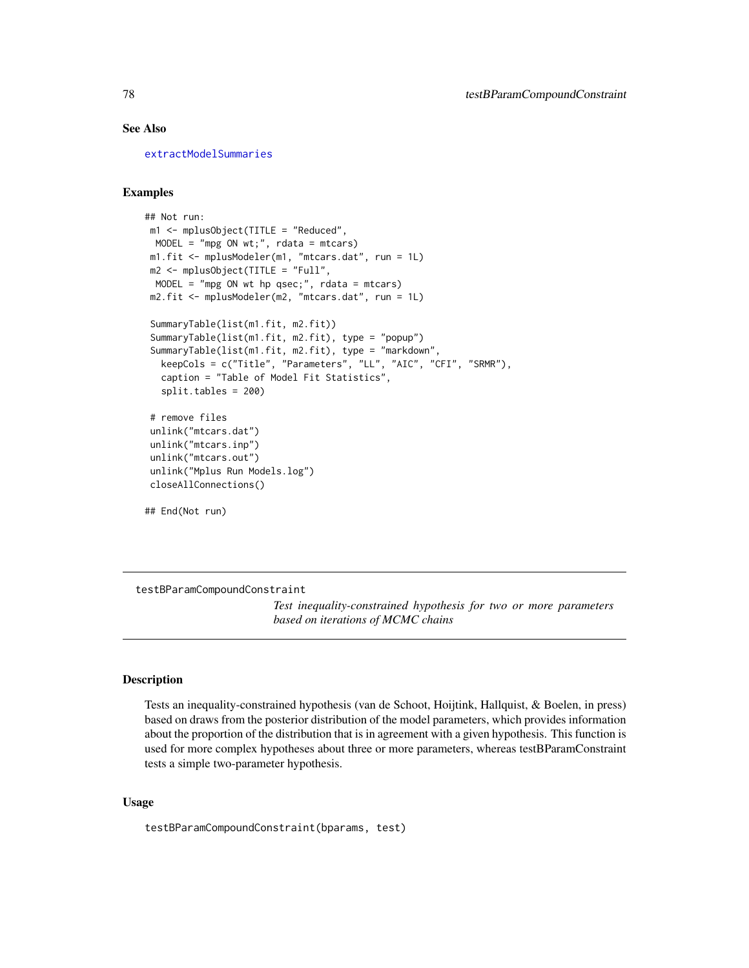# See Also

[extractModelSummaries](#page-20-0)

## Examples

```
## Not run:
m1 <- mplusObject(TITLE = "Reduced",
 MODEL = "mpg ON wt;", rdata = mtcars)
m1.fit <- mplusModeler(m1, "mtcars.dat", run = 1L)
 m2 <- mplusObject(TITLE = "Full",
 MODEL = "mpg ON wt hp qsec;", rdata = mtcars)
m2.fit <- mplusModeler(m2, "mtcars.dat", run = 1L)
 SummaryTable(list(m1.fit, m2.fit))
 SummaryTable(list(m1.fit, m2.fit), type = "popup")
 SummaryTable(list(m1.fit, m2.fit), type = "markdown",
  keepCols = c("Title", "Parameters", "LL", "AIC", "CFI", "SRMR"),
  caption = "Table of Model Fit Statistics",
  split.tables = 200)
 # remove files
 unlink("mtcars.dat")
 unlink("mtcars.inp")
 unlink("mtcars.out")
 unlink("Mplus Run Models.log")
closeAllConnections()
## End(Not run)
```
<span id="page-77-0"></span>testBParamCompoundConstraint

*Test inequality-constrained hypothesis for two or more parameters based on iterations of MCMC chains*

# **Description**

Tests an inequality-constrained hypothesis (van de Schoot, Hoijtink, Hallquist, & Boelen, in press) based on draws from the posterior distribution of the model parameters, which provides information about the proportion of the distribution that is in agreement with a given hypothesis. This function is used for more complex hypotheses about three or more parameters, whereas testBParamConstraint tests a simple two-parameter hypothesis.

#### Usage

testBParamCompoundConstraint(bparams, test)

<span id="page-77-1"></span>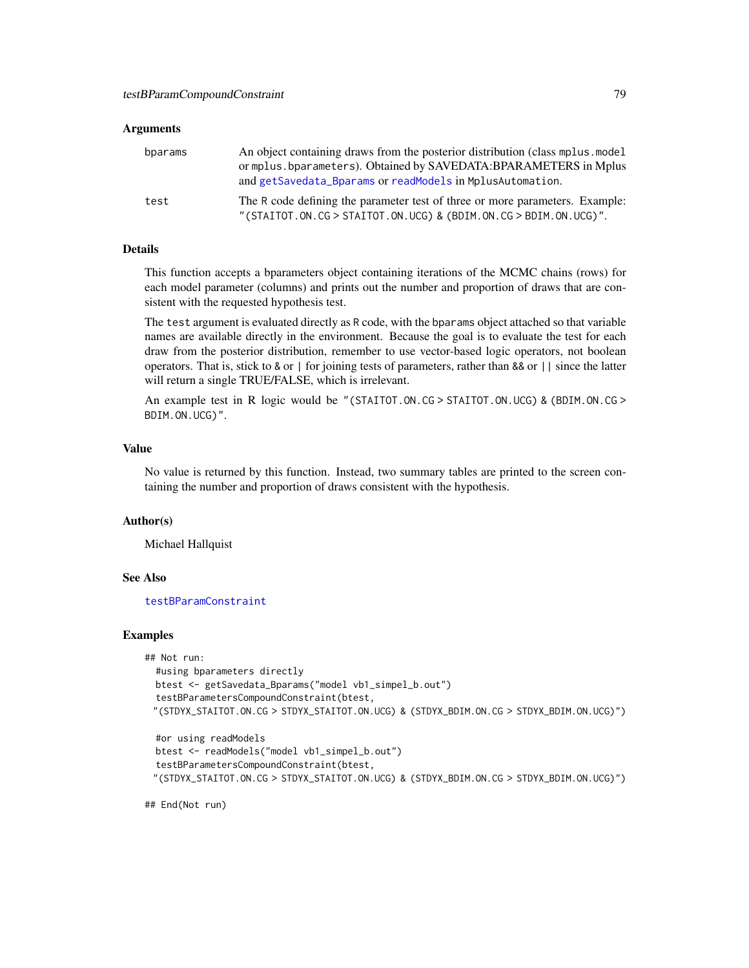#### <span id="page-78-0"></span>Arguments

| bparams | An object containing draws from the posterior distribution (class mplus, model)<br>or mplus. bparameters). Obtained by SAVEDATA: BPARAMETERS in Mplus<br>and getSavedata_Bparams or readModels in MplusAutomation. |
|---------|--------------------------------------------------------------------------------------------------------------------------------------------------------------------------------------------------------------------|
| test    | The R code defining the parameter test of three or more parameters. Example:<br>"(STAITOT.ON.CG > STAITOT.ON.UCG) & (BDIM.ON.CG > BDIM.ON.UCG)".                                                                   |

# Details

This function accepts a bparameters object containing iterations of the MCMC chains (rows) for each model parameter (columns) and prints out the number and proportion of draws that are consistent with the requested hypothesis test.

The test argument is evaluated directly as R code, with the bparams object attached so that variable names are available directly in the environment. Because the goal is to evaluate the test for each draw from the posterior distribution, remember to use vector-based logic operators, not boolean operators. That is, stick to & or | for joining tests of parameters, rather than && or || since the latter will return a single TRUE/FALSE, which is irrelevant.

An example test in R logic would be "(STAITOT.ON.CG > STAITOT.ON.UCG) & (BDIM.ON.CG > BDIM.ON.UCG)".

#### Value

No value is returned by this function. Instead, two summary tables are printed to the screen containing the number and proportion of draws consistent with the hypothesis.

### Author(s)

Michael Hallquist

# See Also

[testBParamConstraint](#page-79-0)

#### Examples

```
## Not run:
 #using bparameters directly
 btest <- getSavedata_Bparams("model vb1_simpel_b.out")
 testBParametersCompoundConstraint(btest,
 "(STDYX_STAITOT.ON.CG > STDYX_STAITOT.ON.UCG) & (STDYX_BDIM.ON.CG > STDYX_BDIM.ON.UCG)")
 #or using readModels
```

```
btest <- readModels("model vb1_simpel_b.out")
testBParametersCompoundConstraint(btest,
"(STDYX_STAITOT.ON.CG > STDYX_STAITOT.ON.UCG) & (STDYX_BDIM.ON.CG > STDYX_BDIM.ON.UCG)")
```
## End(Not run)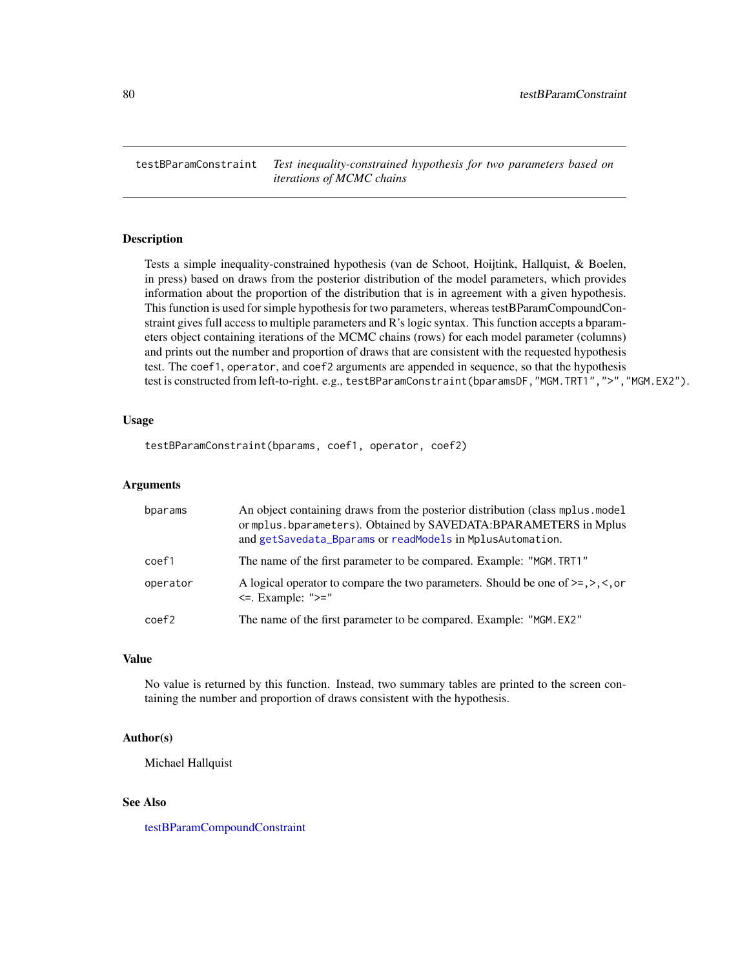<span id="page-79-1"></span><span id="page-79-0"></span>testBParamConstraint *Test inequality-constrained hypothesis for two parameters based on iterations of MCMC chains*

#### Description

Tests a simple inequality-constrained hypothesis (van de Schoot, Hoijtink, Hallquist, & Boelen, in press) based on draws from the posterior distribution of the model parameters, which provides information about the proportion of the distribution that is in agreement with a given hypothesis. This function is used for simple hypothesis for two parameters, whereas testBParamCompoundConstraint gives full access to multiple parameters and R's logic syntax. This function accepts a bparameters object containing iterations of the MCMC chains (rows) for each model parameter (columns) and prints out the number and proportion of draws that are consistent with the requested hypothesis test. The coef1, operator, and coef2 arguments are appended in sequence, so that the hypothesis test is constructed from left-to-right. e.g., testBParamConstraint(bparamsDF, "MGM.TRT1", ">", "MGM.EX2").

### Usage

```
testBParamConstraint(bparams, coef1, operator, coef2)
```
# Arguments

| bparams  | An object containing draws from the posterior distribution (class mplus model)<br>or mplus.bparameters). Obtained by SAVEDATA:BPARAMETERS in Mplus<br>and getSavedata_Bparams or readModels in MplusAutomation. |
|----------|-----------------------------------------------------------------------------------------------------------------------------------------------------------------------------------------------------------------|
| coef1    | The name of the first parameter to be compared. Example: "MGM. TRT1"                                                                                                                                            |
| operator | A logical operator to compare the two parameters. Should be one of $\geq$ , $\geq$ , $\leq$ , or<br>$\leq$ . Example: " $\geq$ ="                                                                               |
| coef2    | The name of the first parameter to be compared. Example: "MGM.EX2"                                                                                                                                              |

# Value

No value is returned by this function. Instead, two summary tables are printed to the screen containing the number and proportion of draws consistent with the hypothesis.

#### Author(s)

Michael Hallquist

#### See Also

[testBParamCompoundConstraint](#page-77-0)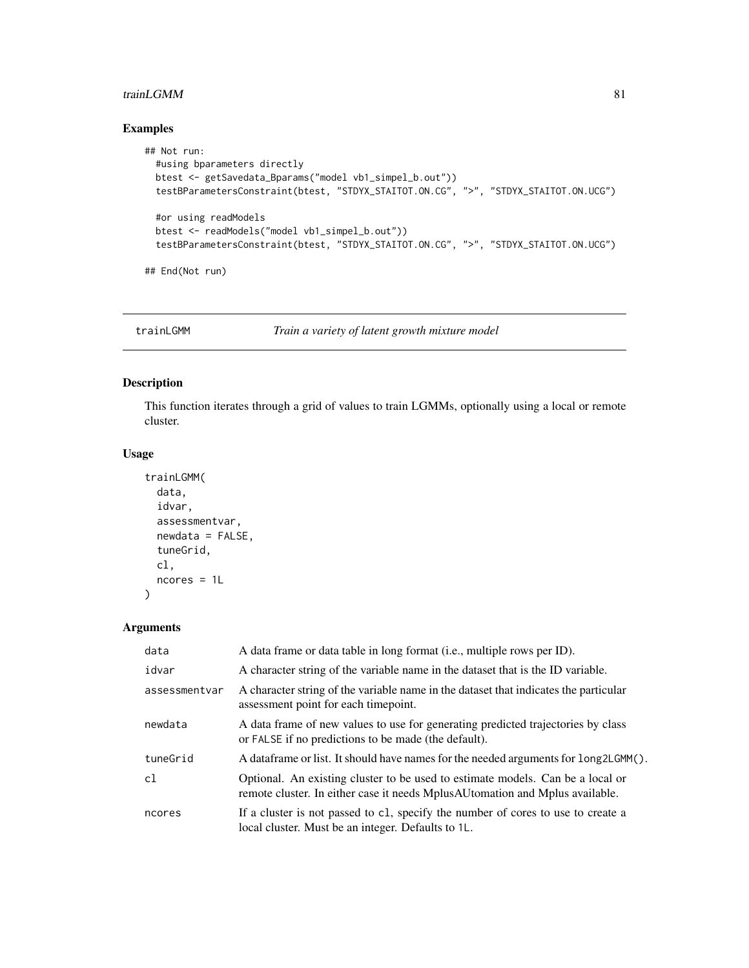# <span id="page-80-0"></span>trainLGMM 81

# Examples

```
## Not run:
  #using bparameters directly
  btest <- getSavedata_Bparams("model vb1_simpel_b.out"))
  testBParametersConstraint(btest, "STDYX_STAITOT.ON.CG", ">", "STDYX_STAITOT.ON.UCG")
  #or using readModels
  btest <- readModels("model vb1_simpel_b.out"))
  testBParametersConstraint(btest, "STDYX_STAITOT.ON.CG", ">", "STDYX_STAITOT.ON.UCG")
## End(Not run)
```
trainLGMM *Train a variety of latent growth mixture model*

# Description

This function iterates through a grid of values to train LGMMs, optionally using a local or remote cluster.

#### Usage

```
trainLGMM(
  data,
  idvar,
  assessmentvar,
  newdata = FALSE,tuneGrid,
  cl,
  ncores = 1L
\lambda
```
# Arguments

| data          | A data frame or data table in long format (i.e., multiple rows per ID).                                                                                           |
|---------------|-------------------------------------------------------------------------------------------------------------------------------------------------------------------|
| idvar         | A character string of the variable name in the dataset that is the ID variable.                                                                                   |
| assessmentvar | A character string of the variable name in the dataset that indicates the particular<br>assessment point for each time point.                                     |
| newdata       | A data frame of new values to use for generating predicted trajectories by class<br>or FALSE if no predictions to be made (the default).                          |
| tuneGrid      | A data frame or list. It should have names for the needed arguments for long2LGMM().                                                                              |
| c1            | Optional. An existing cluster to be used to estimate models. Can be a local or<br>remote cluster. In either case it needs Mplus AU to mation and Mplus available. |
| ncores        | If a cluster is not passed to c1, specify the number of cores to use to create a<br>local cluster. Must be an integer. Defaults to 1L.                            |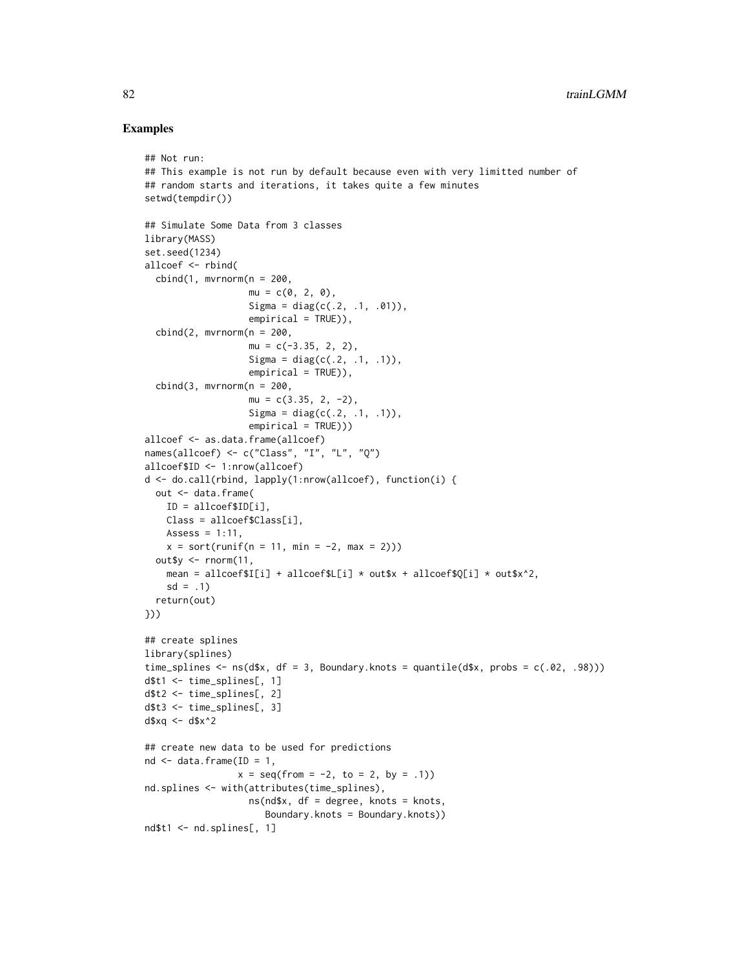```
## Not run:
## This example is not run by default because even with very limitted number of
## random starts and iterations, it takes quite a few minutes
setwd(tempdir())
## Simulate Some Data from 3 classes
library(MASS)
set.seed(1234)
allcoef <- rbind(
  cbind(1, mvrnorm(n = 200,mu = c(0, 2, 0),Sigma = diag(c(.2, .1, .01)),empirical = TRUE),
  cbind(2, mvrnorm(n = 200,mu = c(-3.35, 2, 2),
                   Sigma = diag(c(.2, .1, .1)),empirical = TRUE)),
  cbind(3, mvrnorm(n = 200,mu = c(3.35, 2, -2),
                   Sigma = diag(c(.2, .1, .1)),empirical = TRUE)))
allcoef <- as.data.frame(allcoef)
names(allcoef) <- c("Class", "I", "L", "Q")
allcoef$ID <- 1:nrow(allcoef)
d <- do.call(rbind, lapply(1:nrow(allcoef), function(i) {
 out <- data.frame(
   ID = allcoef$ID[i],
   Class = allcoef$Class[i],
   Assess = 1:11,
   x = sort(runif(n = 11, min = -2, max = 2)))out$y \leq rnorm(11,
   mean = allcoef$I[i] + allcoef$L[i] * out$x + allcoef$Q[i] * out$x^2,
    sd = .1return(out)
}))
## create splines
library(splines)
time_splines \leq -ns(d$x, df = 3, Boundary.knots = quantile(d$x, probs = c(.02, .98)))
d$t1 <- time_splines[, 1]
d$t2 <- time_splines[, 2]
d$t3 <- time_splines[, 3]
d$xq <- d$x^2
## create new data to be used for predictions
nd \leq data.frame(ID = 1,
                 x = \text{seq}(\text{from} = -2, \text{to} = 2, \text{by} = .1)nd.splines <- with(attributes(time_splines),
                   ns(nd$x, df = degree, knots = knots,
                      Boundary.knots = Boundary.knots))
nd$t1 <- nd.splines[, 1]
```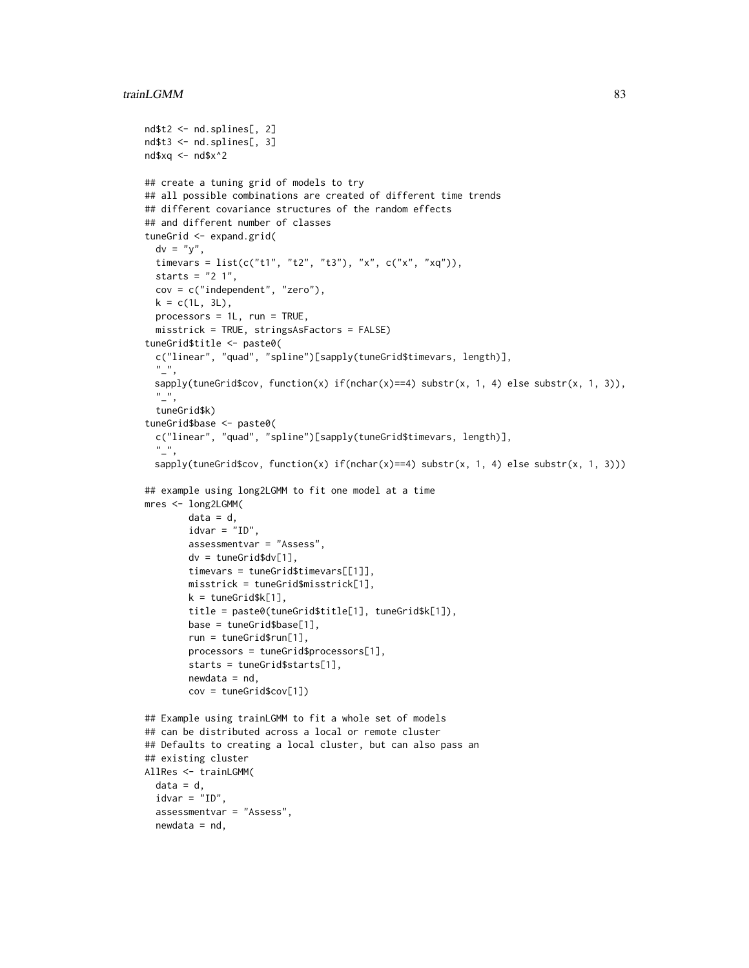### trainLGMM 83

```
nd$t2 <- nd.splines[, 2]
nd$t3 <- nd.splines[, 3]
nd$xq <- nd$x^2
## create a tuning grid of models to try
## all possible combinations are created of different time trends
## different covariance structures of the random effects
## and different number of classes
tuneGrid <- expand.grid(
  dv = "y",timevars = list(c("t1", "t2", "t3"), "x", c("x", "xq")),
  starts = "2 1",cov = c("independent", "zero"),
  k = c(1L, 3L),
  processors = 1L, run = TRUE,
  misstrick = TRUE, stringsAsFactors = FALSE)
tuneGrid$title <- paste0(
  c("linear", "quad", "spline")[sapply(tuneGrid$timevars, length)],
  \binom{n}{r}sapply(tuneGrid$cov, function(x) if(nchar(x)==4) substr(x, 1, 4) else substr(x, 1, 3)),
  \frac{n}{2},
  tuneGrid$k)
tuneGrid$base <- paste0(
  c("linear", "quad", "spline")[sapply(tuneGrid$timevars, length)],
  \frac{n}{2},
 sapply(tuneGrid$cov, function(x) if(nchar(x)==4) substr(x, 1, 4) else substr(x, 1, 3)))
## example using long2LGMM to fit one model at a time
mres <- long2LGMM(
        data = d,
        idvar = "ID",
        assessmentvar = "Assess",
        dv = tuneGrid$dv[1],
        timevars = tuneGrid$timevars[[1]],
        misstrick = tuneGrid$misstrick[1],
        k = tuneGrid$k[1],
        title = paste0(tuneGrid$title[1], tuneGrid$k[1]),
        base = tuneGrid$base[1],
        run = tuneGrid$run[1],
        processors = tuneGrid$processors[1],
        starts = tuneGrid$starts[1],
        newdata = nd,
        cov = tuneGrid$cov[1])
## Example using trainLGMM to fit a whole set of models
## can be distributed across a local or remote cluster
## Defaults to creating a local cluster, but can also pass an
## existing cluster
AllRes <- trainLGMM(
  data = d,
  idvar = "ID",
  assessmentvar = "Assess",
  newdata = nd,
```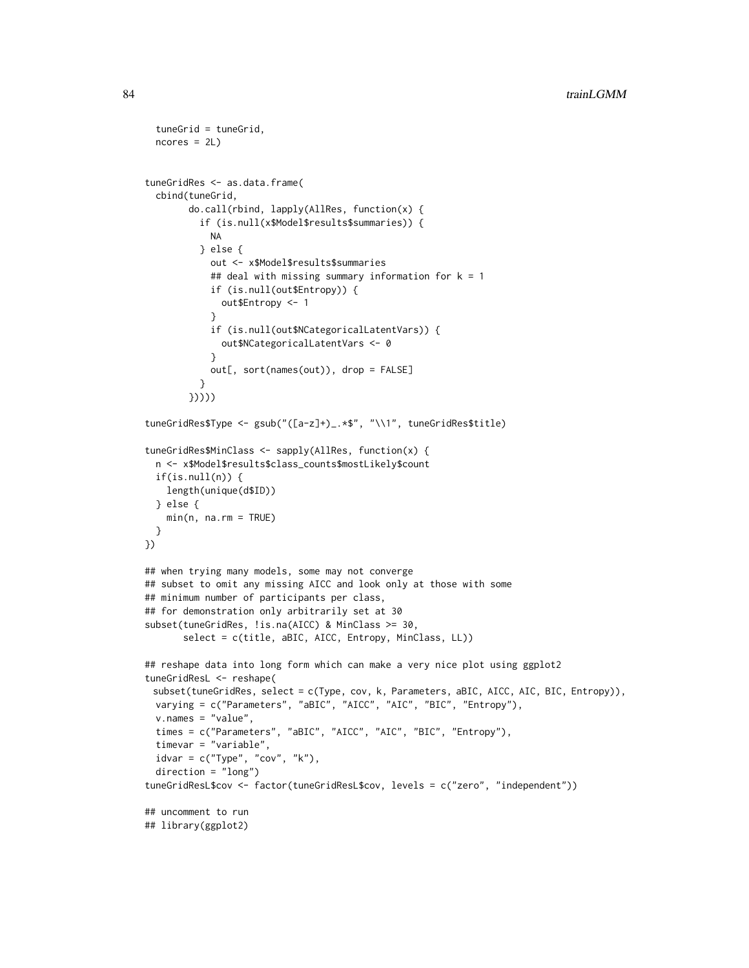```
tuneGrid = tuneGrid,
 ncores = 2LtuneGridRes <- as.data.frame(
 cbind(tuneGrid,
       do.call(rbind, lapply(AllRes, function(x) {
          if (is.null(x$Model$results$summaries)) {
            NA
          } else {
            out <- x$Model$results$summaries
            ## deal with missing summary information for k = 1if (is.null(out$Entropy)) {
              out$Entropy <- 1
            }
            if (is.null(out$NCategoricalLatentVars)) {
             out$NCategoricalLatentVars <- 0
            }
            out[, sort(names(out)), drop = FALSE]
          }
       }))))
tuneGridRes$Type <- gsub("([a-z]+)_.*$", "\\1", tuneGridRes$title)
tuneGridRes$MinClass <- sapply(AllRes, function(x) {
 n <- x$Model$results$class_counts$mostLikely$count
 if(is.null(n)) {
   length(unique(d$ID))
 } else {
   min(n, na.rm = TRUE)}
})
## when trying many models, some may not converge
## subset to omit any missing AICC and look only at those with some
## minimum number of participants per class,
## for demonstration only arbitrarily set at 30
subset(tuneGridRes, !is.na(AICC) & MinClass >= 30,
       select = c(title, aBIC, AICC, Entropy, MinClass, LL))
## reshape data into long form which can make a very nice plot using ggplot2
tuneGridResL <- reshape(
 subset(tuneGridRes, select = c(Type, cov, k, Parameters, aBIC, AICC, AIC, BIC, Entropy)),
 varying = c("Parameters", "aBIC", "AICC", "AIC", "BIC", "Entropy"),
 v.name = "value",times = c("Parameters", "aBIC", "AICC", "AIC", "BIC", "Entropy"),
 timevar = "variable",
 idvar = c("Type", "cov", "k"),
 direction = "long")
tuneGridResL$cov <- factor(tuneGridResL$cov, levels = c("zero", "independent"))
## uncomment to run
## library(ggplot2)
```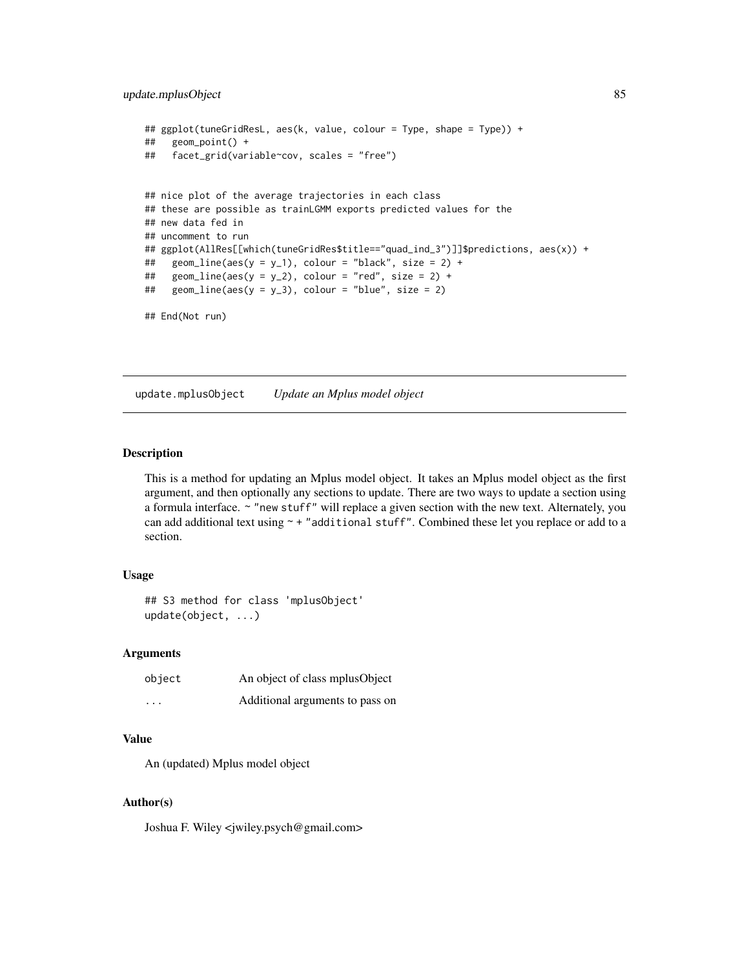# <span id="page-84-0"></span>update.mplusObject 85

```
## ggplot(tuneGridResL, aes(k, value, colour = Type, shape = Type)) +
## geom_point() +
## facet_grid(variable~cov, scales = "free")
## nice plot of the average trajectories in each class
## these are possible as trainLGMM exports predicted values for the
## new data fed in
## uncomment to run
## ggplot(AllRes[[which(tuneGridRes$title=="quad_ind_3")]]$predictions, aes(x)) +
## geom_line(aes(y = y_1), colour = "black", size = 2) +
## geom_line(aes(y = y_2), colour = "red", size = 2) +
## geom_line(aes(y = y_3), colour = "blue", size = 2)
## End(Not run)
```
update.mplusObject *Update an Mplus model object*

#### Description

This is a method for updating an Mplus model object. It takes an Mplus model object as the first argument, and then optionally any sections to update. There are two ways to update a section using a formula interface. ~ "new stuff" will replace a given section with the new text. Alternately, you can add additional text using  $\sim$  + "additional stuff". Combined these let you replace or add to a section.

#### Usage

## S3 method for class 'mplusObject' update(object, ...)

#### Arguments

| object   | An object of class mplus Object |
|----------|---------------------------------|
| $\cdots$ | Additional arguments to pass on |

#### Value

An (updated) Mplus model object

#### Author(s)

Joshua F. Wiley <jwiley.psych@gmail.com>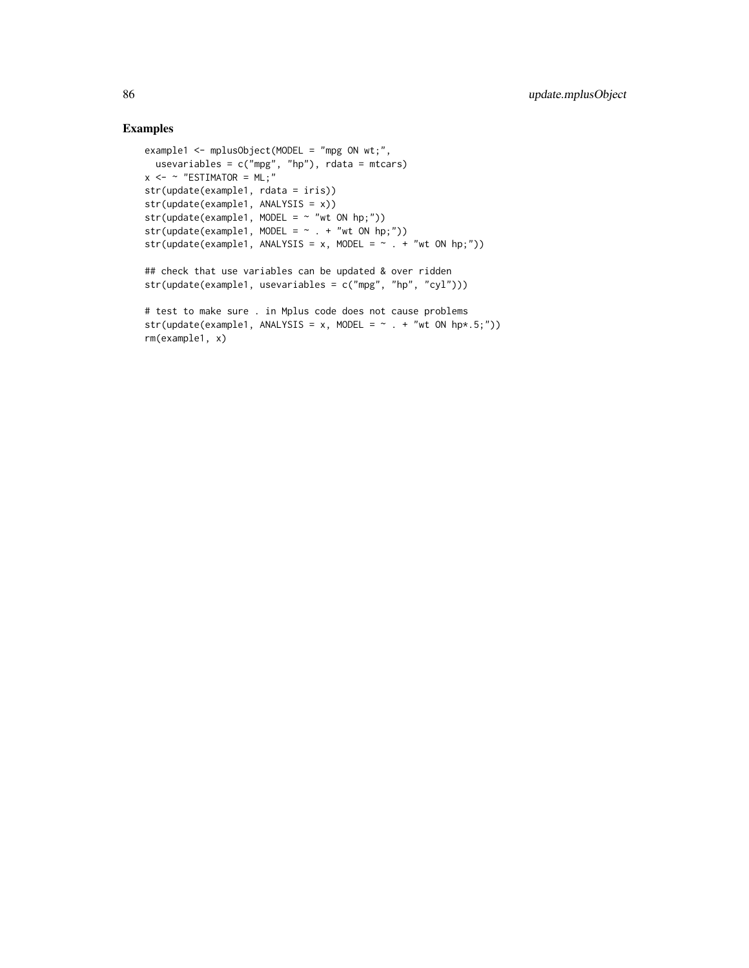```
example1 <- mplusObject(MODEL = "mpg ON wt;",
usevariables = c("mpg", "hp"), rdata = mtcars)
x \le - \sim "ESTIMATOR = ML;"
str(update(example1, rdata = iris))
str(update(example1, ANALYSIS = x))
str(update(example1, MODEL = ~ "wt ON hp;"))str(update(example1, MODEL = ~ . ~ + ~ "wt ON hp;"))str(update(example1, ANALYSIS = x, MODEL = \sim . + "wt ON hp;"))
## check that use variables can be updated & over ridden
str(update(example1, usevariables = c("mpg", "hp", "cyl")))
# test to make sure . in Mplus code does not cause problems
str(update(example1, ANALYSIS = x, MODEL = \sim . + "wt ON hp*.5;"))
rm(example1, x)
```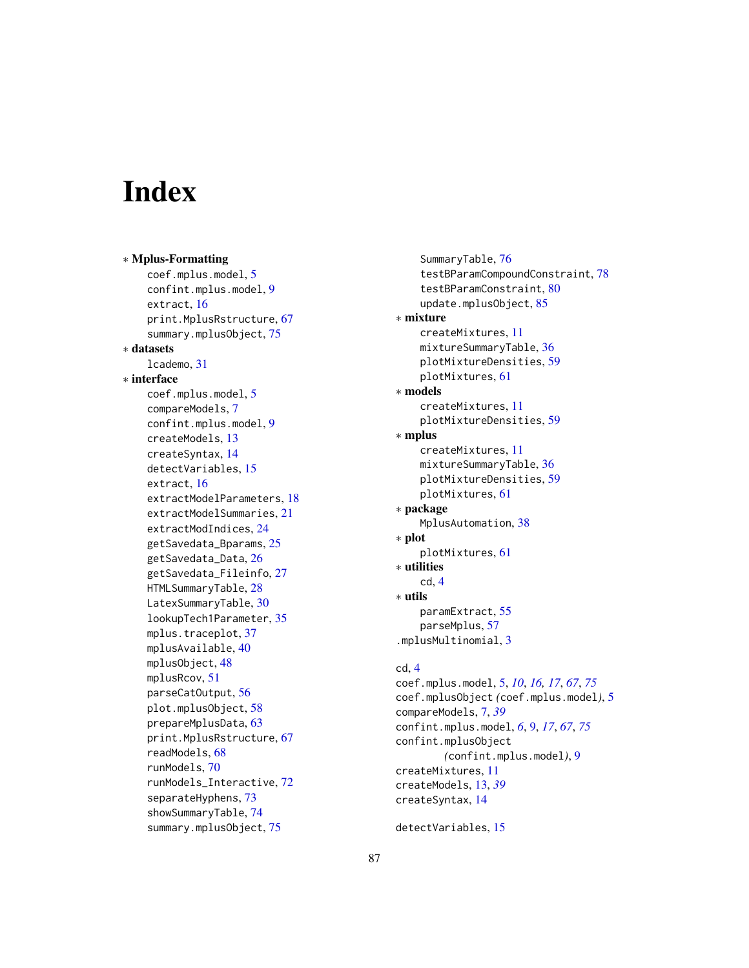# **Index**

∗ Mplus-Formatting coef.mplus.model, [5](#page-4-1) confint.mplus.model, [9](#page-8-1) extract, [16](#page-15-1) print.MplusRstructure, [67](#page-66-1) summary.mplusObject, [75](#page-74-0) ∗ datasets lcademo, [31](#page-30-0) ∗ interface coef.mplus.model, [5](#page-4-1) compareModels, [7](#page-6-0) confint.mplus.model, [9](#page-8-1) createModels, [13](#page-12-0) createSyntax, [14](#page-13-0) detectVariables, [15](#page-14-0) extract, [16](#page-15-1) extractModelParameters, [18](#page-17-0) extractModelSummaries, [21](#page-20-1) extractModIndices, [24](#page-23-0) getSavedata\_Bparams, [25](#page-24-1) getSavedata\_Data, [26](#page-25-0) getSavedata\_Fileinfo, [27](#page-26-0) HTMLSummaryTable, [28](#page-27-1) LatexSummaryTable, [30](#page-29-1) lookupTech1Parameter, [35](#page-34-0) mplus.traceplot, [37](#page-36-0) mplusAvailable, [40](#page-39-0) mplusObject, [48](#page-47-0) mplusRcov, [51](#page-50-0) parseCatOutput, [56](#page-55-0) plot.mplusObject, [58](#page-57-0) prepareMplusData, [63](#page-62-0) print.MplusRstructure, [67](#page-66-1) readModels, [68](#page-67-1) runModels, [70](#page-69-1) runModels\_Interactive, [72](#page-71-0) separateHyphens, [73](#page-72-0) showSummaryTable, [74](#page-73-0) summary.mplusObject, [75](#page-74-0)

SummaryTable, [76](#page-75-0) testBParamCompoundConstraint, [78](#page-77-1) testBParamConstraint, [80](#page-79-1) update.mplusObject, [85](#page-84-0) ∗ mixture createMixtures, [11](#page-10-0) mixtureSummaryTable, [36](#page-35-0) plotMixtureDensities, [59](#page-58-0) plotMixtures, [61](#page-60-0) ∗ models createMixtures, [11](#page-10-0) plotMixtureDensities, [59](#page-58-0) ∗ mplus createMixtures, [11](#page-10-0) mixtureSummaryTable, [36](#page-35-0) plotMixtureDensities, [59](#page-58-0) plotMixtures, [61](#page-60-0) ∗ package MplusAutomation, [38](#page-37-0) ∗ plot plotMixtures, [61](#page-60-0) ∗ utilities cd, [4](#page-3-0) ∗ utils paramExtract, [55](#page-54-0) parseMplus, [57](#page-56-0) .mplusMultinomial, [3](#page-2-0) cd, [4](#page-3-0)

coef.mplus.model, [5,](#page-4-1) *[10](#page-9-0)*, *[16,](#page-15-1) [17](#page-16-0)*, *[67](#page-66-1)*, *[75](#page-74-0)* coef.mplusObject *(*coef.mplus.model*)*, [5](#page-4-1) compareModels, [7,](#page-6-0) *[39](#page-38-0)* confint.mplus.model, *[6](#page-5-0)*, [9,](#page-8-1) *[17](#page-16-0)*, *[67](#page-66-1)*, *[75](#page-74-0)* confint.mplusObject *(*confint.mplus.model*)*, [9](#page-8-1) createMixtures, [11](#page-10-0) createModels, [13,](#page-12-0) *[39](#page-38-0)* createSyntax, [14](#page-13-0)

detectVariables, [15](#page-14-0)